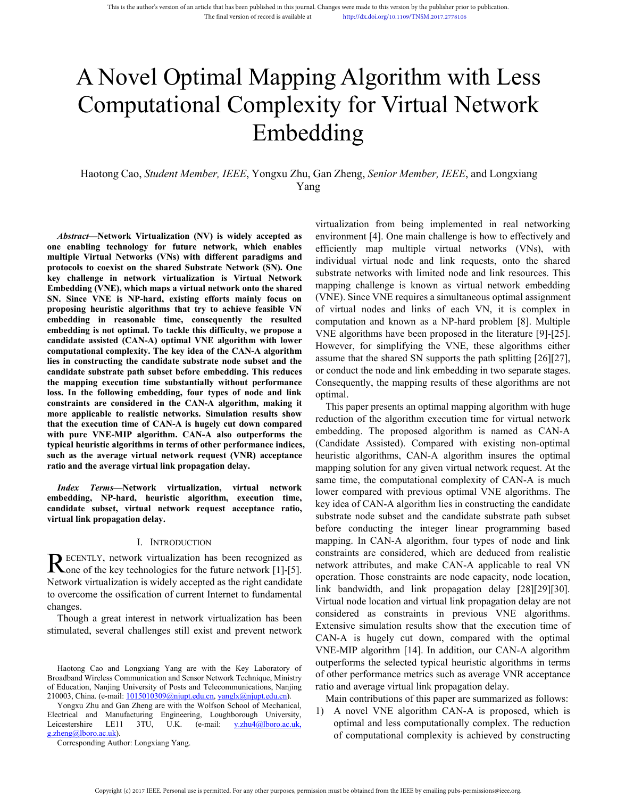# **Computational Complexity for Virtual<br>
Embedding**<br>
Haotong Cao, *Student Member*, *IEEE*, Yongxu Zhu, Gan Zheng, *Senior Member*<br>
Yang<br>
Mbstract—Network Virtualization (NV) is widely accepted as<br>
e enabling technology for ng Algorithm with Less<br>ity for Virtual Network<br>ding<br><sup>Gan Zheng, Senior Member, IEEE, and Longxiang<br><sup>g</sup><br>wirtualization from being implemented in real networking<br>environment [4]. One main challenge is how to effectively and<br></sup> This is the author's version of an article that has been published in this journal Changes were made to this version by the publisher prior to publication.<br>The final version of record is available at http://di.doi.org/10.1 This is the suffice's version of an article that has been pablished in this journal Changes were made to this virtual or pro-to-publications.<br>The final version of record is while<br>he as  $\Gamma$  implication of properties are pr Embedding Haotong Cao, *Student Member, IEEE*, Yongxu Zhu, Gan Zheng, *Senior Member, IEEE*, and Longxiang<br>Virtual Network<br>Haotong Cao, *Student Member, IEEE*, Yongxu Zhu, Gan Zheng, *Senior Member, IEEE*, and Longxiang<br>Virtualizati

Yang

**between the configurers**<br> **one of the cone of the cone of the cone of the cone of the cone enabling technology for future network, which enables efficiently map<br>** *Mostract***—Network Virtualization (NV) is widely accepted a Embedding**<br>
Haotong Cao, *Student Member*, *IEEE*, Yongxu Zhu, Gan Zheng, *Senior Member*<br>
Yang<br>
Multilization from being<br>
Multilization from being<br>
Multilization from being<br>
Multiple Virtual Networks (VNs) with different **Protocols to coexist on the shared Substrate Network (SN).** The shared Substrate Network Virtualization (NV) is widely accepted as environment [4]. One main one enabling technology for future network, which enables enviro **Haotong Cao,** *Student Member***,** *IEEE***, Yongxu Zhu, Gan Zheng,** *Senior M***<br>
Yang<br>** *Abstract***—Network Virtualization (NV) is widely accepted as<br>
once enabling technology for future network, which enables<br>
efficiently map mul** Haotong Cao, *Student Member*, *IEEE*, Yongxu Zhu, Gan Zheng, *Senior Mer*<br>
Yang<br>
Yang<br>
Wirtualization from beir<br> *Abstract*—Network Virtualization (NV) is widely accepted as<br>
environment [4]. One mandling technology for f Haotong Cao, *Student Member*, *IEEE*, Yongxu Zhu, Gan Zheng, *Senior Member*<br>
Yang<br>
State Compare Compare Compare Compare Compare Compare Compare Compare Compare Compare Compare Compare Compare Compare Compare Compare Com Fraotong Cao, *Student Member*, *IEEE*, **Tongxu ZIIu**, Gan Zineng, *Sentor Member*<br>
Yang<br> *Abstract*—Network Virtualization (NV) is widely accepted as<br>
one enabling technology for future network, which enables<br>
efficiently Frame Mater<br> **Example 19** Abstract—Network Virtualization (NV) is widely accepted as<br>
embedding technology for future network, which enables<br>
embedding technology for future network, which enables<br>
embedding Virtual Networ **Example 12** Mottomary is with the summanneously accepted as an invironment [4]. One main chone enabling technology for future network, which enables efficiently map multiple virtual Networks (VNs) with different paradigms *c* **Abstract—Network Virtualization (NV) is widely accepted as environment [4]. One mail onder and the mail time set in the state of incient of the small time technology for future network, which enables environment [4].** *computational compleme* **and the complement and the complement in the complement and the complement in the sole of the two state in the computation of the computation of the state of the state of the state of the state of** *Abstract***—Network Virtualization (NV) is widely accepted as environment [4]. One main one enabling technology for future network, which enables environment [4]. One main one enabling technology for future network, which candidate candidate candidate candidate candidate can candidate candidate candidate candidate candidate candidate candidate candidate candidate candidate candidate candidate candidate** one enabling tecnuology to the mapping execution time means the mapping of the allement paradigms and protocols to coexist on the shared Substrate Network (SN). One protocols to coexist on the shared Substrate Network (SN) mumpe virtual network (NS) with unitering paramy and individual virtual node and protocols to coexist on the shared Substrate Network (SN). One key challenge in network virtualization is Virtual Network substrate networks protocols to constraint in stand and state in the CAN-A algorithm, making ith and the execution of the algorithm state of CAN-A is hugely cut down considered in execution of the state and interest approposition in the cons Embedding (WIE), which maps a virtual network of the shared mapping challenge is known and the shared proposing heuristic algorithms that try to achieve feasible VN of virtual nodes and link embedding in reasonable time, c Enneutuary (VNE), Whenthe Happing and VHAT algorithm the state of the state of the execution and known computational computation and known computation in reasonable time, consequently the resulted computation and known com Six. Sime *VNE-MIP algorithm*. CAN-A algorithm, making it conduct the degraded in the average virtual network is the mandial emperation and known as embedding in reasonable time, consequently the resulted computation and k **Example the may be the same that the consequently the resulted on the computation and known<br>
embedding is neasonable time, consequently the resulted computation and known<br>
enandidate assisted (CAN-A) optimal VNE algorithm EXECUTE 11 FESTALLY THE SUCKET THE SUCKET ASSESS THE SUCK THE SUCK THE SUCK THE SUCK REPORES CONDUCT AND COMPUTATION IN THE ALTERTATION COMPUTATION COMPUTATION COMPUTATION COMPUTATION COMPUTATION COMPUTATION COMPUTATION (** Example is not by purimal. To take the use unitedity, we propose a<br>
candidate assisted (CAN-A) optimal VNE algorithm with lower to computational complexity. The key idea of the CAN-A algorithm<br>
the mapping execution time s **INTERT ANDEXANT AND THE AND THE AND THE AND THE AND THE AND THE AND THE AND THE AND THE AND THE AND THE AND THE AND THE AND THE AND THE AND THE AND THE AND THE AND THE AND THE AND THE AND THE AND THE AND THE AND THE AND T** Example the candidate substrate path subset and subset and subset and subset and subset all subset and substrate path substantially without performance consequently, the mapping ones. In the following embedding, four types External and the subset particular and the term in the substantial without performance Consequently, the mappin<br>
the mapping execution time substantially without performance Consequently, the mappin<br>
constraints are consid In the mapping extention time substanting winnous performant<br>loss. In the following embedding, four types of node and<br>constraints are considered in the CAN-A algorithm, maki<br>more applicable to realistic networks. Simulatio embedding, four types of node and link<br>
or end in the CAN-A algorithm, making it<br>
alistic networks. Simulation results show<br>
the of CAN-A is hugely cut down compared<br>
algorithm. CAN-A also outperforms the<br>
ern<br>
dalgorithm

changes. **ECENTLY**, network virtualization has been recognized as<br>
Network attributes, a<br>
Network virtualization is widely accepted as the right candidate<br>
operation. Those con<br>
to overcome the ossification of current Internet to f **None of the key technologies for the future network [1]-[5].** Network auriouss, a<br>Network virtualization is widely accepted as the right candidate<br>to overcome the ossification of current Internet to fundamental<br>changes.<br> Network virtualization is widely accepted as the right candidate<br>
to overcome the ossification of current Internet to fundamental<br>
changes.<br>
Though a great interest in network virtualization has been<br>
stimulated, several

<span id="page-0-0"></span>

EDHaven's Context Context Context Context Context Context Context Context Context Context Context Context Context Context Context Context Context Context Context Context Considered as considered as considered as considere toovercome the osstitution of current Internet to fundamental<br>
changes.<br>
Though a great interest in network virtualization has been<br>
stimulated, several challenges still exist and prevent network<br>
Extensive simulation<br>
C Changes.<br>
Though a great interest in network virtualization has been<br>
stimulated, several challenges still exist and prevent network<br>
Extens<br>
Leitens<br>
Haotong Cao and Longxiang Yang are with the Key Laboratory of<br>
Diversit Though a great interest in network virtualization has occuplated, several challenges still exist and prevent networ<br>Haotong Cao and Longxiang Yang are with the Key Laboratory coadband Wireless Communication and Sensor Netw

g.zheng@lboro.ac.uk).<br>Corresponding Author: Longxiang Yang.

ency of the Virtual Network<br>
ding<br>
Gan Zheng, *Senior Member*, *IEEE*, and Longxiang<br>
g<br>
virtualization from being implemented in real networking<br>
environment [4]. One main challenge is how to effectively and<br>
efficiently ity for Virtual Network<br>
Iding<br>
Gan Zheng, *Senior Member, IEEE*, and Longxiang<br>
g<br>
virtualization from being implemented in real networking<br>
environment [4]. One main challenge is how to effectively and<br>
efficiently map m **is an Example 18 CEV COVERT**<br> **is an Example 2018**<br>
Gan Zheng, *Senior Member*, *IEEE*, and Longxiang<br>
g<br>
virtualization from being implemented in real networking<br>
environment [4]. One main challenge is how to effectively **Substrate 19 Example 19 Example 10**<br>
Substrate networking<br>
g<br>
s<br>
virtualization from being implemented in real networking<br>
environment [4]. One main challenge is how to effectively and<br>
efficiently map multiple virtual ne **TATTLY**<br> **San Zheng**, *Senior Member, IEEE*, and Longxiang<br>
g<br>
wirtualization from being implemented in real networking<br>
environment [4]. One main challenge is how to effectively and<br>
efficiently map multiple virtual netw Gan Zheng, *Senior Member*, *IEEE*, and Longxiang<br>g<br>g<br>wirtualization from being implemented in real networking<br>environment [4]. One main challenge is how to effectively and<br>efficiently map multiple virtual networks (VNs), Gan Zheng, *Senior Member*, *IEEE*, and Longxiang<br>g<br>g<br>wirtualization from being implemented in real networking<br>environment [4]. One main challenge is how to effectively and<br>efficiently map multiple virtual networks (VNs), Gan Zheng, *Senior Member, IEEE*, and Longxiang<br>g<br>g<br>incurdization from being implemented in real networking<br>environment [4]. One main challenge is how to effectively and<br>efficiently map multiple virtual networks (VNs), wi g<br>wirtualization from being implemented in real networking<br>environment [4]. One main challenge is how to effectively and<br>entincival mirvial node and link requests, onto the shared<br>substrate networks with limited node and l virtualization from being implemented in real networking<br>environment [4]. One main challenge is how to effectively and<br>efficiently map multiple virtual networks (VNs), with<br>individual virtual node and link requests, onto t virtualization from being implemented in real networking<br>environment [4]. One main challenge is how to effectively and<br>efficiently map multiple virtual networks (VNs), with<br>individual virtual node and link requests, onto virtualization from being implemented in real networking<br>environment [4]. One main challenge is how to effectively and<br>efficiently map multiple virtual networks (VNs), with<br>individual virtual node and link requests, onto t environment [4]. One main challenge is how to effectively and<br>efficiently map multiple virtual networks (VNs), with<br>individual virtual node and link requests, onto the shared<br>substrate networks with limited node and link r optimal. dividual virtual node and link requests, onto the shared<br>bstrate networks with limited node and link resources. This<br>ppping challenge is known as virtual network embedding<br>NE). Since VNE requires a simultaneous optimal ass substrate networks with limited node and link resources. This<br>mapping challenge is known as virtual network embedding<br>(VNE). Since VNE requires a simultaneous optimal assignment<br>of virtual nodes and links of each VN, it is mapping challenge is known as virtual network embedding<br>(VNE). Since VNE requires a simultaneous optimal assignment<br>of virtual nodes and links of each VN, it is complex in<br>computation and known as a NP-hard problem [8]. Mu (VNE). Since VNE requires a simultaneous optimal assignment<br>of virtual nodes and links of each VN, it is complex in<br>computation and known as a NP-hard problem [8]. Multiple<br>VNE algorithms have been proposed in the literat

Proposed to realistic networks. Simulation results show<br>
the execution time of CAN-A is hugely cut down compared<br>
the execution of the algorithm exceution of the algorithm exceution of the algorithm exceution of the algori The execution time of CAN-A is hugely cut down compared<br>
preduction of the algorithm<br>
privar Pier VNE-MIP algorithms in terms of other performance indices,<br>
(Candidate Assisted). Con<br>
as the average virtual network request with pure VNE-MIP algorithm. CAN-A also outperforms the embedding. The propose<br>
such as the average virtual network request (VNR) acceptance indices, (Candidate Assisted). CA<br>
ratio and the average virtual network request Extend to the performance indices, (Canonate Assisted).<br>
Such as the average virtual link propagation delay.<br>
The other average virtual link propagation delay.<br>
The order of NRN acceptance have the computed internet algor The two and the average virtual interpoperation of the computation of any simplems solution of any since the computation bedding, NP-hard, heuristic algorithm, execution time, lower compared with previous and the virtual n *Index Terms*—Network virtualization, virtual network same time, ine computation<br>
embedding, NP-hard, heuristic algorithm, execution time, lower compared with prevent<br>
candidate subset, virtual network request acceptance **HEORYTELY,network virtualization has been recognized as constraints are considered<br>
Some of the key technologies for the future network [1]-[5].<br>
Network virtualization is widely accepted as the right candidate<br>
to overc** of virtual nodes and links of each VN, it is complex in<br>computation and known as a NP-hard problem [8]. Multiple<br>VNE algorithms have been proposed in the literature [9]-[25].<br>However, for simplifying the VNE, these algorit computation and known as a NP-hard problem [8]. Multiple VNE algorithms have been proposed in the literature [9]-[25].<br>However, for simplifying the VNE, these algorithms either assume that the shared SN supports the path s VNE algorithms have been proposed in the literature [9]-[25].<br>However, for simplifying the VNE, these algorithms either<br>assume that the shared SN supports the path splitting [26][27],<br>or conduct the node and link embedding However, for simplifying the VNE, these algorithms either<br>assume that the shared SN supports the path splitting [26][27],<br>or conduct the node and link embedding in two separate stages.<br>Consequently, the mapping results of assume that the shared SN supports the path splitting [26][27], or conduct the node and link embedding in two separate stages.<br>Consequently, the mapping results of these algorithms are not optimal.<br>This paper presents an o or conduct the node and link embedding in two separate stages.<br>Consequently, the mapping results of these algorithms are not optimal.<br>This paper presents an optimal mapping algorithm with huge<br>reduction of the algorithm ex Consequently, the mapping results of these algorithms are not optimal.<br>This paper presents an optimal mapping algorithm with huge reduction of the algorithm execution time for virtual network embedding. The proposed algori optimal.<br>This paper presents an optimal mapping algorithm with huge<br>reduction of the algorithm execution time for virtual network<br>embedding. The proposed algorithm is named as CAN-A<br>(Candidate Assisted). Compared with exis This paper presents an optimal mapping algorithm with huge<br>reduction of the algorithm execution time for virtual network<br>embedding. The proposed algorithm is named as CAN-A<br>(Candidate Assisted). Compared with existing nonreduction of the algorithm execution time for virtual network<br>embedding. The proposed algorithm is named as CAN-A<br>(Candidate Assisted). Compared with existing non-optimal<br>heuristic algorithms, CAN-A algorithm insures the o embedding. The proposed algorithm is named as CAN-A<br>(Candidate Assisted). Compared with existing non-optimal<br>heuristic algorithms, CAN-A algorithm insures the optimal<br>mapping solution for any given virtual network request. (Candidate Assisted). Compared with existing non-optimal<br>heuristic algorithms, CAN-A algorithm insures the optimal<br>mapping solution for any given virtual network request. At the<br>same time, the computational complexity of C heuristic algorithms, CAN-A algorithm insures the optimal<br>mapping solution for any given virtual network request. At the<br>same time, the computational complexity of CAN-A is much<br>lower compared with previous optimal VNE alg mapping solution for any given virtual network request. At the<br>same time, the computational complexity of CAN-A is much<br>lower compared with previous optimal VNE algorithms. The<br>key idea of CAN-A algorithm lies in construct same time, the computational complexity of CAN-A is much<br>lower compared with previous optimal VNE algorithms. The<br>key idea of CAN-A algorithm lies in constructing the candidate<br>substrate node subset and the candidate subst lower compared with previous optimal VNE algorithms. The<br>key idea of CAN-A algorithm lies in constructing the candidate<br>substrate node subset and the candidate substrate path subset<br>before conducting the integer linear pro key idea of CAN-A algorithm lies in constructing the candidate<br>substrate node subset and the candidate substrate path subset<br>before conducting the integer linear programming based<br>mapping. In CAN-A algorithm, four types of substrate node subset and the candidate substrate path subset<br>before conducting the integer linear programming based<br>mapping. In CAN-A algorithm, four types of node and link<br>constraints are considered, which are deduced fr before conducting the integer linear programming based<br>mapping. In CAN-A algorithm, four types of node and link<br>constraints are considered, which are deduced from realistic<br>network attributes, and make CAN-A applicable to mapping. In CAN-A algorithm, four types of node and link<br>constraints are considered, which are deduced from realistic<br>network attributes, and make CAN-A applicable to real VN<br>operation. Those constraints are node capacity, nstraints are considered, which are deduced from realistic<br>twork attributes, and make CAN-A applicable to real VN<br>eration. Those constraints are node capacity, node location,<br>k bandwidth, and link propagation delay [28][29 network attributes, and make CAN-A applicable to real VN<br>operation. Those constraints are node capacity, node location,<br>link bandwidth, and link propagation delay [28][29][30].<br>Virtual node location and virtual link propag ation. Those constraints are node capacity, node location,<br>bandwidth, and link propagation delay [28][29][30].<br>all node location and virtual link propagation delay are not<br>idered as constraints in previous VNE algorithms.<br> bandwidth, and link propagation delay [28][29][30].<br>
inal node location and virtual link propagation delay are not<br>
idered as constraints in previous VNE algorithms.<br>
nsive simulation results show that the execution time o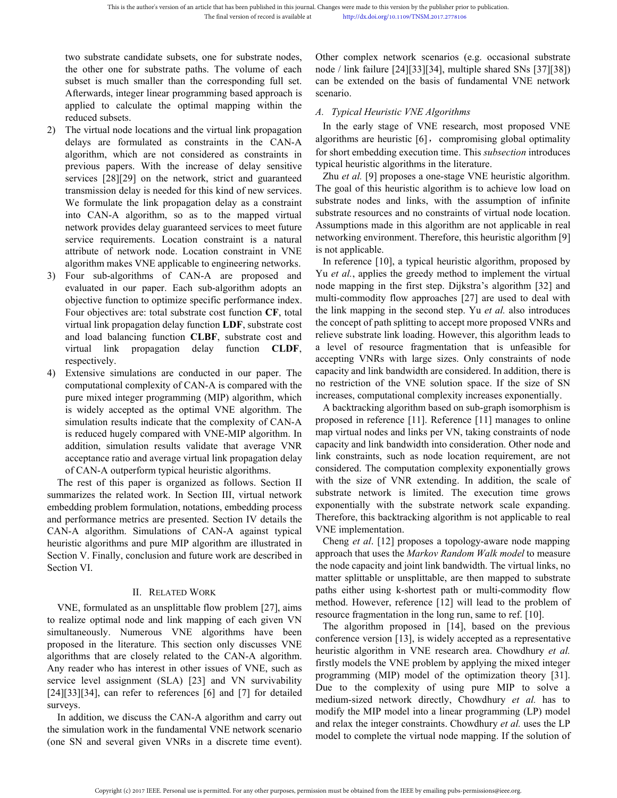This is the author's version of an article that has been published in this journal. Changes were made to this version by the p<br>
The final version of record is available at http://dx.doi.org/10.1109/TNSM.<br>
The final version This is the author's version of an article that has been published in this journal. Changes were made to this version by the pub<br>The final version of record is available at http://dx.doi.org/10.1109/TNSM.201<br>two substrate This is the author's version of an article that has been published in this journal. Changes were made to this version by the publis<br>
The final version of record is available at<br>
the published in the published in the publis This is the author's version of an article that has been published in this journal. Changes were made to this version by the publishe<br>
The final version of record is available at<br>
the philophore integer linear programming This is the author's version of an article that has been published in this journal. Changes were made to this version by the publis<br>
The final version of record is available at<br>
the polytoperation of record is available a This is the author's version of an article that has been pu<br>
The final version of<br>
The final version of<br>
The final version of<br>
two substrate candidate subsets, one for subst<br>
the other one for substrate paths. The volum<br>
s This is the author's version of an article that has been published in this journal. Changes were made to this version<br>
2) The final version of record is available at<br>
two substrate candidate subsets, one for substrate nod This is the author's version of an article that has been published in this journal. Changes were made to this version by the published in the published as constraints in the publication of record is available at the publi

- This is the author's version of an article that has been published in this journal. Changes were made to this version by the published The final version of record is available at the period in the final version of record The tinal version of record is available at http://dx.dol.org/10.1109/TNs<br>two substrate candidate subsets, one for substrate nodes, Other complex network is<br>the other one for substrate paths. The volume of each node/link two substrate candidate subsets, one for substrate nodes, Other complex networt<br>the other one for substrate paths. The volume of each node / link failure [24][<br>subset is much smaller than the corresponding full set. can b two substrate candidate subsets, one for substrate nodes, Other complex network the other one for substrate paths. The volume of each node / link failure [24][33] subset is much smaller than the corresponding full set. ca two substrate candidate subsets, one for substrate nodes, Other complex network<br>the other one for substrate paths. The volume of each node / link failure [24][3]<br>subset is much smaller than the corresponding full set. can the other one for substrate paths. The volume of each node / link failure [24][33]]<br>
subset is much smaller than the corresponding full set. can be extended on the base<br>
Afterwards, integer linear programming based approa subset is much smaller than the corresponding full set.<br>
Afterwards, integer linear programming based approach is<br>
scenario.<br>
applied to calculate the optimal mapping within the<br>
reduced subsets.<br>
The virtual node locatio Afterwards, integer linear programming based approach is<br>
secreatio.<br>
applied to calculate the optimal mapping within the<br>
reduced subsets.<br>
The virtual linde locations and the virtual link propagation<br>
In the early stage applied to calculate the optimal mapping within the<br>
reduced subsets.<br>
The virtual node locations and the virtual link propagation In the early stage of VNE<br>
The virtual node locations and the virtual link propagation In reduced subsets.<br>
The virtual note locations and the virtual link propagation and the carly stage of<br>
delays are formulated as constraints in the CAN-A algorithm we<br>
algorithm, which are not considered as constraints in f 2) The virtual node locations and the virtual link propagation<br>
algorithms or short embedding execution<br>
delays are formulated as constraints in the CAN-A algorithms are heuristic [6], c<br>
algorithms in the meroids are con delays are formulated as constraints in the CAN-A algorithms are heuristic [6], co<br>algorithm, which are not considered as constraints in for short embedding execution tin<br>previous papers. With the increase of delay sensit algorithm, which are not considered as constraints in for short embedding execution<br>previous papers. With the increase of delay sensitive typical heuristic algorithms in<br>services [28][29] on the network, strict and guaran previous papers. With the increase of delay sensitive typical heuristic algorithms in services [28][29] on the network, strict and guaranteed Zhu *et al.* [9] proposes a one transmission delay is needed for this kind of n services [28][29] on the network, strict and guaranteed<br>transmission delay is needed for this kind of new services. The goal of this heuristic algo:<br>We formulate the link propagation delay as a constraint substrate nodes
- transmission delay is needed for this kind of new services. The goal of this heuristic algot<br>We formulate the link propagation delay as a constraint substrate nodes and links, wi<br>into CAN-A algorithm, so as to the mapped We formulate the link propagation delay as a constraint substrate nodes<br>into CAN-A algorithm, so as to the mapped virtual substrate resoure<br>network provides delay guaranteed services to meet future Assumptions maservice r network provides delay guaranteed services to meet future Assumptions made in this algo<br>service requirements. Location constraint in VNE is not applicable.<br>Algorithm makes VNE applicable to engineering networks. In refere service requirements. Location constraint is a natural networking environment. Theref<br>attribute of network node. Location constraint in VNE is not applicable.<br>Il appriment makes VNE applicable to engineering networks. In r attribute of network node. Location constraint in VNE is not applicable.<br>
algorithm makes VNE applicable to engineering networks. In reference [10], a typical<br>
Four sub-algorithms of CAN-A are proposed and Yu et al., appli algorithm makes VNE applicable to engineering networks. In reference [10], a typical h<br>
Four sub-algorithms of CAN-A are proposed and Yu *et al.*, applies the greedy n<br>
evaluated in our paper. Each sub-algorithm adopts an<br>
- Four sub-algorithms of CAN-A are proposed and Yu *et al.*, applies the greedy revaluated in our paper. Each sub-algorithm adopts an ode mapping in the first step objective function to optimize specific performance index. evaluated in our paper. Each sub-algorithm adopts an node mapping in the first step.<br>
objective function to optimize specific performance index. multi-commodity flow approach<br>
Four objectives are: total substrate cost func objective function to optimize specific performance index. multi-commodity flow approx<br>
Four objectives are: total substrate cost function CF, total the link mapping in the second<br>
virtual link propagation clares that subs Four objectives are: total substrate cost function CF, total<br>
the link mapping in the second<br>
virtual link propagation delay function LDF, substrate cost and<br>
relieve substrate ink loading<br>
and load balancing function CLBF virtual link propagation delay function LDF, substrate cost<br>
and load balancing function CLBF, substrate cost and<br>
virtual link propagation delay function CLDF, a level of res<br>
respectively.<br>
Extensive simulations are cond and load balancing function **CLBF**, substrate cost and relieve substrate link loading. Ho<br>virtual link propagation delay function **CLDF**, a level of resource fragmenta<br>respectively.<br>Extensive simulations are conducted in virtual link propagation delay function **CLDF**, a level of resource frage respectively.<br>
4) Extensive simulations are conducted in our paper. The capacity and link bandwidt<br>
computational complexity of CAN-A is compared w respectively.<br>
4) Extensive simulations are conducted in our paper. The capacity and link bandwidth<br>
computational complexity of CAN-A is compared with the town<br>
pure mixed integer programming (MIP) algorithm, which incre 4) Extensive simulations are conducted in our paper. The capacity and link bandwidth are computational complexity of CAN-A is compared with the no restriction of the VNE solution in the simulation results indicate that th

computational complexity of CAN-A is compared with the<br>pure mixed integer programming (MIP) algorithm, which<br>increases, computational cor<br>is widely accepted as the optimal VNE algorithm. The<br>simulation results indicate th pure mixed integer programming (MIP) algorithm, which<br>
is widely accepted as the optimal VNE algorithm. The<br>
simulation results indicate that the complexity of CAN-A<br>
is reduced hugely compared with VNE-MIP algorithm. In is widely accepted as the optimal VNE algorithm. The Abacktracking algorithm based<br>
simulation results indicate that the complexity of CAN-A proposed in reference [11]. Reference the acceptance and werage virtual link pro simulation results indicate that the compl<br>is reduced hugely compared with VNE-M<br>addition, simulation results validate tha<br>acceptance ratio and average virtual link p<br>of CAN-A outperform typical heuristic alg<br>The rest of t ion results validate that average VNR cannot and average virtual link propagation delay<br>
II. From typical heuristic algorithms.<br>
interform typical heuristic algorithms.<br>
interform typical heuristic algorithms.<br>
interform I acceptance ratio and average virtual link propagation delay<br>
of CAN-A outerform typical heuristic algorithms.<br>
The rest of this paper is organized as follows. Section II with the size of VNR exten<br>
manarizes the related wo of CAN-A outperform typical heuristic algorithms.<br>
The rest of this paper is organized as follows. Section II with the size of VNR extend<br>
summarizes the related work. In Section III, virtual network substrate network is l The rest of this paper is organized as follows. Section II with the size of vive such<br>summarizes the related work. In Section III, virtual network is limited<br>embedding problem formulation, notations, embedding process and

summarizes the related work. In Section III, virtual network substrate relivers in more and performance metrics are presented. Section IV details the Therefore, this backtracking a cAN-A algorithm Simulations of CAN-A agai embedding problem formulation, notations, embedding process<br>and performance metrics are presented. Section IV details the<br>CAN-A algorithm. Simulations of CAN-A against typical<br>heuristic algorithms and pure MIP algorithm ar and performance metrics are presented. Section IV details the<br>
CAN-A agreement (NNE implementation.<br>
CAN-A agreement typical<br>
NNE implementation.<br>
heuristic algorithms and pure MIP algorithm are illustrated in<br>
Section V. CAN-A algorithm. Simulations of CAN-A against typical<br>
beuristic algorithms and pure MIP algorithm are illustrated in<br>
Section V. Finally, conclusion and future work are described in<br>  $\begin{array}{ll}\n\text{The second part is a function of the first term of a function of the first term of a function of the first term of$ meuristic algorithms and pure MIP algorithm are illustrated in Cheing *et al.* [12] proposes exercion V. Finally, conclusion and future work are described in a proposed the node capacity and joint matter splittable or unsp surveys. The mode capacity and joint link the mode capacity and joint link that splittable or unseptittable proposed in the literature. This section only discusses VNE algorithms have been predicte optimal node and link mapping of II. RELATED WORK<br>
II. RELATED WORK<br>
Inalism and the simulation unique serves the contained as an unsplittable flow problem [27], aims<br>
inched. However, referen<br>
to realize optimal node and link mapping of each given VN<br>
in II. RELATED WORK<br>
VNE, formulated as an unsplittable flow problem [27], aims<br>
to realize optimal node and link mapping of each given vNN<br>
is multaneously. Numerous VNE algorithms have been<br>
proposed in the literature. This

Changes were made to this version by the publisher prior to publication.<br>
http://dx.doi.org/10.1109/TNSM.2017.2778106<br>
Other complex network scenarios (e.g. occasional substrate<br>
node / link failure [24][33][34], multiple Changes were made to this version by the publisher prior to publication.<br>
http://dx.doi.org/10.1109/TNSM.2017.2778106<br>
Other complex network scenarios (e.g. occasional substrate<br>
node / link failure [24][33][34], multiple Changes were made to this version by the publisher prior to publication.<br>
http://dx.doi.org/10.1109/TNSM.2017.2778106<br>
Other complex network scenarios (e.g. occasional substrate<br>
node / link failure [24][33][34], multiple scenario. Changes were made to this version by the publisher prior to publication.<br> *http://dx.doi.org/10.1109/TNSM.2017.2778106*<br> **Other complex network scenarios (e.g. occasional substrate**<br>
node / link failure [24][33][34], multi

hanges were made to this version by the publisher prior to publication.<br>
http://dx.doi.org/10.1109/TNSM.2017.2778106<br>
ther complex network scenarios (e.g. occasional substrate<br>
ode / link failure [24][33][34], multiple sha Changes were made to this version by the publisher prior to publication.<br>
http://dx.doi.org/10.1109/TNSM.2017.2778106<br>
Other complex network scenarios (e.g. occasional substrate<br>
node / link failure [24][33][34], multiple Changes were made to this version by the publisher prior to publication.<br>
http://dx.doi.org/10.1109/TNSM.2017.2778106<br>
Other complex network scenarios (e.g. occasional substrate<br>
node / link failure [24][33][34], multiple http://dx.doi.org/10.1109/TNSM.2017.2778106<br>
Other complex network scenarios (e.g. occasional substrate<br>
node / link failure [24][33][34], multiple shared SNs [37][38])<br>
can be extended on the basis of fundamental VNE netw

ther complex network scenarios (e.g. occasional substrate<br>ode / link failure [24][33][34], multiple shared SNs [37][38])<br>un be extended on the basis of fundamental VNE network<br>enario.<br>Typical Heuristic VNE Algorithms<br>In th Other complex network scenarios (e.g. occasional substrate<br>node / link failure [24][33][34], multiple shared SNs [37][38])<br>can be extended on the basis of fundamental VNE network<br>scenario.<br>A. Typical Heuristic VNE Algorith Other complex network scenarios (e.g. occasional substrate<br>node / link failure [24][33][34], multiple shared SNs [37][38])<br>can be extended on the basis of fundamental VNE network<br>scenario.<br>A. Typical Heuristic VNE Algorith node / link failure [24][33][34], multiple shared SNs [37][38])<br>can be extended on the basis of fundamental VNE network<br>scenario.<br>A. Typical Heuristic VNE Algorithms<br>In the early stage of VNE research, most proposed VNE<br>al can be extended on the basis of fundamental VNE network<br>scenario.<br>A. Typical Heuristic VNE Algorithms<br>In the early stage of VNE research, most proposed VNE<br>algorithms are heuristic [6], compromising global optimality<br>for scenario.<br>
A. Typical Heuristic VNE Algorithms<br>
In the early stage of VNE research, most proposed VNE<br>
algorithms are heuristic [6], compromising global optimality<br>
for short embedding execution time. This *subsection* in A. Typical Heuristic VNE Algorithms<br>In the early stage of VNE research, mo<br>algorithms are heuristic [6], compromising<br>for short embedding execution time. This *sult*<br>typical heuristic algorithms in the literature.<br>Zhu *et Iypical Heuristic VNE Algorithms*<br>In the early stage of VNE research, most proposed VNE<br>gorithms are heuristic [6], compromising global optimality<br>r short embedding execution time. This *subsection* introduces<br>pical heur In the early stage of VNE research, most proposed VNE<br>algorithms are heuristic [6], compromising global optimality<br>for short embedding execution time. This *subsection* introduces<br>typical heuristic algorithms in the liter algorithms are heuristic [6], compromising global optimality<br>for short embedding execution time. This *subsection* introduces<br>typical heuristic algorithms in the literature.<br>Zhu *et al.* [9] proposes a one-stage VNE heuri

for short embedding execution time. This *subsection* introduces<br>typical heuristic algorithms in the literature.<br>Zhu *et al.* [9] proposes a one-stage VNE heuristic algorithm.<br>The goal of this heuristic algorithm is to ac typical heuristic algorithms in the literature.<br>
Zhu *et al.* [9] proposes a one-stage VNE heuristic algorithm.<br>
The goal of this heuristic algorithm is to achieve low load on<br>
substrate nodes and links, with the assumptio Zhu *et al.* [9] proposes a one-stage VNE heuristic algorithm.<br>The goal of this heuristic algorithm is to achieve low load on<br>substrate nodes and links, with the assumption of infinite<br>substrate resources and no constrain The goal of this heuristic algorithm is to achieve low load on substrate nodes and links, with the assumption of infinite substrate resources and no constraints of virtual node location. Assumptions made in this algorithm substrate nodes and links, with the assumption of infinite<br>substrate resources and no constraints of virtual node location.<br>Assumptions made in this algorithm are not applicable in real<br>networking environment. Therefore, substrate resources and no constraints of virtual node location.<br>Assumptions made in this algorithm are not applicable in real<br>networking environment. Therefore, this heuristic algorithm [9]<br>is not applicable.<br>In referenc Assumptions made in this algorithm are not applicable in real<br>networking environment. Therefore, this heuristic algorithm [9]<br>is not applicable.<br>In reference [10], a typical heuristic algorithm, proposed by<br>Yu *et al.*, a networking environment. Therefore, this heuristic algorithm [9]<br>is not applicable.<br>In reference [10], a typical heuristic algorithm, proposed by<br>Yu *et al.*, applies the greedy method to implement the virtual<br>node mapping is not applicable.<br>
In reference [10], a typical heuristic algorithm, proposed by<br>
Yu *et al.*, applies the greedy method to implement the virtual<br>
node mapping in the first step. Dijkstra's algorithm [32] and<br>
multi-comm In reference [10], a typical heuristic algorithm, proposed by<br>u *et al.*, applies the greedy method to implement the virtual<br>ode mapping in the first step. Dijkstra's algorithm [32] and<br>ulti-commodity flow approaches [27] Yu *et al.*, applies the greedy method to implement the virtual mode mapping in the first step. Dijkstra's algorithm [32] and multi-commodity flow approaches [27] are used to deal with the link mapping in the second step. mode mapping in the first step. Dijkstra's algorithm [32] and<br>multi-commodity flow approaches [27] are used to deal with<br>the link mapping in the second step. Yu *et al.* also introduces<br>the concept of path splitting to acc multi-commodity flow approaches [27] are used to deal with<br>the link mapping in the second step. Yu *et al.* also introduces<br>the concept of path splitting to accept more proposed VNRs and<br>relieve substrate link loading. How

the link mapping in the second step. Yu *et al.* also introduces<br>the concept of path splitting to accept more proposed VNRs and<br>relieve substrate link loading. However, this algorithm leads to<br>a level of resource fragmenta the concept of path splitting to accept more proposed VNRs and<br>relieve substrate link loading. However, this algorithm leads to<br>a level of resource fragmentation that is unfeasible for<br>accepting VNRs with large sizes. Only relieve substrate link loading. However, this algorithm leads to<br>a level of resource fragmentation that is unfeasible for<br>accepting VNRs with large sizes. Only constraints of node<br>capacity and link bandwidth are considered a level of resource fragmentation that is unfeasible for accepting VNRs with large sizes. Only constraints of node capacity and link bandwidth are considered. In addition, there is no restriction of the VNE solution space. accepting VNRs with large sizes. Only constraints of node<br>capacity and link bandwidth are considered. In addition, there is<br>no restriction of the VNE solution space. If the size of SN<br>increases, computational complexity i capacity and link bandwidth are considered. In addition, there is<br>no restriction of the VNE solution space. If the size of SN<br>increases, computational complexity increases exponentially.<br>A backtracking algorithm based on no restriction of the VNE solution space.<br>increases, computational complexity increas<br>A backtracking algorithm based on sub-gra<br>proposed in reference [11]. Reference [11]<br>map virtual nodes and links per VN, taking a<br>capac creases, computational complexity increases exponentially.<br>A backtracking algorithm based on sub-graph isomorphism is<br>oposed in reference [11]. Reference [11] manages to online<br>ap virtual nodes and links per VN, taking con A backtracking algorithm based on sub-graph isomorphism is<br>proposed in reference [11]. Reference [11] manages to online<br>map virtual nodes and links per VN, taking constraints of node<br>capacity and link bandwidth into consid proposed in reference [11]. Reference [11] manages to online<br>map virtual nodes and links per VN, taking constraints of node<br>capacity and link bandwidth into consideration. Other node and<br>link constraints, such as node loca map virtual nodes and links per VN, taking constraints of node<br>capacity and link bandwidth into consideration. Other node and<br>link constraints, such as node location requirement, are not<br>considered. The computation comple capacity and link bandwidth into consideration. Other node and<br>link constraints, such as node location requirement, are not<br>considered. The computation complexity exponentially grows<br>with the size of VNR extending. In add link constraints, such as node location requirement, are not considered. The computation complexity exponentially grows with the size of VNR extending. In addition, the scale of substrate network is limited. The execution

considered. The computation complexity exponentially grows<br>with the size of VNR extending. In addition, the scale of<br>substrate network is limited. The execution time grows<br>exponentially with the substrate network scale ex ith the size of VNR extending. In addition, the scale of bbstrate network is limited. The execution time grows ponentially with the substrate network scale expanding. herefore, this backtracking algorithm is not applicabl substrate network is limited. The execution time grows<br>exponentially with the substrate network scale expanding.<br>Therefore, this backtracking algorithm is not applicable to real<br>VNE implementation.<br>Cheng *et al.* [12] pro exponentially with the substrate network scale expanding.<br>Therefore, this backtracking algorithm is not applicable to real<br>VNE implementation.<br>Cheng *et al.* [12] proposes a topology-aware node mapping<br>approach that uses t

Therefore, this backtracking algorithm is not applicable to real<br>VNE implementation.<br>Cheng *et al.* [12] proposes a topology-aware node mapping<br>approach that uses the *Markov Random Walk model* to measure<br>the node capacit VNE implementation.<br>
Cheng *et al.* [12] proposes a topology-aware node mapping<br>
approach that uses the *Markov Random Walk model* to measure<br>
the node capacity and joint link bandwidth. The virtual links, no<br>
matter spli Cheng *et al.* [12] proposes a topology-aware node mapping<br>approach that uses the *Markov Random Walk model* to measure<br>the node capacity and joint link bandwidth. The virtual links, no<br>matter splittable or unsplittable, approach that uses the *Markov Random Walk model* to measure the node capacity and joint link bandwidth. The virtual links, no matter splittable or unsplittable, are then mapped to substrate paths either using k-shortest p the node capacity and joint link bandwidth. The virtual links, no<br>matter splittable or unsplittable, are then mapped to substrate<br>paths either using k-shortest path or multi-commodity flow<br>method. However, reference [12] matter splittable or unsplittable, are then mapped to substrate<br>paths either using k-shortest path or multi-commodity flow<br>method. However, reference [12] will lead to the problem of<br>resource fragmentation in the long run, paths either using k-shortest path or multi-commodity flow<br>method. However, reference [12] will lead to the problem of<br>resource fragmentation in the long run, same to ref. [10].<br>The algorithm proposed in [14], based on th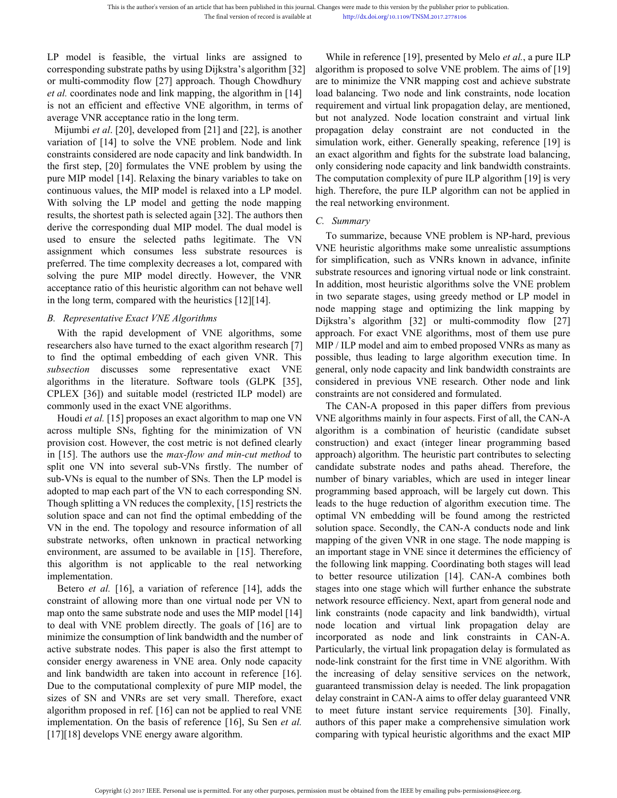This is the author's version of an article that has been published in this journal. Changes were made to this version by the publisher The final version of record is available at the publisher the publisher and the final v This is the author's version of an article that has been published in this journal. Changes were made to this version by the publisher and the final version of record is available at http://dx.doi.org/10.1109/TNSM.2017.<br>
L This is the author's version of an article that has been published in this journal. Changes were made to this version<br>
The final version of record is available at<br>
LP model is feasible, the virtual links are assigned to Wh This is the author's version of an article that has been published in this journal. Changes were made to this version by the published and link mapping, the final version of record is available at http://dx.doi.org/10.1109 This is the author's version of an article that has been published in this journal. Changes were made to this version by the published The final version of record is available at http://dx.doi.org/10.1109/TNSM.2017.2:<br>
LP This is the author's version of an article that has been published in this journal. Changes were made the red in the final version of record is available at the public in red corresponding substrate paths by using Dijkstr This is the author's version of an article that has been published in this journal. Changes were made to this version by the The final version of record is available at the public of the conditional of the conditional of t This is the author's version of an article that has been published in this journal. Changes were made to this version by the publism in the final version of record is available at the publism of the VIV and the VIV and the

This is the author's version of an article that has been published in this journal. Changes were made to this version by the publishes The final version of record is available at the thermal interpolation of record is ava The final version of record is available at http://dx.doi.org/10.1109/TNSM.2017.<br>
LP model is feasible, the virtual links are assigned to While in reference [19], prese<br>
corresponding substrate paths by using Dijkstra's a LP model is feasible, the virtual links are assigned to While in reference [19], preser corresponding substrate paths by using Dijkstra's algorithm [32] algorithm is proposed to solve V or multi-commodity flow [27] approa LP model is feasible, the virtual links are assigned to While in reference [19], p corresponding substrate paths by using Dijkstra's algorithm [32] algorithm is proposed to solor multi-commodity flow [27] approach. Though LP model is feasible, the virtual links are assigned to While in reference [19], corresponding substrate paths by using Dijkstra's algorithm [32] algorithm is proposed to so r multi-commodity flow [27] approach. Though Ch corresponding substrate paths by using Dijkstra's algorithm [32] algorithm is proposed to solve<br>or multi-commodity flow [27] approach. Though Chowdhury are to minimize the VNR map<br>*et al.* coordinates node and link mappin or multi-commodity flow [27] approach. Though Chowdhury are to minimize the VNR mappin<br> *et al.* coordinates node and link mapping, the algorithm in [14] load balancing. Two node and lis<br>
is not an efficient and effective *et al.* coordinates node and link mapping, the algorithm in [14] load balancing. Two node and<br>is not an efficient and effective VNE algorithm, in terms of requirement and virtual link pro<br>average VNR acceptance ratio in is not an efficient and effective VNE algorithm, in terms of requirement and virtual link prop<br>
Mixmoire da. [20], developed from [21] and [22], is another propagation delay constraint variation of [14] to solve the VNE p average VNR acceptance ratio in the long term.<br>
but not analyzed. Node locat<br>
Mijumbi et al. [20], developed from [21] and [22], is another<br>
variation of [14] to solve the VNE problem. Node and link<br>
is simulation work, e Mijumbi *et al.* [20], developed from [21] and [22], is another propagation delay constrained variation of [14] to solve the VNE problem. Node and link simulation work, either. Geneonstraints considered are node capacity variation of [14] to solve the VNE problem. Node and link simulation work, either. Gener<br>constraints considered are node capacity and link bandwidth. In an exact algorithm and fights the<br>pure MIP model [14]. Relaxing the constraints considered are node capacity and link bandwidth. In<br>the first step, [20] formulates the VNE problem by using the<br>ordinuous values, the MIP model is relaxed into a LP model in the ordinuous values, the MIP mode *B. Representative Exact VNE Algorithms* and the exact algorithms when the policial is related into a LP model. higeominous values, the MIP model and getting the node mapping wersults, the shortest path is selected again [ In addition, the rapid development of VNE algorithms, some interest with solving the rapid development of UNE algorithms and the rapid development of the rapid development of the rapid development of the rapid development With solving the LP model and getting the node mapping<br>
results, the shortest path is selected again [32]. The authors then<br>
derive the corresponding dual MIP model. The dual model is<br>
c. Summary<br>
derive the corresponding The algorithms<br>
Figure 12 and the selected pain and MIP model. The dual model is<br>
used to ensure the selected paths legitimate. The VN<br>
used to ensure the selected paths legitimate. The VN<br>
used to ensure the selected path *subsection* discusses some representative exact VNE algorithms in the line and suitable in the selected paths legitimate. The VN To summarize, because VN used to ensure the selected paths legitimate. The VN assignment whi

algorithms in the literature. Software tools (GLPK [35], and expect to most enter the selected paths legitimate. The VN assignment which consumes less substrate resources is procedure. The time complexity decreases a lot, assignment which consumes less substrate resources is<br>
preferred. The time complexity decreases a lot, compared with for simplification, such as VNI<br>
solving the pure MIP model directly. However, the VNR substrate resource preferred. The time complexity decreases a lot, compared with<br>solving the pure MIP model directly. However, the VNR<br>substrateceptance ratio of this heuristic algorithm can not behave well<br>in the long term, compared with th From the mean variety and the proposed in the two separate the maximum of this neutron of this heuristic algorithm can not behave well anddition, most heuristic algorithm ceptance ratio of this heuristic algorithm can not Example and of this heuristic algorithm can not behave well<br>acceptance ratio of this heuristic algorithms and orchane and orchane stages, using  $\beta$ <br>and orchane ratio of this heuristic algorithms<br>B. Representative Exact V in the long term, compared with the heuristics [12][14]. The two separate stages, usin node mapping stage and lightstra's algorithms with the rapid development of VNE algorithms, some approach. For exact VNE are a subsect

in a Representative Exact VNE Algorithms<br>
With the rapid evelopment of VNE algorithms, some<br>
researchers also have turned to the exact algorithm research [7] MIP/ILP model and aim<br>
to find the optimal embedding of each giv B. Representative Exact VNE Algorithms<br>
With the rapid development of VNE algorithms, some<br>
researchers also have turned to the exact dgorithm research [7] MP/ILP model and aim to embed<br>
to find the optimal embedding of e With the rapid development of VNE algorithms, some approach. For exact VNE algority<br>researchers also have turned to the exact algorithm research [7] MIP/ILP model and aim to embe<br>to find the optimal embedding of each give researchers also have turned to the exact algorithm research [7] MIP / ILP model and aim to em<br>to find the optimal embedding of each given VNR. This possible, thus leading to large<br>subsection discusses some representative to find the optimal embedding of each given VNR. This possible, thus leading to large *subsection* discusses some representative exact VNE general, only node capacity and glorithms in the literature. Software tools (GLPK subsection discusses some representative exact VNE general, only node capacity and<br>algorithms in the literature. Software tools (GLPK [35], considered in previous VNE r<br>CPLEX [36]) and suitable model (restricted LP model) algorithms in the literature. Software tools (GLPK [35], considered in previous VNE rc CPLEX [36]) and suitable model (restricted ILP model) are constraints are not considered an commonly used in this exact VNE algorithm t CPLEX [36]) and suitable model (restricted ILP model) are constraints are not consi<br>commonly used in the exact VNE algorithms. The CAN-A propose<br>Houdi *et al.* [15] proposes an exact algorithm to map one VN algorithm is a commonly used in the exact VNE algorithms. The CAN-A proposed<br>
Houdi et al. [15] proposes an exact algorithm to map one VN WVE algorithms mainly i<br>
across multiple SNs, fighting for the minimization of VN algorithm is a c Houdi *et al.* [15] proposes an exact algorithm to map one VN VNE algorithms mainly<br>across multiple SNs, fighting for the minimization of VN algorithm is a combi<br>provision cost. However, the cost metric is not defined cle implementation. orision cost. However, the cost metric is not defined clearly construction) and exact (integ<br>[15]. The authors use the *max-flow and min-cut method* to approach) algorithm. The heuris<br>lit one VN into several sub-VNs firstl in [15]. The authors use the *max-flow and min-cut method* to approach) algorithm. The heurists plit one VN is is equal to the number of SNs. Then the LP model is number of SNs and sub-VNs in the allowing variables, whis split one VN into several sub-VNs firstly. The number of candidate substrate nodes ansub-VNs is equal to the number of SNs. Then the LP model is number of binary variables, we adopted to map each part of the VN to each co sub-VNs is equal to the number of SNs. Then the LP model is<br>adopted to map each part of the VN to each corresponding SN. programming based approach, w<br>Though splitting a VN reduces the complexity, [15] restricts the leads

Though splitting a VN reduces the complexity, [15] restricts the leads to the huge reduction of a<br>solution space and can not find the optimal embedding of the optimal VN embedding will be<br>VN in the end. The topology and r solution space and can not find the optimal embedding of the optimal VN embedding v<br>VN in the end. The topology and resource information of all solution space. Secondly, t<br>substrate networks, often unknown in practical net VN in the end. The topology and resource information of all solution space. Secondly, the substrate networks, often unknown in practical networking mapping of the given VNR in environment, are assumed to be available in [ substrate networks, often unknown in practical networking mapping of the given VNR in o<br>environment, are assumed to be available in [15]. Therefore, an important stage in VNE since<br>this algorithm is not applicable to the environment, are assumed to be available in [15]. Therefore, an important stage in VNE sir<br>this algorithm is not applicable to the real networking the following link mapping. C<br>implementation.<br>In Betroce et al. [16], a va this algorithm is not applicable to the real networking the following link mapping. Complementation.<br>
to better resource utilization<br>
constraint of all (16), a variation of reference [14], adds the stages into one stage w implementation. to better resource utilization [<br>Betero *et al.* [16], a variation of reference [14], adds the stages into one stage which will<br>constraint of allowing more than one virtual node per VN to network resource e Betero *et al.* [16], a variation of reference [14], adds the stages intconstraint of allowing more than one virtual node per VN to network remap onto the same substrate node and uses the MIP model [14] link constraint to

anges were made to this version by the publisher prior to publication.<br>
http://dx.doi.org/10.1109/TNSM.2017.2778106<br>
While in reference [19], presented by Melo *et al.*, a pure ILP<br>
gorithm is proposed to solve VNE problem Changes were made to this version by the publisher prior to publication.<br>
http://dx.doi.org/10.1109/TNSM.2017.2778106<br>
While in reference [19], presented by Melo *et al.*, a pure ILP<br>
algorithm is proposed to solve VNE pro Changes were made to this version by the publisher prior to publication.<br>
http://dx.doi.org/10.1109/TNSM.2017.2778106<br>
While in reference [19], presented by Melo *et al.*, a pure ILP<br>
algorithm is proposed to solve VNE pro Changes were made to this version by the publisher prior to publication.<br>
http://dx.doi.org/10.1109/TNSM.2017.2778106<br>
While in reference [19], presented by Melo *et al.*, a pure ILP<br>
algorithm is proposed to solve VNE pr Changes were made to this version by the publisher prior to publication.<br>
http://dx.doi.org/10.1109/TNSM.2017.2778106<br>
While in reference [19], presented by Melo *et al.*, a pure ILP<br>
algorithm is proposed to solve VNE pro Changes were made to this version by the publisher prior to publication.<br>
http://dx.doi.org/10.1109/TNSM.2017.2778106<br>
While in reference [19], presented by Melo *et al.*, a pure ILP<br>
algorithm is proposed to solve VNE pro Changes were made to this version by the publisher prior to publication.<br>
http://dx.doi.org/10.1109/TNSM.2017.2778106<br>
While in reference [19], presented by Melo *et al.*, a pure ILP<br>
algorithm is proposed to solve VNE pr Changes were made to this version by the publisher prior to publication.<br>
http://dx.doi.org/10.1109/TNSM.2017.2778106<br>
While in reference [19], presented by Melo *et al.*, a pure ILP<br>
algorithm is proposed to solve VNE pr Changes were made to this version by the publisher prior to publication.<br>
http://dx.doi.org/10.1109/TNSM.2017.2778106<br>
While in reference [19], presented by Melo *et al.*, a pure ILP<br>
algorithm is proposed to solve VNE pr http://dx.doi.org/10.1109/TNSM.2017.2778106<br>
While in reference [19], presented by Melo *et al.*, a pure ILP<br>
algorithm is proposed to solve VNE problem. The aims of [19]<br>
are to minimize the VNR mapping cost and achieve s While in reference [19], presented by Melo *et al.*, a pure ILP algorithm is proposed to solve VNE problem. The aims of [19] are to minimize the VNR mapping cost and achieve substrate load balancing. Two node and link con While in reference [19], presented by Melo *et al.*, a pure ILP<br>algorithm is proposed to solve VNE problem. The aims of [19]<br>are to minimize the VNR mapping cost and achieve substrate<br>load balancing. Two node and link cons While in reference [19], presented by Melo *et al.*, a pure<br>algorithm is proposed to solve VNE problem. The aims of<br>are to minimize the VNR mapping cost and achieve subs<br>load balancing. Two node and link constraints, node *C.* Summarize, because VNE problem and propositions are to minimize the VNR mapping cost as load balancing. Two node and link constrated in the requirement and virtual link propagation dbut not analyzed. Node location con designal metallies. Two note and link constraints, node location<br>quirement and virtual link propagation delay, are mentioned,<br>t not analyzed. Node location constraint and virtual link<br>pagation delay constraint are not cond requirement and virtual link propagation delay, are mentioned,<br>but not analyzed. Node location constraint and virtual link<br>propagation delay constraint are not conducted in the<br>simulation work, either. Generally speaking, For simplification, such as VNRs known in advance, infinite substrate resolution work, either. Generally speaking, reference [19] is an exact algorithm and fights for the substrate load balancing, only considering node cap

propagation delay constraint are not conducted in the<br>simulation work, either. Generally speaking, reference [19] is<br>an exact algorithm and fights for the substrate load balancing,<br>only considering node capacity and link b Fruction, which is entired to the substrate [19] is<br>simulation work, either. Generally speaking, reference [19] is<br>an exact algorithm and fights for the substrate load balancing,<br>only considering node capacity and link ba an exact algorithm and fights for the substrate load balancing,<br>an exact algorithm and fights for the substrate load balancing,<br>only considering node capacity and link bandwidth constraints.<br>The computation complexity of p not provide mapping and computation and interest and the proposedering node capacity and link bandwidth constraints.<br>The computation complexity of pure ILP algorithm [19] is very high. Therefore, the pure ILP algorithm can The computation complexity of pure ILP algorithm [19] is very<br>The computation complexity of pure ILP algorithm [19] is very<br>high. Therefore, the pure ILP algorithm can not be applied in<br>the real networking environment.<br>C. bigh. Therefore, the pure ILP algorithm can not be applied in<br>the real networking environment.<br>C. Summary<br>To summarize, because VNE problem is NP-hard, previous<br>VNE heuristic algorithms make some unrealistic assumptions<br>to the real networking environment.<br>
C. *Summary*<br>
To summarize, because VNE problem is NP-hard, previous<br>
VNE heuristic algorithms make some unrealistic assumptions<br>
for simplification, such as VNRs known in advance, infinit *C. Summary*<br> *C. Summary*<br>
To summarize, because VNE problem is NP-hard, previous<br>
VNE heuristic algorithms make some unrealistic assumptions<br>
for simplification, such as VNRs known in advance, infinite<br>
substrate resourc C. Summary<br>To summarize, because VNE problem is NP-hard, previous<br>VNE heuristic algorithms make some unrealistic assumptions<br>for simplification, such as VNRs known in advance, infinite<br>substrate resources and ignoring vir To summarize, because VNE problem is NP-hard, previous<br>VNE heuristic algorithms make some unrealistic assumptions<br>for simplification, such as VNRs known in advance, infinite<br>substrate resources and ignoring virtual node or VNE heuristic algorithms make some unrealistic assumptions<br>for simplification, such as VNRs known in advance, infinite<br>substrate resources and ignoring virtual node or link constraint.<br>In addition, most heuristic algorithm Tre implification, such as VNRs known in advance, infinite<br>bstrate resources and ignoring virtual node or link constraint.<br>addition, most heuristic algorithms solve the VNE problem<br>two separate stages, using greedy method substrate resources and ignoring virtual node or link constraint.<br>In addition, most heuristic algorithms solve the VNE problem<br>in two separate stages, using greedy method or LP model in<br>node mapping stage and optimizing th In addition, most heuristic algorithms solve the VNE problem<br>in two separate stages, using greedy method or LP model in<br>node mapping stage and optimizing the link mapping by<br>Dijkstra's algorithm [32] or multi-commodity flo in two separate stages, using greedy method or LP model in<br>node mapping stage and optimizing the link mapping by<br>Dijkstra's algorithm [32] or multi-commodity flow [27]<br>approach. For exact VNE algorithms, most of them use p

adopted to map each part of the VN to each corresponding SN. programming based approach, w<br>Though splitting a VN reduces the complexity, [15] restricts the leads to the huge reduction of a<br>solution space and can not find t node mapping stage and optimizing the link mapping by Dijkstra's algorithm [32] or multi-commodity flow [27] approach. For exact VNE algorithms, most of them use pure MIP / ILP model and aim to embed proposed VNRs as many Dijkstra's algorithm [32] or multi-commodity flow [27]<br>approach. For exact VNE algorithms, most of them use pure<br>MIP/ILP model and aim to embed proposed VNRs as many as<br>possible, thus leading to large algorithm execution t approach. For exact VNE algorithms, most of them use pure MIP / ILP model and aim to embed proposed VNRs as many as possible, thus leading to large algorithm execution time. In general, only node capacity and link bandwidt MIP / ILP model and aim to embed proposed VNRs as many as possible, thus leading to large algorithm execution time. In general, only node capacity and link bandwidth constraints are considered in previous VNE research. Oth possible, thus leading to large algorithm execution time. In general, only node capacity and link bandwidth constraints are considered in previous VNE research. Other node and link constraints are not considered and formul general, only node capacity and link bandwidth constraints are considered in previous VNE research. Other node and link constraints are not considered and formulated.<br>The CAN-A proposed in this paper differs from previous considered in previous VNE research. Other node and link<br>constraints are not considered and formulated.<br>The CAN-A proposed in this paper differs from previous<br>VNE algorithms mainly in four aspects. First of all, the CAN-A<br> constraints are not considered and formulated.<br>The CAN-A proposed in this paper differs from previous<br>VNE algorithms mainly in four aspects. First of all, the CAN-A<br>algorithm is a combination of heuristic (candidate subset The CAN-A proposed in this paper differs from previous<br>VNE algorithms mainly in four aspects. First of all, the CAN-A<br>algorithm is a combination of heuristic (candidate subset<br>construction) and exact (integer linear progra VNE algorithms mainly in four aspects. First of all, the CAN-A<br>algorithm is a combination of heuristic (candidate subset<br>construction) and exact (integer linear programming based<br>approach) algorithm. The heuristic part con algorithm is a combination of heuristic (candidate subset<br>construction) and exact (integer linear programming based<br>approach) algorithm. The heuristic part contributes to selecting<br>candidate substrate nodes and paths ahead construction) and exact (integer linear programming based<br>approach) algorithm. The heuristic part contributes to selecting<br>candidate substrate nodes and paths ahead. Therefore, the<br>number of binary variables, which are use approach) algorithm. The heuristic part contributes to selecting<br>candidate substrate nodes and paths ahead. Therefore, the<br>number of binary variables, which are used in integer linear<br>programming based approach, will be la candidate substrate nodes and paths ahead. Therefore, the number of binary variables, which are used in integer linear programming based approach, will be largely cut down. This leads to the huge reduction of algorithm exe number of binary variables, which are used in integer linear<br>programming based approach, will be largely cut down. This<br>leads to the huge reduction of algorithm execution time. The<br>optimal VN embedding will be found among programming based approach, will be largely cut down. This<br>leads to the huge reduction of algorithm execution time. The<br>optimal VN embedding will be found among the restricted<br>solution space. Secondly, the CAN-A conducts n leads to the huge reduction of algorithm execution time. The<br>optimal VN embedding will be found among the restricted<br>solution space. Secondly, the CAN-A conducts node and link<br>mapping of the given VNR in one stage. The nod optimal VN embedding will be found among the restricted<br>solution space. Secondly, the CAN-A conducts node and link<br>mapping of the given VNR in one stage. The node mapping is<br>an important stage in VNE since it determines th solution space. Secondly, the CAN-A conducts node and link<br>mapping of the given VNR in one stage. The node mapping is<br>an important stage in VNE since it determines the efficiency of<br>the following link mapping. Coordinating mapping of the given VNR in one stage. The node mapping is<br>an important stage in VNE since it determines the efficiency of<br>the following link mapping. Coordinating both stages will lead<br>to better resource utilization [14]. an important stage in VNE since it determines the efficiency of<br>the following link mapping. Coordinating both stages will lead<br>to better resource utilization [14]. CAN-A combines both<br>stages into one stage which will furth the following link mapping. Coordinating both stages will lead<br>to better resource utilization [14]. CAN-A combines both<br>stages into one stage which will further enhance the substrate<br>network resource efficiency. Next, apar to better resource utilization [14]. CAN-A combines both stages into one stage which will further enhance the substrate network resource efficiency. Next, apart from general node and link constraints (node capacity and lin stages into one stage which will further enhance the substrate<br>network resource efficiency. Next, apart from general node and<br>link constraints (node capacity and link bandwidth), virtual<br>node location and virtual link prop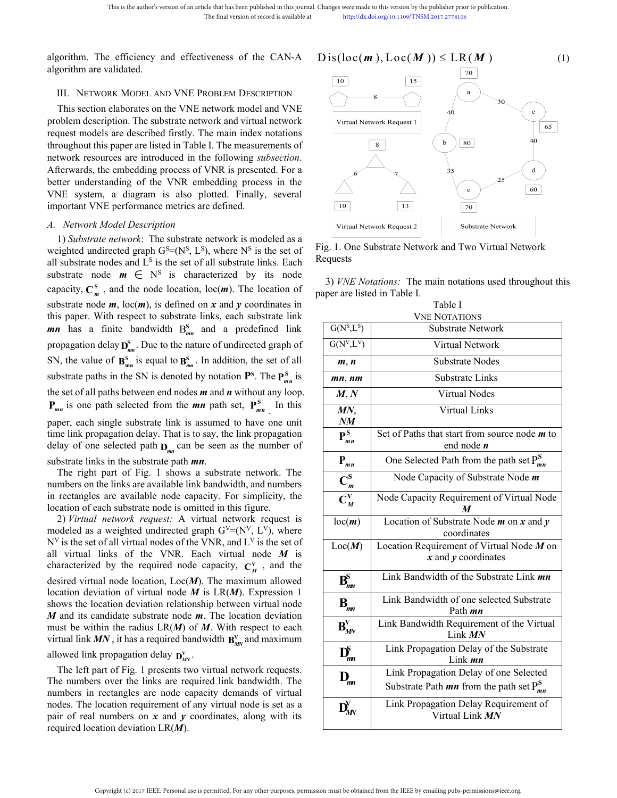This is the author's version of an article that has been pub<br>The final version of 1<br>algorithm. The efficiency and effectiveness of the<br>algorithm are validated.<br>III. NETWORK MODEL AND VNE PROBLEM DESC<br>This section elaborate

This is the author's version of an article that has been published in this journal. Changes were made to this version of an article that be the case of the case of the case of the case of the case of the case of the case o This is the author's version of an article that has been published in this journal. Changes were made to this version by the final version of record is available at http://dx.doi.org/10.1109/TNS|<br>algorithm. The efficiency This is the author's version of an article that has been published in this journal. Changes were made to this version by<br>
The final version of record is available at<br>  $\frac{htpz//dx.do:org/10.1109/TN}{htpz//dx.do:org/10.1109/TN}$ <br> **algori** This is the author's version of an article that has been published in this journal. Changes were made to this version by the publish<br>
The final version of record is available at<br>  $\text{http://dx.do.org/10.1109/TNSM.2017.27}$ <br>
algorithm This is the authors version of an article that has been published in this journal. Changes were made to this version by the publisher The final version of record is available at  $\frac{1}{2}$  http://dx.doi.org/10.1109/TNSM.20 algorithm. The efficiency and effectiveness of the CAN-A  $Dis(loc(m), Loc(M)) \le$ <br>algorithm are validated.<br>III. NETWORK MODEL AND VNE PROBLEM DESCRIPTION<br>This section elaborates on the VNE network model and VNE<br>request modes in the s algorithm. The efficiency and effectiveness of the CAN-A  $Dis(loc(m), Loc(M))$ <br>algorithm are validated.<br>III. NETWORK MODEL AND VNE PROBLEM DESCRIPTION<br>This section elaborates on the VNE network model and VNE<br>problem description. The algorithm. The efficiency and effectiveness of the CAN-A  $\prod_{10}^{10}$ <br>algorithm are validated.<br>III. NETWORK MODEL AND VNE PROBLEM DESCRIPTION<br>This section elaborates on the VNE network model and VNE<br>problem description. T III. NETWORK MODEL AND VNE PROBLEM DESCRIPTIC<br>This section elaborates on the VNE network model and  $\gamma$ <br>problem description. The substrate network and virtual netwequest models are described firstly. The main index nota<br>t III. NETWORK MODEL AND VNE PROBLEM DESCRIPTION<br>
This section elaborates on the VNE network model and VNE<br>
bolem description. The substrate network and virtual network<br>
vorkenest nodes are described firstly. The main index This section elaborates on the VNE network model and VNE<br>problem description. The substrate network and virtual network<br>request models are described firstly. The main index notations<br>throughout this paper are listed in Ta NE network model and VNE<br>
network and virtual network<br>
y. The main index notations<br>
able I. The measurements of<br>
in the following *subsection*.<br>
so f VNR is presented. For a<br>
embedding process in the<br>
polotted. Finally, s This section elaborates on the VFE hetwork instead and vFC<br>problem description. The substrate network and virtual network<br>request models are described firstly. The main index notation<br>throughout this paper are listed in T

provident understanding of the stock of all substrate links, each substrate node *m*, loc(*m*), is defined on *x* and *y* coordinates in this paper. With expect to due and  $m$ , loc(*m*), is defined on *x* and *y* coordina capacity,  $\mathbf{C}_{m}^{s}$ , and the node location, loc(*m*). The location of It this paper are listed in Table I. The measurements of<br>
resources are introduced in the following *subsection*.<br>
S., the embedding process of VNR is presented. For a<br>
derstanding of the VNR embedding process in the<br>
UNE network resources are introduced in the following *subsection*.<br>
Afterwards, the embedding process of VNR is presented. For a<br>
better understanding of the VNR embedding process in the<br>
VNE system, a diagram is also ploted Afterwards, the embedding process of VNR is presented. For a<br>
better understanding of the VNR embedding process in the<br>
VNE system, a diagram is also plotted. Finally, several<br>
important VNE performance metrics are define better understanding of the VNR embedding process in the<br>VNE system, a diagram is also plotted. Finally, several<br>important VNE performance metrics are defined.<br>*A. Network Model Description*<br>1) *Substrate network*: The su *mn* has a finite bandwidth  $B_{mn}^s$  and a predefined link model as a<br>
and the solution of the set of the set of the set of the set of the set of the set of the set of the set of the set of the set of the set of the set of the set of the set of the set of the set of the set of th VNE system, a diagram is also ploted. Final<br>important VNE performance metrics are defined.<br>*A. Network Model Description*<br>1) *Substrate network*: The substrate network is m<br>weighted undirected graph  $G^S = (N^S, L^S)$ , where **S** and the substrate network is modeled as a computed. The substrate network is modeled as a ded graph  $G^S = (N^S, L^S)$ , where  $N^S$  is the set of Fig. 1. One Substrate Network and and  $L^S$  is the set of all substrate li A. Network Model Description<br>1) Substrate network: The substrate network is moveighted undirected graph  $G^S = (N^S, L^S)$ , where  $N^S$  is<br>all substrate nodes and  $L^S$  is the set of all substrate li<br>substrate node  $m \in N^S$  escription<br> *k*: The substrate network is modeled as a<br>
graph  $G^s = (N^s, L^s)$ , where  $N^s$  is the set of<br>  $L^s$  is the set of all substrate links. Each<br>  $\in N^s$  is characterized by its node<br>  $\in N^s$  is characterized by it Solution IV: The Substrate network is modeled as a<br>
Solution, In a set of all substrate links. Each<br>
Sequests<br>
characterized by its node<br>
characterized by its node<br>
characterized by its node<br>
characterized by its node<br>
of Substrate network in the substrate network is modeled as a<br>
weighted undirected graph G<sup>S</sup>=(N<sup>S</sup>, L<sup>S</sup>), where N<sup>S</sup> is the set of Fig. 1. One<br>
weighted undirected graph G<sup>S</sup>=(N<sup>S</sup>, L<sup>S</sup>), where N<sup>S</sup> is the set of Fig. 1. *x* parameterinom: In solution tends and the set of all substrate heats of all substrate hodes and L<sup>S</sup> is the set of all substrate links. Each  $\frac{R}{2}$  Requests substrate nodes and L<sup>S</sup> is the set of all substrate links  $P_{mn}$  is one path selected from the *mn* path set,  $P_{mn}^S$  In this  $MN$   $MN$   $Virtual Lin$ *Substrate metwore.* It is usual tetwor of increased and  $\mathbf{I} \times \mathbf{B}^n$ , where  $\mathbf{N}^{\text{S}}$  is the set of Fig. 1. One Substrate Network is the durinceted graph  $G^{\text{S}} = (\mathbb{N}^{\text{S}}, \mathbb{L}^{\text{S}})$ , where  $\mathbb{N}^{\text{S$ substrate node  $m \in \mathbb{N}^s$  is characterized by its node<br>capacity,  $C_m^s$ , and the node location,  $\log(m)$ . The location of<br>substrate node  $m$ ,  $\log(m)$ , is defined on  $x$  and  $y$  coordinates in<br>this paper. With respect to s capacity,  $C_m^s$ , and the node location, loc(*m*). The location of<br>substrate node *m*, loc(*m*), is defined on *x* and *y* coordinates in<br>this paper are listed in Table<br>this paper. With respect to substrate links, each su substrate node *m*, loc(*m*), is defined on *x* and *y* coordinates in<br>this paper. With respect to substrate links, each substrate lin<br>*mn* has a finite bandwidth  $B_{mn}^s$  and a predefined lin<br>propagation delay  $D_{mn}^s$ . this paper. With respect to substrate links, each substrate link<br> **mn** has a finite bandwidth  $B_{mn}^s$  and a predefined link<br>
propagation delay  $D_{mn}^s$ . Due to the nature of undirected graph of<br>
SN, the value of  $B_{mn}^s$ propagation delay  $\mathbf{D}_{mn}^*$ . Due to the nature of undirected graph of<br>
SN, the value of  $\mathbf{B}_{mn}^s$  is equal to  $\mathbf{B}_{nm}^s$ . In addition, the set of all<br>
substrate paths in the SN is denoted by notation  $\mathbf{P}^s$ . T propagation delay  $\mathbf{J}_{mn}^{\text{max}}$ . Due to the nature of undirected graph of  $Q_N$ ,  $E$   $f$ <br>
SN, the value of  $\mathbf{B}_{mn}^{\text{S}}$  is equal to  $\mathbf{B}_{mn}^{\text{S}}$ . In addition, the set of all  $m, n$  Sun<br>
substrate paths in the SN SN, the value of  $\mathbf{B}_{mn}^s$  is equal to  $\mathbf{B}_{mn}^s$ . In addition, the set of all  $m, n$ <br>
substrate paths in the SN is denoted by notation  $\mathbf{P}^s$ . The  $\mathbf{P}_{mn}^s$  is<br>
the set of all paths between end nodes  $m$  and



| better understanding of the VNR embedding process in the<br>VNE system, a diagram is also plotted. Finally, several                                                                                                  | 10                                                                |                                                         | 25<br>$\mathbf{c}$                                                                              | 60 |
|----------------------------------------------------------------------------------------------------------------------------------------------------------------------------------------------------------------------|-------------------------------------------------------------------|---------------------------------------------------------|-------------------------------------------------------------------------------------------------|----|
| important VNE performance metrics are defined.                                                                                                                                                                       |                                                                   | 13                                                      | 70                                                                                              |    |
| A. Network Model Description<br>1) Substrate network: The substrate network is modeled as a                                                                                                                          |                                                                   | Virtual Network Request 2                               | Substrate Network                                                                               |    |
| weighted undirected graph $G^S = (N^S, L^S)$ , where $N^S$ is the set of<br>all substrate nodes and $Ls$ is the set of all substrate links. Each<br>substrate node $m \in \mathbb{N}^s$ is characterized by its node | Fig. 1. One Substrate Network and Two Virtual Network<br>Requests |                                                         |                                                                                                 |    |
| capacity, $C_m^S$ , and the node location, loc( <i>m</i> ). The location of                                                                                                                                          | paper are listed in Table I.                                      |                                                         | 3) <i>VNE Notations</i> : The main notations used throughout this                               |    |
| substrate node $m$ , loc $(m)$ , is defined on x and y coordinates in<br>this paper. With respect to substrate links, each substrate link                                                                            | Table I<br><b>VNE NOTATIONS</b>                                   |                                                         |                                                                                                 |    |
| <i>mn</i> has a finite bandwidth $B_{mn}^s$ and a predefined link                                                                                                                                                    |                                                                   | G(N <sup>s</sup> ,L <sup>s</sup> )<br>Substrate Network |                                                                                                 |    |
| propagation delay $\mathbf{D}_{mn}^S$ . Due to the nature of undirected graph of                                                                                                                                     | $G(N^V,L^V)$                                                      | Virtual Network                                         |                                                                                                 |    |
| SN, the value of $\mathbf{B}_{mn}^s$ is equal to $\mathbf{B}_{nm}^s$ . In addition, the set of all                                                                                                                   | m, n                                                              | Substrate Nodes                                         |                                                                                                 |    |
| substrate paths in the SN is denoted by notation $\mathbf{P}^{\mathbf{S}}$ . The $\mathbf{P}_{mn}^{\mathbf{S}}$ is                                                                                                   | mn, nm                                                            | <b>Substrate Links</b>                                  |                                                                                                 |    |
| the set of all paths between end nodes $m$ and $n$ without any loop.                                                                                                                                                 | M, N                                                              | Virtual Nodes                                           |                                                                                                 |    |
| $P_{mn}$ is one path selected from the <i>mn</i> path set, $P_{mn}^S$ In this<br>paper, each single substrate link is assumed to have one unit                                                                       | MN,<br>NM                                                         |                                                         | Virtual Links                                                                                   |    |
| time link propagation delay. That is to say, the link propagation<br>delay of one selected path $D_{mn}$ can be seen as the number of                                                                                | $\mathbf{P}_{mn}^{\mathrm{S}}$                                    |                                                         | Set of Paths that start from source node $m$ to<br>end node $n$                                 |    |
| substrate links in the substrate path <i>mn</i> .                                                                                                                                                                    | $P_{mn}$                                                          |                                                         | One Selected Path from the path set $P_{mn}^S$                                                  |    |
| The right part of Fig. 1 shows a substrate network. The<br>numbers on the links are available link bandwidth, and numbers                                                                                            | $\mathbf{C}_m^{\mathbf{S}}$                                       |                                                         | Node Capacity of Substrate Node m                                                               |    |
| in rectangles are available node capacity. For simplicity, the<br>location of each substrate node is omitted in this figure.                                                                                         | $C_M^V$                                                           |                                                         | Node Capacity Requirement of Virtual Node<br>M                                                  |    |
| 2) Virtual network request: A virtual network request is<br>modeled as a weighted undirected graph $G^V=(N^V, L^V)$ , where                                                                                          | loc(m)                                                            |                                                         | Location of Substrate Node $m$ on $x$ and $y$<br>coordinates                                    |    |
| $N^V$ is the set of all virtual nodes of the VNR, and $L^V$ is the set of<br>all virtual links of the VNR. Each virtual node $M$ is<br>characterized by the required node capacity, $C_{\mu}^{V}$ , and the          | Loc(M)                                                            |                                                         | Location Requirement of Virtual Node $M$ on<br>$x$ and $y$ coordinates                          |    |
| desired virtual node location, $Loc(M)$ . The maximum allowed<br>location deviation of virtual node $M$ is $LR(M)$ . Expression 1                                                                                    | $\mathbf{B}_{nm}^{\mathrm{S}}$                                    |                                                         | Link Bandwidth of the Substrate Link mn                                                         |    |
| shows the location deviation relationship between virtual node<br>$M$ and its candidate substrate node $m$ . The location deviation                                                                                  | $B_{mn}$                                                          |                                                         | Link Bandwidth of one selected Substrate<br>Path <i>mn</i>                                      |    |
| must be within the radius $LR(M)$ of M. With respect to each<br>virtual link MN, it has a required bandwidth $B_{\mu\nu}^{V}$ and maximum                                                                            | $B_{MN}^V$                                                        |                                                         | Link Bandwidth Requirement of the Virtual<br>Link MN                                            |    |
| allowed link propagation delay $\mathbf{D}_{\text{av}}^{\text{V}}$ .                                                                                                                                                 | $\mathbf{D}_{nn}^{\mathrm{S}}$                                    |                                                         | Link Propagation Delay of the Substrate<br>Link mn                                              |    |
| The left part of Fig. 1 presents two virtual network requests.<br>The numbers over the links are required link bandwidth. The<br>numbers in rectangles are node capacity demands of virtual                          | $\mathbf{D}_{\!nm}$                                               |                                                         | Link Propagation Delay of one Selected<br>Substrate Path <b>mn</b> from the path set $P_{mn}^S$ |    |
| nodes. The location requirement of any virtual node is set as a<br>pair of real numbers on $x$ and $y$ coordinates, along with its<br>required location deviation $LR(M)$ .                                          | $D_{MN}^V$                                                        |                                                         | Link Propagation Delay Requirement of<br>Virtual Link MN                                        |    |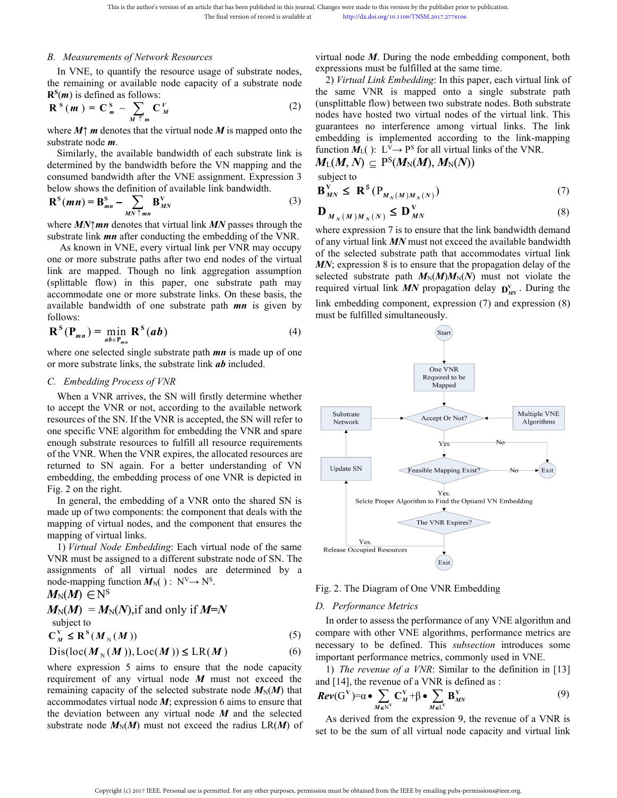This is the author's version of an article that has been published in this journal. Chapter of the final version of record is available at<br> *B. Measurements of Network Resources* vir<br>
In VNE, to quantify the resource usa This is the author's version of an article that has been published in this journal. Changes were made to this version by the photon of record is available at the http://dx.doi.org/10.1109/TNSM.<br>
Measurements of Network Re This is the author's version of an article that has been published in this journal. Changes were made to this version by the published in the final version of record is available at the http://dx.doi.org/10.1109/TNSM.20.<br>  $\mathbf{R}^{\mathbf{S}}(\mathbf{m})$  is defined as follows: This is the author's version of an article that has been published in this journal. Changes were made<br> *Measurements of Network Resources* wittual node *i*<br> *M M M* (*i m* (*x*) is defined as follows:<br> *M*  $\uparrow$  *M* 

$$
\mathbf{R}^{S}(\boldsymbol{m}) = \mathbf{C}_{\boldsymbol{m}}^{S} - \sum_{M \uparrow \boldsymbol{m}} \mathbf{C}_{M}^{V} \tag{2}
$$

This is the author's version of an article that has been published in this journal. Changes were made to the three of the final version of record is available at the published in the published in the published in the publ The final version of record is available at<br>
the prigolatology to 1109/TNSM2017.<br>
B. Measurements of Network Resources<br>
In VNE, to quantify the resource usage of substrate nodes,<br>
the remaining or available node capacity Where *MN* and the section of a substrate hode<br>
where  $M$ <sup>n</sup>  $m$  denotes that the virtual node *M* is mapped on the same VNR is mapped (<br>
where *M1 m* denotes that the virtual node *M* is mapped onto the same VNR is map **Example of the substrate link** *mn* after conducting the models of the substrate particle flow) is defined as follows:<br> **Example 2** and the virtual node *M* is mapped onto the guarantees no interference of the sum-<br>
subs

$$
\mathbf{R}^{S}(mn) = \mathbf{B}_{mn}^{S} - \sum_{MN \uparrow mn} \mathbf{B}_{MN}^{V}
$$
 (3) 
$$
\mathbf{D}_{M_{N}(M)M_{N}(N)} \leq \mathbf{D}_{MN}^{V}
$$

This is the author's version of an article that has been published in this journal. Changes were made to the final version of record is available at<br>
B. Measurements of Network Resources<br>
B. Measurements of Network Resour This is the author's version of an article that has been polisided in this journal. Changes were made to this version by the polisident The final version of record is woulable at the political root of the PMN may between As the second in the virtual ink per VNR may occupy<br>
So the second of the second of the secondary of the secondary of the secondary of the secondary of the secondary of the secondary of the secondary of the secondary of t **Note that the substrate interval in the substrate path and the substrate path after the substrate paths and the more substrate node <b>m**.<br>
Similarly, the available bandwidth of each substrate link is  $\frac{\text{function } M_1(1) \cdot \text{U}$ where  $M_1^*$  m denotes that the virtual node  $M$  is mapped onto the guarantees no interfer<br>substrate node  $m$ .<br>Similarly, the available bandwidth of each substrate link is function  $M_L()$ :  $L^{\vee} \rightarrow P$ <br>determined by the ba where  $M_1$  m accounts that the VINE assignment. Expression 3<br>
substrate in the VINE assignment. Expression 3<br>
subject to<br>
below shows the definition of available bandwidth before the VN mapping and the<br>
below shows the d Similarly, the available bandwidth of each substrate link is function  $\vec{M}_{\text{L}}(Y) \simeq P^S$  for all determined by the bandwidth before the VN mapping and the  $M_{\text{L}}(M, N) \simeq P^S(M_N(M), M)$  consumed bandwidth after the VNE a Summary, are available bandwidth of one substrate in the is given by<br>
determined by the bandwidth before the VN mapping and the<br>
below shows the definition of available link bandwidth.<br>  $\mathbf{B}_{MN}^V \leq \mathbf{R}^s (\mathbf{P}_{M_N}(M)M_N$ follows: *Measurements of Nerwork Resources*<br>
virtual node *M*. During the node m<br>
virtual node *M*. During the node measurements of Nerwork Resources<br>
measurements of a substrate nodes, expressions must be fulfilled at the smooth **P**. Measurements of Network Resources<br>
in VNE, to quantily the resource usage of substrate nodes, expressions must be fulfilled<br>
the remaining or variable hold capacity of a substrate node<br>
the same VNR is mapper<br> **P**<sup>2</sup> *m*  $m = \mathbf{B}_{mn}^S - \sum_{n=1}^{N} \mathbf{B}_{mn}^V$ <br>*m*  $m = \mathbf{B}_{mn}^S - \sum_{M,N \in \mathbb{N}} \mathbf{B}_{MN}^V$ <br>*m*  $m = \mathbf{B}_{mn}^S - \sum_{M,N \in \mathbb{N}} \mathbf{B}_{MN}^V$ <br>*MN*†*mn* denotes that virtual link *MN* passes<br>te link *mn* after conducting the embedding o<br>c **EXACTE SUBSURE SET ALL SET UP AN EXECUTE SUBSEX SUBSEX AND THE SUBSEX SUBSEX SUBSEX AND THE SUBSEX SUBSEX SUBSEX SUBSEX AND MINOR OF THE SUBSEX ONE OF ONE SUBSEX ONE OF THE AND THE SUBSEX ONE OF THE AND THE SUBSEX ONE OF** Where *MN* | *mn* lanks that virtual link *MN* passes through the<br>substrate link *mn* after conducting the embedding of the VNR.<br>As known in VNE, every virtual link per VNR may occupy<br>one or more substrate paths after two substrate link **mn** after conducting the embedding of the VNR.<br>
As known in VNE, every virtual link per VNR may occupy<br>
one or more substrate paths after two end nodes of the virtual<br>
link are mapped. Though no link aggre As known in VNE, every virtual link per VNR may occupy<br>
or the selected substrate p<br>
or more substrate path and the virtual dink agregation assumption<br>  $\frac{M}{N}$ ; expression 8 is to ensubstrate path  $MN$ <br>
celected substrat one or more substrate paths after two end nodes of the virtual<br>
link are mapped. Though no link aggregation assumption<br>
(splittable flow) in this paper, one substrate path may<br>
accommodate one or more substrate links. On

$$
\mathbf{R}^{\mathbf{S}}(\mathbf{P}_{mn}) = \min_{ab \in \mathbf{P}_{mn}} \mathbf{R}^{\mathbf{S}}(ab)
$$
 (4)

(splittable flow) in this paper, one substrate path may<br>
accommodate one or more substrate links. On these basis, the<br>
available bandwidth of one substrate path **mn** is given by<br>
all the modelding component, e<br>
follows:<br> accommodate one or more substrate links. On these basis, the<br>
available bandwidth of one substrate path **mn** is given by link embedding comp<br>
follows:<br>  $\mathbf{R}^s(\mathbf{P}_{mn}) = \min_{ab \in \mathbf{P}_{mn}} \mathbf{R}^s(ab)$  (4)<br>
where one selected s available bandwidth of one substrate path **mn** is given by this emocdang component, exp<br>
follows:<br>  $\mathbf{R}^s(\mathbf{P}_{mn}) = \min_{ab \in \mathbf{P}_{mn}} \mathbf{R}^s(ab)$  (4)<br>
where one selected single substrate path **mn** is made up of one<br>
or more follows:<br> **R**<sup>S</sup> ( $P_{mn}$ ) =  $\lim_{ab \in P_{mn}}$  **R**<sup>S</sup> (ab) (4) (4) (3)<br>
where one selected single substrate path *mn* is made up of one<br>
or more substrate links, the substrate link *ab* included.<br> *C. Embedding Process of VNR*<br> where one selected single substrate path **mn** is mad<br>or more substrate links, the substrate link **ab** include<br>C. Embedding Process of VNR<br>When a VNR arrives, the SN will firstly determi<br>to accept the VNR or not, according When a VNR arrives, the SN will firstly determine who accept the VNR or not, according to the available net resources of the SN. If the VNR is accepted, the SN will re one specific VNE algorithm for embedding the VNR and When a VNR arrives, the SN will intsty determine when<br>
accept the VNR on to, according to the available network<br>
sources of the SN. If the VNR is accepted, the SN will refer to<br>
e specific VNE algorithm for embedding the From the VNR of not, according to the avalable network<br>
resources of the SN. If the VNR is accepted, the SN will refer to<br>
one specific VNE algorithm for embedding the VNR and spare<br>
enough substrate resources to fulfill one specific VNE algorithm for embedding the VNR and spare<br>enough substrate resources to fulfill all resource requirements<br>of the VNR. When the VNR expires, the allocated resources are<br>returned to SN again. For a better u one specific VNE algorithm for embedding the VNR and spare<br>
enough substrate resources to fulfill all resource requirements<br>
of the VNR. When the VNR expires, the allocated resources are<br>
returned to SN again. For a bette

mbedding, the embedding process of one VNR is der<br>ig. 2 on the right.<br>In general, the embedding of a VNR onto the share<br>nade up of two components: the component that deals<br>napping of virtual nodes, and the component that

.

$$
M_{\mathrm{N}}(M) \in \mathrm{N}^{\mathrm{S}}
$$

$$
M_N(M) = M_N(N), \text{if and only if } M=N
$$
  
subject to  

$$
C_N^V \le R^S(M_N(M))
$$
 (5)

$$
Dis(loc(M_{\nu}(M)), Loc(M)) \le LR(M)
$$
 (6)

mapping of virtual nodes, and the component that ensures the<br>
mapping of virtual links.<br>
1) *Virtual Node Embedding*: Each virtual node of the same<br>
NNR must be assigned to a different substrate node of SN. The<br>
assignmen requirement of any virtual node *M* expression 6 aims to ensume that<br>
symphomy can be a significant substrate node of SN. The<br>
NNR must be assignments of all virtual nodes are determined by a<br>
node-mapping function  $M_N$ (The *Fig. 2.* The Diagrameter of all virtual node of the same<br>
VNR must be assigned to a different substrate node of SN. The<br>
assignments of all virtual nodes are determined by a<br>
mode-mapping function  $M_N()$ :  $N^N \rightarrow N^S$ . VNR must be assigned to a different substrate node of SN. The<br>assignments of all virtual nodes are determined by a<br>mode-mapping function  $M_N()$ :  $N^V \rightarrow N^S$ .<br> $M_N(M) \in N^S$ <br> $M_N(M) = M_N(N)$ , if and only if  $M = N$ <br>subject to<br> $C_M^V \le \$ assignments of all virtual nodes are determined by a<br>
mode-mapping function  $M_N(x) : N^V \rightarrow N^S$ .<br>  $M_N(M) \in N^S$ <br>  $M_N(M) = M_N(N)$ , if and only if  $M = N$ <br>  $\cup_{N \leq N} N = N^S$ .<br>  $\cup_{N \leq N} N = N^S$ <br>  $\cup_{N \leq N} N = N^S$ <br>  $\cup_{N \leq N} N = N^S$ <br>  $\cup_{N \$ node-mapping function  $M_N$ ( $S$ ) :  $N^V \rightarrow N^S$ .<br>  $M_N(M) = M_N(N)$ , if and only if  $M = N$ <br>
subject to<br>  $C_M^V \le R^S(M_N(M))$ , Loc $(M)$ )  $\le LR(M)$ <br>
Dis $(10c(M_N(M)))$ , Loc $(M)$ )  $\le LR(M)$ <br>
Dis $(10c(M_N(M)))$ , Loc $(M)$ )  $\le LR(M)$ <br>
rearression 5 aims to ens

(unsplittable flow) between two substrate nodes. Both substrate nodes have hosted two virtual nodes of the virtual link. This guarantees no interference among virtual links. The link This is the author's version of an article that has been published in this journal. Changes were made to this version by the publisher<br>
The final version of record is available at<br>  $\frac{1}{2}$  *Neasurements of Network Resou* This is the author's version of an article that has been published in this journal. Changes were made to this version by the publis<br>
The final version of record is available at<br>
In VNE, to quantify the resources<br>
In VNE, This is the author's version of an article that has been published in this journal. Changes were made to this version by the publisher<br>
The final version of record is available at<br>
the trenaining or available node capacit *B. Measurements of Network Resources*<br>
In VNE, to quantify the resources usage of substrate nodes, expressions must be fulfilled at the<br>
the remaining or available node capacity of a substrate node<br>  $\mathbb{R}^s(m)$  is defin Changes were made to this version by the publisher prior to publication.<br>
http://dx.doi.org/10.1109/TNSM.2017.2778106<br>
virtual node *M*. During the node embedding component, both<br>
expressions must be fulfilled at the same Changes were made to this version by the publisher prior to publication.<br>
http://dx.doi.org/10.1109/TNSM.2017.2778106<br>
virtual node *M*. During the node embedding component, both<br>
expressions must be fulfilled at the same anges were made to this version by the publisher prior to publication.<br>
http://dx.doi.org/10.1109/TNSM.2017.2778106<br> **Complemending**: In this paper, each virtual link of<br>
2) *Virtual Link Embedding*: In this paper, each vi Changes were made to this version by the publisher prior to publication.<br>
http://dx.doi.org/10.1109/TNSM.2017.2778106<br>
virtual node  $M$ . During the node embedding component, both<br>
expressions must be fulfilled at the same Changes were made to this version by the publisher prior to publication.<br>
http://dx.doi.org/10.1109/TNSM.2017.2778106<br>
virtual node *M*. During the node embedding component, both<br>
expressions must be fulfilled at the same Changes were made to this version by the publisher prior to publication.<br>
http://dx.doi.org/10.1109/TNSM.2017.2778106<br>
virtual node *M*. During the node embedding component, both<br>
expressions must be fulfilled at the same Changes were made to this version by the publisher prior to publication.<br>
http://dx.doi.org/10.1109/TNSM.2017.2778106<br>
virtual node *M*. During the node embedding component, both<br>
expressions must be fulfilled at the same Changes were made to this version by the publisher prior to publication.<br>
http://dx.doi.org/10.1109/TNSM.2017.2778106<br>
virtual node *M*. During the node embedding component, both<br>
expressions must be fulfilled at the same Changes were made to this version by the publisher prior to publication.<br>
http://dx.doi.org/10.1109/TNSM.2017.2778106<br>
virtual node *M*. During the node embedding component, both<br>
expressions must be fulfilled at the same function  $M_L$ ():  $L^V \rightarrow P^S$  for all virtual links of the VNR. The publisher prior to publication.<br>
NSM.2017.2778106<br>
the node embedding component, both<br>
lled at the same time.<br> *ding*: In this paper, each virtual link of<br>
pped onto a single substrate path<br>
en two substrate nodes. Bo virtual node *M*. During the node embedding c<br>xypressions must be fulfilled at the same time.<br>2) Virtual Link Embedding: In this paper, each<br>he same VNR is mapped onto a single<br>(unsplittable flow) between two substrate no Changes were made to this version by the publisher prior to publication.<br>
http://dx.doi.org/10.1109/TNSM.2017.2778106<br>
virtual node *M*. During the node embedding component, both<br>
expressions must be fulfilled at the same were made to this version by the publisher prior to publication.<br>
http://dx.doi.org/10.1109/TNSM.2017.2778106<br>
node *M*. During the node embedding component, bs<br>
ions must be fulfilled at the same time.<br>
irtual Link Embed *V During the node embedding component, both expressions must be fulfilled at the same time.<br>
2) <i>Virtual Link Embedding*: In this paper, each virtual link of the same VNR is mapped onto a single substrate path (unsplit 2) Virtual Link Embedding: In this paper, each virtual link of<br>the same VNR is mapped onto a single substrate path<br>(unsplitable flow) between two substrate nodes. Both substrate<br>nodes have hosted two virtual nodes of the the same VNK is mapped onto a single substrate path<br>
(unsplittable flow) between two substrate nodes. Both substrate<br>
nodes have hosted two virtual nodes of the virtual link. This<br>
guarantees no interference among virtual

$$
M_{\text{L}}(M,N) \, \subseteq \, \text{P}^{\text{S}}(M_{\text{N}}(M),\,M_{\text{N}}(N))
$$

$$
\mathbf{B}_{MN}^{\mathbf{V}} \leq \mathbf{R}^{\mathbf{S}}(\mathbf{P}_{M_N(M)M_N(N)}) \tag{7}
$$

$$
\mathbf{D}_{M_N(M)M_N(N)} \le \mathbf{D}_{MN}^V \tag{8}
$$

(unsplittable flow) between two substrate nodes. Both substrate<br>nodes have hosted two virtual nodes of the virtual link. This<br>guarantees no interference among virtual links. The link<br>embedding is implemented according to modes have hosted two virtual nodes of the virtual link. This<br>guarantees no interference among virtual links. The link<br>embedding is implemented according to the link-mapping<br>function  $M_1$ ( $Y: L^y \rightarrow P^S$  for all virtual lin guarantees no interterence among virtual links. The link<br>embedding is implemented according to the link-mapping<br>function  $M_L(M, N) \subseteq P^S(M_N(M), M_N(N))$ <br>subject to<br> $M_M(M, N) \subseteq P^S(M_N(M), M_N(N))$ <br> $\mathbf{B}_{MN}^V \leq \mathbf{R}^S(P_{M_N(M)M_N(N)})$  (7)<br> $\mathbf{D}_{$ embedding is implemented according to the link-mapping<br>function  $M_L()$ :  $L^V \rightarrow P^S$  for all virtual links of the VNR.<br> $M_L(M, N) \subseteq P^S(M_N(M), M_N(N))$ <br>subject to<br> $B_{MN}^V \leq R^S(P_{M_N(M)M_N(N)})$  (7)<br> $D_{M_N(M)M_N(N)} \leq D_{MN}^V$  (8)<br>where expression **EXECUTE:**<br> **EXECUTE:**<br> **FIGUTE:**<br> **EXECUTE:**<br> **EXECUTE:**<br> **EXECUTE:**<br> **EXECUTE:**<br> **PIGUTE:**<br> **PIGUTE:**<br> **DIGUTE:**<br> **DIGUTE:**<br> **DIGUTE:**<br> **DIGUTE:**<br> **DIGUTE:**<br> **DIGUTE:**<br> **DIGUTE:**<br> **DIGUTE:**<br> **DIGUTE:**<br> **DIGUTE:**<br> **PIGUTE**  $M_L(M, N) \subseteq P^S(M_N(M), M_N(N))$ <br>subject to<br> $\mathbf{B}_{MN}^V \leq \mathbf{R}^S(\mathbf{P}_{M_N(M)M_N(N)})$  (7)<br> $\mathbf{D}_{M_N(M)M_N(N)} \leq \mathbf{D}_{MN}^V$  (8)<br>where expression 7 is to ensure that the link bandwidth demand<br>of any virtual link MN must not exceed the availa  $M_{\text{L}}(M, N) \subseteq P(M_{\text{N}}(M), M_{\text{N}}(N))$ <br>subject to<br> $\mathbf{B}_{MN}^V \leq \mathbf{R}^S(P_{M_N(M)M_N(N)})$ <br> $\mathbf{D}_{M_N(M)M_N(N)} \leq \mathbf{D}_{MN}^V$ <br>where expression 7 is to ensure that the link bandwidth of<br>of any virtual link *MN* must not exceed the avai



Release Occupied Resources<br>
Fig. 2. The Diagram of One VNR Embedding<br>
D. Performance Metrics<br>
In order to assess the performance of any VNE algorithm and<br>
compare with other VNE algorithms, performance metrics are<br>
necess g. 2. The Diagram of One VNR Embedding<br> *Performance Metrics*<br>
In order to assess the performance of any VNE algorithm and<br>
mpare with other VNE algorithms, performance metrics are<br>
cessary to be defined. This *subsection* Fig. 2. The Diagram of One VNR Embedding<br>
D. Performance Metrics<br>
In order to assess the performance of any VNE algorithm and<br>
compare with other VNE algorithms, performance metrics are<br>
necessary to be defined. This *ubs* 

$$
Rev(GV) = \alpha \bullet \sum_{M \in NV} C_M^V + \beta \bullet \sum_{M \in LV} B_{MN}^V
$$
 (9)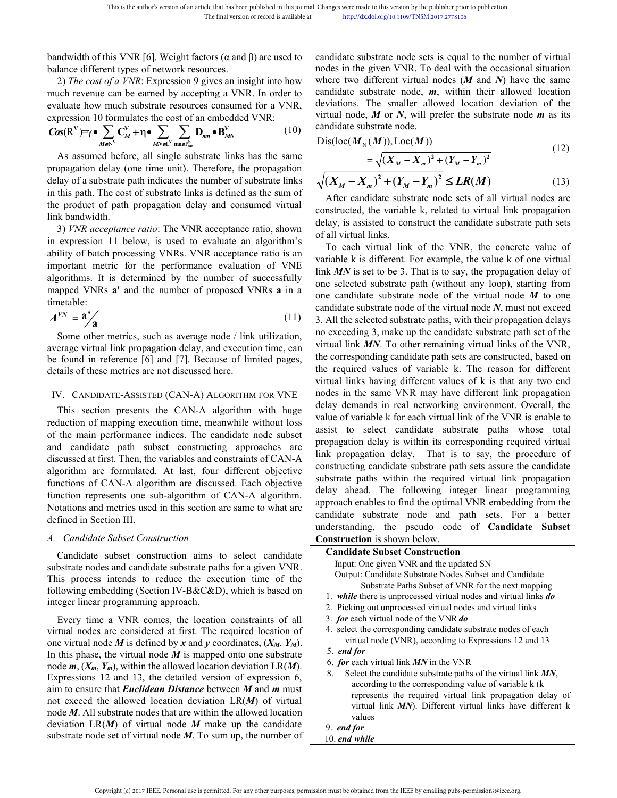This is the author's version of an article that has been published in this journal. Changes were made to this version by the publisher The final version of record is available at the publisher http://dx.doi.org/10.1109/TN This is the author's version of an article that has been published in this journal. Changes v<br>
The final version of record is available at<br>
bandwidth of this VNR [6]. Weight factors  $(\alpha \text{ and } \beta)$  are used to<br>
candid:<br>
bala This is the author's version of an article that has been published in this journal. Changes were made to this version by the published in the final version of record is available at hours of the cost of a VNR [6]. Weight This is the author's version of an article that has been published in this journal. Changes were made to this version by the published in the final version of record is available at the published in the published in the p This is the author's version of an article that has been published in this journal. Changes were made to this version by the published in the final version of record is available at http://dx.doi.org/10.1109/TNSM.2<br>
bandw

$$
\text{Cos}(R^{V}) = \gamma \bullet \sum_{M \in N^{V}} C_{M}^{V} + \eta \bullet \sum_{M N \in L^{V}} \sum_{m n \in P_{nm}^{S}} D_{mn} \bullet B_{MN}^{V}
$$
(10)

This is the author's version of an article that has been published in this jounal. Changes were made to this version by the published region.<br>
The final version of record is available at happly dix doctoregito.1109/TNSM20 This is the author's version of an article that has been published in this journal. Changes were made to this version by the pull the final version of record is available at hard the published or the published in the same bandwidth of this VNR [6]. Weight factors ( $\alpha$  and  $\beta$ ) are used to<br>balance different types of network resources.<br>2) The cost of a VNR: Expression 9 gives an insight into how where two different vi<br>much revenue can be e bandwidth of this VNR [6]. Weight factors ( $\alpha$  and  $\beta$ ) are used to candidate substrate node sets balance different types of network resources.<br>
2) The cost of a VNR: Expression 9 gives an insight into how where two dif bandwidth of this VNR [6]. Weight factors ( $\alpha$  and  $\beta$ ) are used to candidate substrate node sets is balance different types of network resources.<br>
2) The cost of  $\alpha$  VNR. Expression 9 gives an insight into how where t bandwidth of this VNR [6]. Weight factors ( $\alpha$  and  $\beta$ ) are used to<br>balance different types of network resources.<br>
2) The cost of a VNR. Expression 9 gives an insight into how where two different virtual<br>
envolt rever a balance different types of network resource<br>
2) The cost of a VNR: Expression 9 gives<br>
much revenue can be earned by accepting<br>
evaluate how much substrate resources co<br>
expression 10 formulates the cost of an eml<br>  $\cos(R^V$ 2) The cost of a *VNR*: Expression 9 gives an insight into how where two different virtual<br>colume towe much substrate resources consumed for a VNR, deviations. The smaller all<br>alutate how much substrate resources consumed much revenue can be earned by accepting a VNR. In order to candidate substrate no<br>evaluate how much substrate resources consumed for a VNR, deviations. The small<br>expression 10 formulates the cost of an embedded VNR:<br> $\cos(R^$ 

evaluate how much substrate resources consumed for a VNR, deviations. In example expression 10 formulates the cost of an embedded VNR:<br>  $\cos(R^V) = r \cdot \sum_{M \in \mathbb{N}^V} \sum_{m'} \sum_{m m \in \mathbb{N}^S} \sin(m)$   $\cos(R^V) = r \cdot \sum_{M \in \mathbb{N}^V} \sum_{m \in$ expression 10 formulates the cost of an embedded VNR:<br>  $\cos(R^V) = \gamma \cdot \sum_{M \in \mathbb{N}^V} C_M^V + \eta \cdot \sum_{M \in \mathbb{N}^V} \sum_{m \neq m} \theta_{M}^V$  (10) candidate substrate node.<br>
As assumed before, all single substrate links has the same<br>
propa Cos(R<sup>V</sup>)= $\gamma \bullet \sum_{M \in N} C_M^V + \eta \bullet \sum_{M \in \mathbb{N}^c} D_{mm} \bullet B_{MN}^V$  (10) canduate substant enoc<br>As assumed before, all single substrate links has the same<br>propagation delay (one time unit). Therefore, the propagation<br>delay of a As assume defore, all single substrate links has the same<br>
propagation delay of a substrate path indicates the number of substrate links  $\sqrt{(X_M - X_m)^2 + (Y_M - Y_m)^2} \le$ <br>
in this path. The cost of substrate links is defined as th timetable: this path. The cost of substrate links is defined as the sum of<br>  $\frac{1}{2}$  and  $\frac{1}{2}$  product of path propagation delay and consumed virtual<br>  $\frac{1}{2}$  constructed, the variable<br>  $\frac{1}{2}$  constructed, the variable<br>  $\$ the product of path propagation delay and consumed virtual<br>
link bandwidth.<br>
and Sanct Sanct Sanct Sanct Sanct Sanct Sanct Sanct Sanct Sanct Sanct Sanct Sanct Sanct Sanct Sanct Sanct Sanct Sanct Sanct Sanct Sanct Sanct Sa be found in reference (6) and [7]. Because of limited pages,<br>
IN: CANDIDATE-ASSISTED (CAN-A) ALGORITHM FOR VNE<br>
To each virtual links.<br>
To each virtual links of<br>
important metric for the performance evaluation of VNE<br>
imp Moreover the CAN-A algorithm with huge<br>
The SAN-A acceptance ratio; Shown and Saly, is assisting expression 11 below, is used to evaluate an algorithm's<br>
ability of batch processing VNRs. VNR acceptance ratio is an<br>
impor

$$
A^{VN} = \mathbf{a} \Big/ \mathbf{a} \tag{11}
$$

 $A^{VN} = \mathbf{a}^V$  and then metrics, such as average node / link utilization,<br>
Some other metrics, such as average node / link utilization,<br>
some correcting 3, make up the correction in reference [6] and [7]. Because of limi Fraction of mether signals and are in the sected substrated.<br>
Some other metrics, such as average node / link utilization, no exceeding 3, make up<br>
are average virtual link  $MN$ . To other<br>
be found in reference [6] and [7] Some other metrics, such as average node / link utilization,<br>average virtual link propagation delay, and execution time, can virtual link *MN*. To other<br>be found in reference [6] and [7]. Because of limited pages,<br>the corr average virtual link propagation delay, and execution time, can<br>be found in reference [6] and [7]. Because of limited pages, the corresponding candid<br>details of these metrics are not discussed here.<br>the required values of<br> be found in reference [6] and [7]. Because of limited pages, the corresponding entantial beat<br>details of these metrics are not discussed here. The required values of variable<br>details of these metrics are not discussed here details of these metrics are not discussed here.<br>
IV. CANDIDATE-ASSISTED (CAN-A) ALGORITHM FOR<br>
This section presents the CAN-A algorithm with<br>
reduction of mapping execution time, meanwhile withou<br>
of the main performance IV. CANDIDATE-ASSISTED (CAN-A) ALGORITHM FOR VN<br>This section presents the CAN-A algorithm with hu<br>reduction of mapping execution time, meanwhile without lof<br>of the main performance indices. The candidate node subs<br>and cand This section presents the CAN-A algorithm with huge<br>
delay dennances in real nuction of mapping execution time, meanwhile without loss<br>
assist to select candid<br>
the main performance indices. The candidate node subset<br>
dea reduction of mapping execution time, meanwhile without loss<br>of the main performance indices. The candidate node subset and substrate and candidate path subset constructing approaches are propagation delay is within in<br>disc of the main performance indices. The candidate node subset<br>
and candidate path subset constructing approaches are<br>
discussed at first. Then, the variables and constructing candidate paths. That<br>
discussed at first. Then, and candidate path subset constructing approaches are propagation delay is within its discussed at first. Then, the variables and constraints of CAN-A limit propagation delay. That algorithm are discussed. Each objective discussed at first. Then, the variables and constraints of CAN-A<br>algorithm are formulated. At last, four different objective<br>functions of CAN-A algorithm are discussed. Each objective<br>function represents one sub-algorithm

This is be author's version of an article that has been published in this journal. Changes were made to this weisin by the publisher intervent published by the cost of a FWR: [6]. Weight factors ( $\alpha$  and  $\beta$ ) are used t Changes were made to this version by the publisher prior to publication.<br>
http://dx.doi.org/10.1109/TNSM.2017.2778106<br>
candidate substrate node sets is equal to the number of virtual<br>
nodes in the given VNR. To deal with Changes were made to this version by the publisher prior to publication.<br>
http://dx.doi.org/10.1109/TNSM.2017.2778106<br>
candidate substrate node sets is equal to the number of virtual<br>
modes in the given VNR. To deal with Changes were made to this version by the publisher prior to publication.<br>
http://dx.doi.org/10.1109/TNSM.2017.2778106<br>
candidate substrate node sets is equal to the number of virtual<br>
modes in the given VNR. To deal with Changes were made to this version by the publisher prior to publication.<br>
http://dx.doi.org/10.1109/TNSM.2017.2778106<br>
candidate substrate node sets is equal to the number of virtual<br>
nodes in the given VNR. To deal with Changes were made to this version by the publisher prior to publication.<br>
http://dx.doi.org/10.1109/TNSM.2017.2778106<br>
candidate substrate node sets is equal to the number of virtual<br>
modes in the given VNR. To deal with Changes were made to this version by the publisher prior to publication.<br>
http://dx.doi.org/10.1109/TNSM.2017.2778106<br>
candidate substrate node sets is equal to the number of virtual<br>
modes in the given VNR. To deal with Changes were made to this version by the publisher prior to publication.<br>
http://dx.doi.org/10.1109/TNSM.2017.2778106<br>
candidate substrate node sets is equal to the number of vi<br>
nodes in the given VNR. To deal with the o Changes were made to this version by the publisher prior to publication.<br>
http://dx.doi.org/10.1109/TNSM.2017.2778106<br>
candidate substrate node sets is equal to the number of virtual<br>
nodes in the given VNR. To deal with Changes were made to this version by the publisher prior to publication.<br>
http://dx.doi.org/10.1109/TNSM.2017.2778106<br>
candidate substrate node sets is equal to the number of virtual<br>
radial can be given VNR. To deal with **<sup>2</sup> <sup>2</sup>** *M m M m M M M X X Y Y* anges were made to this version by the publisher prior to publication.<br>
http://dx.do.torg/10.1109/TNSM.2017.2778166<br>
didate substrate node sets is equal to the number of virtual<br>
des in the given VNR. To deal with the occ molidate substrate node sets is equal to the number of virtual<br>des in the given VNR. To deal with the occasional situation<br>nere two different virtual nodes (*M* and *N*) have the same<br>molidate substrate node, *m*, within constructed, the variable k, related to virtual ink of the variable k is different Expansively and  $\lambda$  and  $\lambda$  and  $\lambda$  and  $\lambda$  and  $\lambda$  are semi-<br>candidate substrate node, **m**, within their allowed location<br>deviations where two different virtual nodes (*M* and *N*) have the same<br>candidate substrate node, *m*, within their allowed location<br>deviations. The smaller allowed location deviation of the<br>virtual node, *M* or *N*, will prefer th candidate substrate node, *m*, within their allow<br>deviations. The smaller allowed location deviat<br>virtual node, *M* or *N*, will prefer the substrate no<br>candidate substrate node.<br>Dis(loc( $M_N(M)$ ), Loc( $M$ ))<br> $= \sqrt{(X_M - X_m)^2 + (Y$ 

$$
Dis(loc(M_N(M)), Loc(M)) = \sqrt{(X_M - X_m)^2 + (Y_M - Y_m)^2}
$$
\n(12)

$$
\sqrt{(X_M - X_m)^2 + (Y_M - Y_m)^2} \le LR(M)
$$
\n(13)

3. All the selected substrate paths, with their propagation delays For each virtual link<br>
in the second in the second with the second the second of VNE<br>
In the MV is set to be 3.1 link<br>
in portant metric for the performance evaluation of VNE<br>
In the MV is set to be 3.1 different. Figurit portant metric for the performance evaluation of VNE<br>signithms. It is determined by the number of successfully<br>ink *MN* is set to be 3. That is<br>one selected substrate pad<br>the proposed VNRs **a** in a<br>nextaction<br> $W = \mathbf{a}'$ <br>algorithms. It is determined by the number of successfully<br>
me selected substrate path (mapped VNRs **a**<sup>t</sup> a<br>
ima mapped VNRs **a**<sup>t</sup> a<br>
ima selected substrate node<br>
timetable:<br>  $A^{V_N} = \mathbf{a}'$ <br>
Some other metrics, such as mapped VNRs **a'** and the number of proposed VNRs **a** in a one secured substrate path<br>timetable:<br>timetable:<br> $A^{VN} = \mathbf{a}^{\prime}$ <br>Some other metrics, such as average node / link utilization, no exceeding 3, make up the<br>average timetable:<br>
and candidate substrate node of the candidate substrate node of the constrained for the metrics, such as average node / link utilization, no exceeding 3, make up the candidate path subset construction of metri viations. The smaller allowed location deviation of the<br>tual node, M or N, will prefer the substrate node m as its<br>modidate substrate node.<br> $is(loc(M_N(M)), Loc(M))$  (12)<br> $= \sqrt{(X_M - X_m)^2 + (Y_M - Y_m)^2}$  (12)<br> $(\frac{X_M - X_m)^2 + (Y_M - Y_m)^2 \leq LR(M)$  (13)<br>A virtual node, *M* or *N*, will prefer the substrate node *m* as its<br>candidate substrate node.<br>Dis(loc( $M_N(M)$ ), Loc( $M$ )) (12)<br> $= \sqrt{(X_M - X_m)^2 + (Y_M - Y_m)^2}$  (12)<br> $\sqrt{(X_M - X_m)^2 + (Y_M - Y_m)^2} \le LR(M)$  (13)<br>After candidate substrate node se candidate substrate node.<br>
Dis(loc( $M_N(M)$ ), Loc( $M$ )) (12)<br>  $= \sqrt{(X_M - X_m)^2 + (Y_M - Y_m)^2}$  (13)<br>  $\sqrt{(X_M - X_m)^2 + (Y_M - Y_m)^2} \leq LR(M)$  (13)<br>
After candidate substrate node sets of all virtual nodes are<br>
constructed, the variable k, relat Dis(loc( $M_N(M)$ ), Loc( $M$ ))<br>  $= \sqrt{(X_M - X_m)^2 + (Y_M - Y_m)^2}$  (12)<br>  $\sqrt{(X_M - X_m)^2 + (Y_M - Y_m)^2} \leq LR(M)$  (13)<br>
After candidate substrate node sets of all virtual nodes are<br>
constructed, the variable k, related to virtual link propagation<br>  $\sqrt{(X_M - X_m)^2 + (Y_M - Y_m)^2}$  (12)<br>  $= \sqrt{(X_M - X_m)^2 + (Y_M - Y_m)^2} \le LR(M)$  (13)<br>
After candidate substrate node sets of all virtual nodes are<br>
constructed, the variable k, related to virtual link propagation<br>
of all virtual links.<br>
To eac  $=\sqrt{(X_M - X_m)^2 + (Y_M - Y_m)^2}$ <br>  $\sqrt{(X_M - X_m)^2 + (Y_M - Y_m)^2} \le LR(M)$  (13)<br>
After candidate substrate node sets of all virtual nodes are<br>
constructed, the variable k, related to virtual link propagation<br>
delay, is assisted to construct the  $\sqrt{(X_M - X_m)^2 + (Y_M - Y_m)^2} \le LR(M)$  (13)<br>
After candidate substrate node sets of all virtual nodes are<br>
constructed, the variable k, related to virtual link propagation<br>
delay, is assisted to construct the candidate substrate pat  $\sqrt{(A_M - A_m)} + (I_M - I_m) \leq L\mathbf{A}(M)$  (13)<br>
After candidate substrate node sets of all virtual nodes are<br>
constructed, the variable k, related to virtual link propagation<br>
delay, is assisted to construct the candidate substrate After candidate substrate node sets of all virtual nodes are constructed, the variable k, related to virtual link propagation delay, is assisted to construct the candidate substrate path sets of all virtual links. To each constructed, the variable k, related to virtual link propagation<br>delay, is assisted to construct the candidate substrate path sets<br>of all virtual links.<br>To each virtual link of the VNR, the concrete value of<br>variable k is delay, is assisted to construct the candidate substrate path sets<br>of all virtual links.<br>To each virtual link of the VNR, the concrete value of<br>variable k is different. For example, the value k of one virtual<br>link *MN* is s of all virtual links.<br>To each virtual link of the VNR, the concrete value of variable k is different. For example, the value k of one virtual link  $MN$  is set to be 3. That is to say, the propagation delay of one selected To each virtual link of the VNR, the concrete value of variable k is different. For example, the value k of one virtual link  $MN$  is set to be 3. That is to say, the propagation delay of one selected substrate path (withou variable k is different. For example, the value k of one virtual link  $MN$  is set to be 3. That is to say, the propagation delay of one selected substrate path (without any loop), starting from one candidate substrate path link  $MN$  is set to be 3. That is to say, the propagation delay of one selected substrate path (without any loop), starting from one candidate substrate node of the virtual node  $M$  to one candidate substrate node of the v one selected substrate path (without any loop), starting from<br>one candidate substrate node of the virtual node  $M$  to one<br>candidate substrate node of the virtual node  $N$ , must not exceed<br>3. All the selected substrate pat one candidate substrate node of the virtual node  $M$  to one candidate substrate node of the virtual node  $N$ , must not exceed 3. All the selected substrate paths, with their propagation delays no exceeding 3, make up the candidate substrate node of the virtual node *N*, must not exceed 3. All the selected substrate paths, with their propagation delays no exceeding 3, make up the candidate substrate path set of the virtual link *MN*. To oth 3. All the selected substrate paths, with their propagation delays<br>no exceeding 3, make up the candidate substrate path set of the<br>virtual link *MN*. To other remaining virtual links of the VNR,<br>the corresponding candidate no exceeding 3, make up the candidate substrate path set of the virtual link *MN*. To other remaining virtual links of the VNR, the corresponding candidate path sets are constructed, based on the required values of variabl virtual link *MN*. To other remaining virtual links of the VNR, the corresponding candidate path sets are constructed, based on the required values of variable k. The reason for different virtual links having different val the corresponding candidate path sets are constructed, based on<br>the required values of variable k. The reason for different<br>virtual links having different values of k is that any two end<br>nodes in the same VNR may have diff the required values of variable k. The reason for different virtual links having different values of k is that any two end nodes in the same VNR may have different link propagation delay demands in real networking environm virtual links having different values of k is that any two end<br>nodes in the same VNR may have different link propagation<br>delay demands in real networking environment. Overall, the<br>value of variable k for each virtual link nodes in the same VNR may have different link propagation<br>delay demands in real networking environment. Overall, the<br>value of variable k for each virtual link of the VNR is enable to<br>assist to select candidate substrate pa lay demands in real networking environment. Overall, th<br>lue of variable k for each virtual link of the VNR is enable t<br>sist to select candidate substrate paths whose tota<br>pagation delay is within its corresponding required It to select candidate substrate paths whose total<br>agation delay is within its corresponding required virtual<br>propagation delay. That is to say, the procedure of<br>tructing candidate substrate path sets assure the candidate agation delay is within its corresponding required virtual<br>propagation delay. That is to say, the procedure of<br>tructing candidate substrate path sets assure the candidate<br>rate paths within the required virtual link propaga gation delay. That is to say, the procedure of<br>g candidate substrate path sets assure the candidate<br>aths within the required virtual link propagation<br>ad. The following integer linear programming<br>nables to find the optimal

| discussed at first. Then, the variables and constraints of CATV-A                                                                                                                                                                                                                                                                                                                                                                                                                                                                                                                                                                                                                                                                                                                                                                                                                                                                                                                                                                                                         | constructing candidate substrate path sets assure the candidate                                                                                                                                                                                                                                                                                                                                                                                                                                                                                                                                                                                                                                                                                                                                                                                                        |
|---------------------------------------------------------------------------------------------------------------------------------------------------------------------------------------------------------------------------------------------------------------------------------------------------------------------------------------------------------------------------------------------------------------------------------------------------------------------------------------------------------------------------------------------------------------------------------------------------------------------------------------------------------------------------------------------------------------------------------------------------------------------------------------------------------------------------------------------------------------------------------------------------------------------------------------------------------------------------------------------------------------------------------------------------------------------------|------------------------------------------------------------------------------------------------------------------------------------------------------------------------------------------------------------------------------------------------------------------------------------------------------------------------------------------------------------------------------------------------------------------------------------------------------------------------------------------------------------------------------------------------------------------------------------------------------------------------------------------------------------------------------------------------------------------------------------------------------------------------------------------------------------------------------------------------------------------------|
| algorithm are formulated. At last, four different objective                                                                                                                                                                                                                                                                                                                                                                                                                                                                                                                                                                                                                                                                                                                                                                                                                                                                                                                                                                                                               | substrate paths within the required virtual link propagation                                                                                                                                                                                                                                                                                                                                                                                                                                                                                                                                                                                                                                                                                                                                                                                                           |
| functions of CAN-A algorithm are discussed. Each objective                                                                                                                                                                                                                                                                                                                                                                                                                                                                                                                                                                                                                                                                                                                                                                                                                                                                                                                                                                                                                | delay ahead. The following integer linear programming                                                                                                                                                                                                                                                                                                                                                                                                                                                                                                                                                                                                                                                                                                                                                                                                                  |
| function represents one sub-algorithm of CAN-A algorithm.                                                                                                                                                                                                                                                                                                                                                                                                                                                                                                                                                                                                                                                                                                                                                                                                                                                                                                                                                                                                                 | approach enables to find the optimal VNR embedding from the                                                                                                                                                                                                                                                                                                                                                                                                                                                                                                                                                                                                                                                                                                                                                                                                            |
| Notations and metrics used in this section are same to what are                                                                                                                                                                                                                                                                                                                                                                                                                                                                                                                                                                                                                                                                                                                                                                                                                                                                                                                                                                                                           | candidate substrate node and path sets. For a better                                                                                                                                                                                                                                                                                                                                                                                                                                                                                                                                                                                                                                                                                                                                                                                                                   |
| defined in Section III.                                                                                                                                                                                                                                                                                                                                                                                                                                                                                                                                                                                                                                                                                                                                                                                                                                                                                                                                                                                                                                                   | understanding, the pseudo code of Candidate Subset                                                                                                                                                                                                                                                                                                                                                                                                                                                                                                                                                                                                                                                                                                                                                                                                                     |
| A. Candidate Subset Construction                                                                                                                                                                                                                                                                                                                                                                                                                                                                                                                                                                                                                                                                                                                                                                                                                                                                                                                                                                                                                                          | <b>Construction</b> is shown below.                                                                                                                                                                                                                                                                                                                                                                                                                                                                                                                                                                                                                                                                                                                                                                                                                                    |
| Candidate subset construction aims to select candidate<br>substrate nodes and candidate substrate paths for a given VNR.<br>This process intends to reduce the execution time of the<br>following embedding (Section IV-B&C&D), which is based on<br>integer linear programming approach.<br>Every time a VNR comes, the location constraints of all<br>virtual nodes are considered at first. The required location of<br>one virtual node M is defined by x and y coordinates, $(X_M, Y_M)$ .<br>In this phase, the virtual node $M$ is mapped onto one substrate<br>node $m$ , $(X_m, Y_m)$ , within the allowed location deviation LR(M).<br>Expressions 12 and 13, the detailed version of expression 6,<br>aim to ensure that <i>Euclidean Distance</i> between <i>M</i> and <i>m</i> must<br>not exceed the allowed location deviation $LR(M)$ of virtual<br>node $M$ . All substrate nodes that are within the allowed location<br>deviation $LR(M)$ of virtual node M make up the candidate<br>substrate node set of virtual node $M$ . To sum up, the number of | <b>Candidate Subset Construction</b><br>Input: One given VNR and the updated SN<br>Output: Candidate Substrate Nodes Subset and Candidate<br>Substrate Paths Subset of VNR for the next mapping<br>1. while there is unprocessed virtual nodes and virtual links do<br>2. Picking out unprocessed virtual nodes and virtual links<br>3. for each virtual node of the VNR do<br>4. select the corresponding candidate substrate nodes of each<br>virtual node (VNR), according to Expressions 12 and 13<br>5. end for<br>6. <i>for</i> each virtual link $MN$ in the VNR<br>Select the candidate substrate paths of the virtual link MN,<br>according to the corresponding value of variable k (k<br>represents the required virtual link propagation delay of<br>virtual link MN). Different virtual links have different k<br>values<br>9. end for<br>10. $end$ while |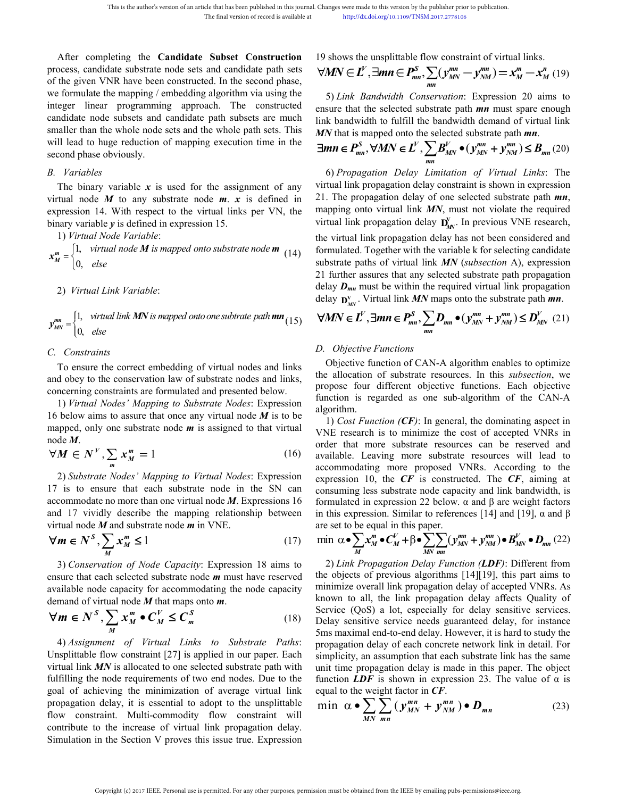This is the author's version of an article that has been published in this journal. Changes were made to this version<br>
The final version of record is available at http://dx.doi.org/10.1109<br>
After completing the **Candidate** This is the author's version of an article that has been published in this journal. Changes were made to this version by the published in the final version of record is available at the http://dx.doi.org/10.1109/TNSM.2017 This is the author's version of an article that has been published in this journal. Changes were made to this version by the p<br>
The final version of record is available at<br>
The final version of record is available at<br>  $\forall$ This is the author's version of an article that has been published in this journal. Changes were made to this version by the publis<br>
The final version of record is available at<br>
The final version of record is available at This is the author's version of an article that has been published in this journal. Changes were made to this version<br>
The final version of record is available at<br>
After completing the **Candidate Subset Construction** 19 s This is the author's version of an article that has been published in this journal. Changes were made to this version by the published in the final version of record is available at http://dx.doi.org/10.1109/TNSM.2co.<br>
Th This is the author's version of an article that has been published in this journal. Changes were made to this version by the published in the final version of record is available at the given  $\forall M N \in L'$ ,  $\exists mn \in P_{mn}^S$ ,  $\$ This is the author's version of an article that has been published in this journal. Changes were made to this version by the published in the indiversion of record is available at the published in the published in the pub This is the author's version of an article that has been put<br>The final version of i<br>The final version of i<br>The final version of i<br>The final version of i<br>The final version of i<br>The final version of i<br>The final version of i After completing the **Candidate Su**<br>process, candidate substrate node sets and<br>of the given VNR have been constructed.<br>we formulate the mapping / embedding alg<br>integer linear programming approach<br>candidate node subsets and After completing the **Candidate Subset Construction** 19 shows the unsplittable flow cocess, candidate substrate node sets and candidate path sets<br>  $\forall M N \in L'$ ,  $\exists m n \in P_m^S$ ,  $\sum_{mn}$ <br>
formulate the mapping / embedding algor After completing the **Candidate Subset Construction** 19 shows the unsplittable flow corrocess, candidate substrate node sets and candidate path sets<br>of the given VNR have been constructed. In the second phase,<br>we formulat process, candidate substrate node sets and candidate path sets<br>of the given VNR have been constructed. In the second phase,<br>we formulate the mapping / embedding algorithm via using the<br>integer linear ropgramming approach. binary variable *y* is defined in expression 15.<br>  $x_M^m = \begin{cases} 1, \text{ virtual node } M \text{ is mapped to the right} \\ 0, \text{ else} \end{cases}$  is the second phase,  $\frac{V}{M}N \in L$ ,  $\frac{V}{M}N$  for the simple integer linear programming approach. The constructed ensure tha 2) formulate the mapping / embedding algorithm via using<br>eger linear programming approach. The construction<br>didate node subsets and candidate path subsets are<br>aller than the whole node sets and the whole path sets<br>Il lead This is the author's version of an article that has been published in this journal. Changes were made to the final version of record is available at the prep/dixedior in the final version of record is explained.<br>
19 shows

II lead to huge reduction of mapping execution time<br>
cond phase obviously.<br> *Variables*<br>
The binary variable x is used for the assignment c<br>
tual node M to any substrate node m. x is define<br>
pression 14. With respect to t

 $x_{M}^{m} = \begin{cases} 1, & \text{virtual node } M \text{ is mapped onto substrate node} \\ 0, & \text{in } M \end{cases}$  $[0,$  else *virtual node M is mapped onto substrate node* **m**  $(14)$  formulated. *else*

1, virtual link MN is mappe 0, else  $v_{MN}^{mn} = \begin{cases} 1, & \text{virtual link} \ M N \ \text{is mapped onto one subtracte path} \ \textbf{m} \ \textbf{n}_{(15)} \qquad \forall M N \in L^V, \exists \textbf{m} \textbf{n} \in P_{mn}^S, \sum_{mn} D_{mn} \bullet (y_{MN}^{mn} + y_{MN}^{mn}) \ 0, & \text{else} \end{cases}$  $[0,$  else

*C. Constraints*<br>
The constraints of the virtual binary variable y is defined in expression 1<br>
1) *Virtual Node Variable*:<br>  $x_M^m = \begin{cases} 1, & \text{virtual node } M \text{ is mapped onto set} \\ 0, & \text{else} \end{cases}$ <br>
2) *Virtual Link Variable*:<br>  $y_{MN}^{mn} = \begin{cases} 1, & \text$ 

 $x_m^m =\begin{cases} 1, & \text{virtual node } M \text{ is mapped onto substrate node } m \\ 0, & \text{else} \end{cases}$  formulated. Together with a propose that a<br>
2) Virtual Link Variable:<br>  $y_{MN}^m =\begin{cases} 1, & \text{virtual link } MN \text{ is mapped onto one subtracte path } mn \\ 0, & \text{else} \end{cases}$ <br>
C. Constraints <br>
To ensure the correct embeddin 1) *Virtual Link Variable:*<br>  $\int_{\infty}^{m} = \begin{cases} 1, & \text{virtual time} \leq \frac{1}{2} \text{ numbers} \end{cases}$   $\int_{\infty}^{m} = \begin{cases} 1, & \text{virtual time} \leq \frac{1}{2} \text{ numbers} \end{cases}$   $\int_{\infty}^{m} = \begin{cases} 1, & \text{virtual time} \leq \frac{1}{2} \text{ numbers} \end{cases}$   $\int_{\infty}^{m} = \begin{cases} 1, & \text{virtual time} \leq \frac{1}{2} \text{ numbers} \end{$ 16 below and that once any virtual nodes and links<br>
16 below  $\mathbf{D}_{nn}$  is to be any propertient of the content of the content of the content of the content of the content of the constraints<br>
16 cm is to be constraints<br>
1 mapped, only one substrate node *<sup>m</sup>* is assigned to that virtual

$$
\forall M \in N^V, \sum_m x_m^m = 1 \tag{16}
$$

 $W = \begin{pmatrix} 0, & else \end{pmatrix}$ <br>
Constraints<br>
To ensure the correct embedding of virtual nodes and links<br>
dobey to the conservation law of substrate nodes and links,<br>
neering constraints are formulated and presented below.<br>
The all To ensure the correct embedding of virtual nodes and links<br>and obey to the conservation law of substrate nodes and links,<br>concerning constraints are formulated and presented below.<br>1) Virtual Nodes' Mapping to Substrate N and obey to the conservation law of substrate nodes and links,<br>
concerning constraints are formulated and presented below.<br>
1) Virtual Nodes' Mapping to Substrate Nodes: Expression<br>
16 below aims to assure that once any v For the correct embedding of virtual nodes and links<br>
o the conservation law of substrate nodes and links<br>
constraints are formulated and presented below.<br> *Il Nodes' Mapping to Substrate Nodes*: Expression<br>
ims to assure 1) Firmual Node Fariable:<br>  $x_{w}^{w} = \begin{cases} 1, & \text{virtual link propagate.} \\ 0, & \text{else} \end{cases}$  the virtual link propagation substraine node *M* is mapped onto substraine node *M* (14) is unknown to be virtual link  $y_{w}^{w} = \begin{cases} 1, & \text{virtual link } F \text{variable.} \$ mapped, only one substrate node *m* is assigned to that virtual<br>
order that more substrat<br>  $\forall M \in N^V$ ,  $\sum_m x_m^m = 1$  (16) available. Leaving more<br>
2) Substrate Nodes' Mapping to Virtual Nodes: Expression accommodating more node *M*.<br>  $\forall M \in N^V$ ,  $\sum_m x_m^m = 1$  (16) order that more substrate<br>
2) Substrate Nodes' Mapping to Virtual Nodes: Expression accommodating more<br>
2) Substrate Nodes' Mapping to Virtual Nodes: Expression expression 10, the *S*  $x_m^m = 1$  (16) order that<br> *S m*  $X_M^m = 1$  (16) available. I<br> *S ate Nodes' Mapping to Virtual Nodes:* Expression accommodable. I<br>
secommodally describe the mapping relationship between in this expression<br> *S*  $\sum_{M} x$ *M* = 1 (16) available.<br> *N* = 1 (16) available.<br> *N* and each substrate node in the SN can consuming<br>
or trutual node *M*. Expressions 16 formulated<br>
ceribe the mapping relationship between in this expressions<br>
whistrate

$$
\forall m \in N^S, \sum_M x_M^m \le 1 \tag{17}
$$

$$
\forall m \in N^S, \sum_M x_M^m \bullet C_M^V \le C_m^S \tag{18}
$$

and 17 vividly describe the mapping relationship between<br>  $\forall m \in N^S$ ,  $\sum_{M} x_M^m \le 1$ <br>  $\forall m \in N^S$ ,  $\sum_{M} x_M^m \le 1$ <br>
(17) min  $\alpha \bullet \sum_{M} x_M^m \bullet C_M^V + \beta \bullet \sum_{M}$ <br>
(17) min  $\alpha \bullet \sum_{M} x_M^m \bullet C_M^V + \beta \bullet \sum_{M} x_M^m \bullet C_M^V$ <br>
(17) min  $\$ wirtual node *M* and substrate node *m* in VNE.<br>
wirtual node *M* and substrate node *m* in VNE.<br>
The  $\forall m \in N^S$ ,  $\sum_{M} x_M^m \le 1$  (17) min  $\alpha \cdot \sum_{M} x_M^m \cdot C_M^V + \beta \cdot \sum_{M \le N} x_M^m \cdot C_M^V$ <br>
as all one capacity for accommodatin Fulfilling the node requirements of two end nodes. Due to the unsplittable min corresponding the node requirements of two end nodes. Due to the weight factor in  $\sum_{MN}$  or  $\sum_{MN}$  or  $\sum_{MN}$  or  $\sum_{MN}$  or  $\sum_{MN}$  or  $\sum_{MN$  $\nabla m \in N$ ,  $\sum_{M} X_{M} \le 1$  (17) IIIIII  $\alpha \le \sum_{M} x_{M} \le c_{M} + \beta \le \sum_{M} x_{M}$ <br>
3) Conservation of Node Capacity: Expression 18 aims to 2) Link Propagation Delay I<br>
ensure that each selected substrate node *m* must have reser 3) Conservation of Node Capacity: Expression 18 aims to 2) Link Propagation<br>
ensure that each selected substrate node m must have reserved the objects of previous<br>
available node capacity for accommodating the node capaci 5) Conservation of Noae Capacity: Expression 18 ams to<br>
ensure that each selected substrate node *m* must have reserved the objects of previous algorit<br>
available node capacity for accommodating the node capacity minimize ensure that each selected substrate node *m* must have reserved<br>available node capacity for accommodating the node capacity<br>available of correction and of correction delay. The increase of virtual node *M* that maps onto available node capacity for accommodating the node capacity<br>
demand of virtual node M that maps onto m.<br>  $\forall m \in N^S$ ,  $\sum_M \alpha_M^m \bullet C_M^V \leq C_m^S$  (18) Service (QoS) a lot, expression delay of cand<br>
4) Assignment of Virtual Lin

Changes were made to this version by the publisher prior to publication.

\n**http://dx.doi.org/10.1109/TNSM.2017.2778106**

\n19 shows the unsplittable flow constraint of virtual links.

\n
$$
\forall MN \in L', \exists mn \in P_{mn}^S, \sum_{mn'} (y_{MN}^{mn} - y_{NM}^{mn}) = x_M^m - x_M^n
$$
 (19)

\n5) Link Bandwidth Conservation: Expression 20 aims to

ade to this version by the publisher prior to publication.<br>
the displace of the publisher prior to publication.<br> **are unsplittable flow constraint of virtual links.**<br> *W*,  $\exists mn \in \mathbb{P}_{mn}^S$ ,  $\sum_{mn} (y_{MN}^{mn} - y_{NM}^{mn}) = x_M^m$ by the publisher prior to publication.<br> *MNSM.2017.2778106*<br> **le flow constraint of virtual links.**<br> **ps**<br> **ps**<br> **mn**<br> **mn**<br> *mn*<br> *mn*<br> *mn*<br> *mn*<br> *mn*<br> *mn*<br> *mn*<br> *mn*<br> *mn*<br> **mn**<br> **mn**<br> **mn**<br> **mn**<br> **mn**<br> **mn**<br> **mn**<br> Changes were made to this version by the publisher prior to publication.<br>
http://dx.doi.org/10.1109/TNSM.2017.2778106<br>
19 shows the unsplittable flow constraint of virtual links.<br>  $\forall MN \in L^V$ ,  $\exists mn \in P_{mn}^S$ ,  $\sum_{mn} (y_{MN}^{mn}$ anges were made to this version by the publisher prior to publication.<br>
http://dx.doi.org/10.1109/TNSM.2017.2778106<br>
shows the unsplittable flow constraint of virtual links.<br>  $MN \in L^V$ ,  $\exists mn \in P_m^S$ ,  $\sum_{mn} (y_{MN}^{mn} - y_{NM}^{mn}) =$ Changes were made to this version by the publisher prior to publication.<br>
http://dx.doi.org/10.1109/TNSM.2017.2778106<br>
19 shows the unsplittable flow constraint of virtual links.<br>  $\forall MN \in L^V$ ,  $\exists mn \in P_{mn}^S$ ,  $\sum_{mn} (y_{MN}^{mn}$ Changes were made to this version by the publisher prior to publication.<br>
http://dx.doi.org/10.1109/TNSM.2017.2778106<br>
19 shows the unsplittable flow constraint of virtual links.<br>  $\forall MN \in L'$ ,  $\exists mn \in P_{mn}^S$ ,  $\sum_{mn} (y_{MN}^{mn} -$ 

$$
\exists mn \in P_{mn}^S, \forall MN \in L^V, \sum_{mn} B_{MN}^V \bullet (y_{MN}^{mn} + y_{NM}^{mn}) \leq B_{mn} (20)
$$

This interaction of multidinate busines of multidinate busines in the signal of the signal of the signal of the signal of the signal of the signal of the signal of the signal of the signal of the signal of the signal of t formulated. Together with the variable  $k$  for selecting candidate substrate paths of virtual link  $MN$  (subsection  $A$ ), expression Example y is defined in expression 15. <br>
To ensure the virtual link propagation delay<br>  $\mu_{\ell} = \begin{cases} 1, & \text{virtual node } M \text{ is mapped onto substrate node } m \\ 0, & \text{else} \end{cases}$ <br>  $\mu_{\ell} = \begin{cases} 1, & \text{virtual link Variable:} \\ 0, & \text{else} \end{cases}$ <br>  $\mu_{\ell} = \begin{cases} 1, & \text{virtual link } N \text{ variables} \end{cases}$ <br>  $\$ 1) Virtual Node Variable:<br>  $x_m^m =\begin{cases} 1, & \text{virtual node } M \text{ is mapped onto substrate node } m \\ 0, & \text{else} \end{cases}$  to the virtual link of substrate node  $m$  (14) formulated. Together with the<br>
substrate paths of virtual link<br>
2) Virtual Link Variable:<br>  $y_{MN}^m$ *B. Variables*<br>
16. *Variables*<br>
16. *Variables*<br>
16. *Variables*<br>
17 is boing variable x is used for the assignment of any of three limit propagation delay of<br>
19. *Virtual* link *MN* is reported to the virtual links per *m* **Example Source All in the summary of the assignment of any for the summary of Firms binary are the binary and the Source of the summary variable x is used for the assignment of any 1. The propagation delay of one sel** Changes were made to this version by the publisher prior to publication.<br>
http://dx.doi.org/10.1109/TNSM.2017.2778106<br>
19 shows the unsplittable flow constraint of virtual links.<br>  $\forall MN \in L^V$ ,  $\exists mm \in P_{nm}^S$ ,  $\sum_{nm} (y_{MN}^{mm}$ Changes were made to this version by the publisher prior to publication.<br>
http://dx.doi.org/10.1109/TNSM.2017.2778106<br>
19 shows the unsplittable flow constraint of virtual links.<br>  $\forall MN \in L^V$ ,  $\exists mm \in P_{nm}^F$ ,  $\sum_{mm} (y_{MN}^{mm}$ shows the unsplittable flow constraint of virtual links.<br> *MN*  $\in L'$ ,  $\exists mn \in P_{nm}^S$ ,  $\sum_{nm} (y_{MN}^m - y_{NM}^m) = x_M^m - x_M^n$  (19)<br>
5) *Link Bandwidth Conservation*: Expression 20 aims to<br>
sure that the selected substrate path 19 shows the unsplittable flow constraint of virtual links.<br>  $\forall MN \in L'$ ,  $\exists mn \in P_{mn}^S$ ,  $\sum_{mm} (y_{MN}^{mn} - y_{NM}^{mn}) = x_M^m - x_M^n$  (19)<br>
5) Link Bandwidth Conservation: Expression 20 aims to<br>
ensure that the selected substrate path 19 shows the unsplittable flow constraint of virtual links.<br>  $\forall MN \in L^V$ ,  $\exists mn \in P_{mn}^S$ ,  $\sum_{mn} (y_{MN}^{mn} - y_{NM}^{mn}) = x_M^m - x_M^n$  (19)<br>
5) *Link Bandwidth Conservation:* Expression 20 aims to<br>
ensure that the selected substrate pa VMIN  $\in L$ ,  $\exists mn \in P_{mn}$ ,  $\sum_{mn} (y_{MN} - y_{NM}) = x_M - x_M$  (19)<br>
5) *Link Bandwidth Conservation*: Expression 20 aims to<br>
ensure that the selected substrate path *mn* must spare enough<br>
link bandwidth to fulfill the bandwidth deman  $y_{MN} - y_{NM} = x_M - x_M$  (19)<br>vation: Expression 20 aims to<br>tate path **mn** must spare enough<br>mdwidth demand of virtual link<br>ected substrate path **mn**.<br> $B_{MN}^V \bullet (y_{MN}^{mn} + y_{NM}^{mn}) \leq B_{mn}$  (20)<br>itation of Virtual Links: The<br>onstrain 5) Link Bandwidth Conservation: Expression 20 aims to<br>ensure that the selected substrate path **mn** must spare enough<br>link bandwidth to fulfill the bandwidth demand of virtual link<br>MN that is mapped onto the selected subst Formulated. Together with the variable k for selection  $\sum_{i=1}^{n} B_{MN}^{V}$  and  $\sum_{i=1}^{n} B_{MN}^{V}$  and  $\sum_{i=1}^{n} B_{MN}^{V}$  and  $\sum_{i=1}^{n} B_{MN}^{V}$  and  $\sum_{i=1}^{n} B_{MN}^{V}$  and  $\sum_{i=1}^{n} B_{MN}^{V}$  and  $\sum_{i=1}^{n} B_{MN}^{V}$  an shown that subsects absolute paint  $m_n$  mast space substrate path  $mn$ .<br>  $\exists mn \in P_{mn}^S$ ,  $\forall MN \in L^V$ ,  $\sum_{mn} B_{MN}^V \bullet (y_{MN}^{mn} + y_{NM}^{mn}) \leq B_{mn}$  (20)<br>
6) Propagation Delay Limitation of Virtual Links: The<br>
virtual link propagati *MN* that is mapped onto the selected substrate path *mn*.<br> **EMN** that is mapped onto the selected substrate path *mn*.<br> **EMN**  $\in$   $P_{mn}^S$ ,  $\forall MN \in L^V$ ,  $\sum_{mn} B_{MN}^V \bullet (y_{MN}^{mn} + y_{NM}^{mn}) \leq B_{mn}$  (20)<br>
6) Propagation Delay L  $\exists mn \in P_{mn}^S$ ,  $\forall MN \in L^V$ ,  $\sum_{mn} B_{MN}^V \bullet (y_{MN}^{mn} + y_{NM}^{mn}) \leq B_{mn}$  (20)<br>6) Propagation Delay Limitation of Virtual Links: The<br>virtual link propagation delay constraint is shown in expression<br>21. The propagation delay of on delay  $\mathbf{D}_{\mathbf{w}}^{\mathbf{v}}$ . Virtual link *MN* maps onto the substrate path *mn*. ws the unsplittable flow constraint of virtual links.<br>  $V \in L^V$ ,  $\exists mn \in P_{mn}^S$ ,  $\sum_{MM} (y_{MN}^{mn} - y_{MM}^{mn}) = x_M^m - x_M^m$  (19)<br>
ink *Bandwidth* Conservation: Expression 20 aims to<br>
that the selected substrate path *mn* must space *MN*  $\in L'$ ,  $\sum_{mn} B'_{MN} \bullet (y^{mn}_{MN} + y^{mn}_{NM}) \leq B_{mn}$  (20)<br>*mn*<br>*mgation Delay Limitation of Virtual Links: The<br>propagation delay constraint is shown in expression<br>opagation delay of one selected substrate path <i>mn*,<br>tho virtu Changes vere multe to this version by the publishing rpin to publication.<br>
19 shows the unsplittable flow constraint of virtual links.<br>  $\forall MN \in L'$ ,  $\exists mm \in P_{mn}^S$ ,  $\sum_{nm} (\sum_{nm'} \sum_{m'} y_{nm'}^{mn}) = x_m^m - x_M^m$  (19)<br>
5) *Link Bandwidth* tual link propagation delay  $\mathbf{D}_{\text{M}}^N$ . In previous VNE research,<br>
be virtual link propagation delay  $\mathbf{D}_{\text{M}}^N$ . In previous VNE research,<br>
be virtual link propagation delay has not been considered and<br>
mulated. Find the virtual link propagation delay  $B_{\text{AV}}$ . In previous VEE research,<br>the virtual link propagation delay has not been considered and<br>formulated. Together with the variable k for selecting candidate<br>21 further assur the virtual link propagation delay has not been considered and<br>formulated. Together with the variable k for selecting candidate<br>substrate paths of virtual link *MN* (*subsection* A), expression<br>21 further assures that any formulated. Together with the variable k for selecting candidate<br>substrate paths of virtual link *MN* (*subsection* A), expression<br>21 further assures that any selected substrate path propagation<br>delay  $D_{mn}$  must be withi V*MN*  $\in L'$ ,  $\lim_{\epsilon} \lim_{m} \left( \frac{P_{\text{max}}}{m} \right) \left( \frac{V_{\text{div}}}{2m} - \frac{V_{\text{div}}}{2m} \right) = x_M^2 - x_M^2 (19)$ <br>
5)  $Lint. Barabvididh. Conserveation 2D aims to  
ensure that the selected subscript *m* must square enough  
link bandwidth to different  
by bandwidth to find full the hard width element of virtual. link  
MPM that is mapped onto the selected substrate path *m*,  
MPM that is mapped onto the selected substrate path *m*,  
MPM that is mapped onto the selected substrate path *m*,  
MPM that is mapped onto the$ 

(15) 
$$
\forall MN \in L^V, \exists mn \in P_{mn}^S, \sum_{mn} D_{mn} \bullet (y_{MN}^{mn} + y_{NM}^{mn}) \le D_{MN}^V
$$
 (21)

algorithm. further assures that any selected substrate path propagation<br>lay  $D_{mn}^r$  must be within the required virtual link propagation<br>lay  $D_{NN}^r$ . Virtual link *MN* maps onto the substrate path **mn**.<br><br> $MN \in L^V$ ,  $\exists mn \in P_{mn}^S$ ,

C. Constraints<br>
To ensure the correct embedding of virtual nodes and links<br>
To ensure the conservation law of substrate nodes and links,<br>
the allocation of CAN-4<br>
and obey to the conservation law of substrate nodes and li C. Constraints<br>
To ensure the correct embedding of virtual nodes and links<br>
allocation of CAN-A<br>
endobey to the conservation law of substrate nodes and links,<br>
conservation is regarded as one s<br>
concerning constraints are *rtual node M is mapped onto substrate node m* (14) iomulated. Together with the variable k for selection<br>
like substrate paths of virtual link MN (subsection 2<br>
Link Variable:<br>
Link Variable:<br>
Link Variable:<br>
Link Variab below aims to assure that once any virtual node *M* is to be<br>  $M \in N^V$ ,  $\sum_{m} x_m^m = 1$ <br>  $M \in N^V$ ,  $\sum_{m} x_m^m = 1$ <br>  $M \in N^V$ ,  $\sum_{m} x_m^m = 1$ <br>  $M \in N^V$ ,  $\sum_{m} x_m^m = 1$ <br>  $M \in N^V$ ,  $\sum_{m} x_m^m = 1$ <br>  $M \in N^V$ ,  $\sum_{m} x_m^m = 1$ <br>  $M \$ delay  $D_{mn}$  must be within the required virtual link propagation<br>delay  $D_{MN}^V$ . Virtual link *MN* maps onto the substrate path **mn**.<br> $\forall MN \in L^V$ ,  $\exists mn \in P_{mn}^S$ ,  $\sum_{mm} D_{mn} \bullet (y_{MN}^{mn} + y_{NM}^{mn}) \le D_{MN}^V$  (21)<br>D. Objective Fun delay  $\mathbf{D}_{\text{MW}}^V$ . Virtual link *MN* maps onto the substrate path **mn**.<br>  $\forall MN \in L^V$ ,  $\exists mn \in P_{mn}^S$ ,  $\sum_{mn} D_{mn} \bullet (\mathbf{y}_{MN}^{mn} + \mathbf{y}_{NM}^{mn}) \le D_{MN}^V$  (21)<br> *D. Objective Functions*<br>
(bigive functions consistent consister r  $\nabla M N \in L^V$ ,  $\exists mn \in P_{mn}^S$ ,  $\sum_{mn} D_{mn} \bullet (y_{MN}^{mn} + y_{NM}^{mn}) \le D_{MN}^V$  (21)<br>
D. Objective Functions<br>
Objective functions<br>
Objective functions CAN-A algorithm enables to optimize<br>
the allocation of substrate resources. In this **VMINE E**,  $\lim_{mn} \epsilon P_{mn}^*$ ,  $\sum_{mn} D_{mn} \bullet (y_{MN} + y_{NM}) \le D_{MN}$  (21)<br>
D. Objective Functions<br>
Objective functions<br>
Objective functions<br>
objective function of CAN-A algorithm enables to optimize<br>
the allocation of substrate reso *mm*<br> *D. Objective Functions*<br>
Objective function of CAN-A algorithm enables to optimize<br>
the allocation of substrate resources. In this *subsection*, we<br>
propose four different objective functions. Each objective<br>
func *D. Objective Functions*<br>
Objective function of CAN-A algorithm enables to optimize<br>
the allocation of substrate resources. In this *subsection*, we<br>
propose four different objective functions. Each objective<br>
function is *Objective* functions<br>
(bigetive function of CAN-A algorithm enables to optimize<br>
(bigetive function of substrate resources. In this *subsection*, we<br>
propose four different objective functions. Each objective<br>
function Unjective function of CAIN-A algorithm enables to optimize<br>the allocation of substrate resources. In this *subsection*, we<br>propose four different objective functions. Each objective<br>function is regarded as one sub-algori the allocation of substrate resources. In this *subsection*, we<br>propose four different objective functions. Each objective<br>function is regarded as one sub-algorithm of the CAN-A<br>algorithm.<br>1) Cost Function (CF): In genera **Together with the variable k for selecting candidate**<br> **x** of virtual link *MN* (*subsection* A), expression<br>
ssures that any selected substrate path propagation<br>
sust be within the required virtual link propagation<br>
wit 2) *Link Propagation Delay Function (LDF)*: Different from other objects ( $\Omega$ )  $\Omega$  and  $\Omega$  and  $\Omega$  and  $\Omega$  and  $\Omega$  and  $\Omega$  and  $\Omega$  and  $\Omega$  and  $\Omega$  and  $\Omega$  and  $\Omega$  and  $\Omega$  and  $\Omega$  and  $\Omega$  and  $\Omega$  and  $\Omega$  a The objects in the original and solution of the propagation of the propagation of the propagation of the expression 10, the *CF* is constructed. The *CF*, aiming at consuming less substrate neode capacity and link bandwid order that more substrate resources can be reserved and available. Leaving more substrate resources can be reserved and available. Leaving more substrate resources will lead to accommodating more proposed VNRs. According

$$
\min \ \alpha \bullet \sum_{M} x_M^m \bullet C_M^V + \beta \bullet \sum_{MN} \sum_{mn} (y_{MN}^{mn} + y_{NM}^{mn}) \bullet B_{MN}^V \bullet D_{mn} (22)
$$

 $\forall M \in N'$ ,  $\sum_{n} x_{n}^{m} = 1$  (16) available. Leaving more substrate resources a<br>
2) Substrate *Nodes' Mapping to Virtual Nodes:* Expression accommodating more substrate resources 1<br>
17 is to ensure that each substrate nod  $y_{\text{ave}}^{\text{me}} = \begin{cases} 1, & \text{virial link } M \text{ is mapped onto one subtrute path} \\ 0, & \text{else} \end{cases}$ . Constraints<br>
To ensure the correct embedding of virtual nodes and tinks<br>  $D$ . Objective Functions  $\sum_{nm} D_{nm} \bullet (y_{\text{ave}}^m)$ <br>
To ensure the correct embedding of For the constraint of *M* interesting these stocks of propagation delay<br>
A) *Assignment of Virtual Links to Substrate* Paths:<br>
A) *Assignment of Virtual Links to Substrate* Paths:<br>
A) *Assignment of Virtual Links to Subst* available. Leaving more substrate resources will lead to<br>accommodating more substrate resources will lead to<br>accommodating more proposed VNRs. According to the<br>expression 10, the *CF* is constructed. The *CF*, aiming at<br>c **Example 10** and the constraints and the expression 10, the **CF** is constructed. The **CF**, aiming at consuming less substrate node capacity and link bandwidth, is formulated in expression 22 below.  $\alpha$  and  $\beta$  are weigh **Expression 10, the CF** is constructed. The CF, aiming at consuming less substrate node capacity and link bandwidth, is formulated in expression 22 below. α and β are weight factors in this expression. Similar to referen **Example 18** and the consuming less substrate node capacity and link bandwidth, is formulated in expression 22 below. α and β are weight factors in this expression. Similar to references [14] and [19], α and β are set to **Example 10** to expression 22 below, a and  $\beta$  are weight factors<br>in this expression. Similar to references [14] and [19],  $\alpha$  and  $\beta$ <br>are set to be equal in this paper.<br>min  $\alpha \bullet \sum_{M} x_{M}^{m} \bullet C_{M}^{V} + \beta \bullet \sum_{MN} (y_{MN}^{mm}$ in this expression. Similar to references [14] and [19],  $\alpha$  and  $\beta$ <br>are set to be equal in this paper.<br>min  $\alpha \bullet \sum_{M} x_{M}^{m} \bullet C_{M}^{V} + \beta \bullet \sum_{M} \sum_{mn} (y_{MN}^{mn} + y_{NM}^{mn}) \bullet B_{MN}^{V} \bullet D_{mn}$  (22)<br>2) *Link Propagation Delay Funct* are set to be equal in this paper.<br>
are set to be equal in this paper.<br>
min  $\alpha \bullet \sum_{M} x_{M}^{m} \bullet C_{M}^{V} + \beta \bullet \sum_{MN} \sum_{mn} (y_{MN}^{mn} + y_{NM}^{mn}) \bullet B_{MN}^{V} \bullet D_{mn}$  (22)<br>
2) *Link Propagation Delay Function (LDF)*: Different from<br>
the o function *LDF* is shown in expression 23. The value of α is the writted link propagation deligy lass not been considered and<br>to formulated. Together with the writible k for selecting cumdiductively formulated pulsy of virtual link *MN* (*subsection* A), expression 21 further assur  $\beta \bullet \sum_{MN \text{ min}} (\mathbf{y}_{MN}^{mn} + \mathbf{y}_{NM}^{mn}) \bullet \mathbf{B}_{MN}^{V} \bullet \mathbf{D}_{mn}$  (22)<br> *Delay Function (LDF)*: Different from<br>
s algorithms [14][19], this part aims to<br>
propagation delay of accepted VNRs. As<br>  $\kappa$  propagation delay affects *MN mn*<br>*MN mn*<br>*MN mn*<br>*MN mn*<br>*Mn mn*<br>*Mn mn*<br>**(I** doptomary Equivalent Specially of accepted VNRs<br>all, the link propagation delay of accepted VNRs<br>(S) a lot, especially for delay sensitive servitive servicitive service *CF*): In general, the dominating aspect in minimize the cost of accepted VNRs in the more substrate resources can be reserved and to references will lead to the cF proposed VNRs. According to the **CF** is constructed.

$$
\min \ \alpha \bullet \sum_{MN} \sum_{mn} \left( y_{MN}^{mn} + y_{NM}^{mn} \right) \bullet \boldsymbol{D}_{mn} \tag{23}
$$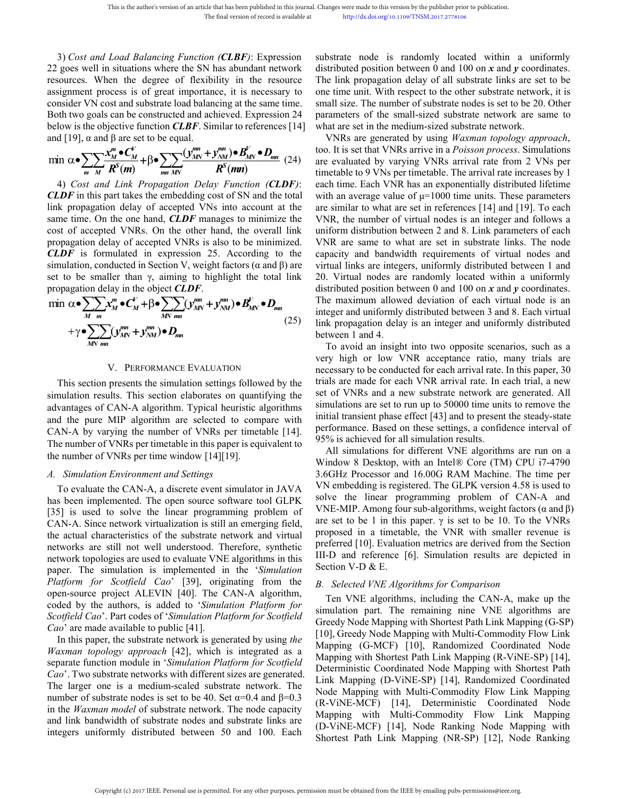This is the author's version of an article that has been published in this journal. Changes were made to this version 1<br>
The final version of record is available at http://dx.doi.org/10.1109/<sup>7</sup><br>
3) *Cost and Load Balancin* This is the author's version of an article that has been published in this journal. Changes were made to this version by the The final version of record is available at the publications where the SN has abundant network di This is the author's version of an article that has been published in this journal. Changes were made to this version by the final version of record is available at http://dx.doi.org/10.1109/TNS<br>3) Cost and Load Balancing This is the author's version of an article that has been published in this journal. Changes were made to this version by the published in the final version of record is available at the process is of great importance, it i This is the author's version of an article that has been published in this journal. Changes were made to this version by the pull<br>The final version of record is available at http://dx.doi.org/10.1109/TNSM.20<br>3) Cost and L This is the author's version of an article that has been published in this journal. Changes were made to this version by the publisherm of the final version of record is available at the published in the direction of reco This is the author's version of an article that has been published in this journal. Changes were made to this version by the published The final version of record is available at the published in the degree of flexibility This is the author's version of an article that has been published in this journal. Channel and *Coad Balancing Function* (*CLBF*): Expression su<br>
22 goes well in situations where the SN has abundant network dis<br>
resource This is the author's version of an article that has been published in this journal. Changes were made to this version by the publism.<br>
The final version of record is available at<br> *m m*<sup>*m*</sup> *Moad Balancing Function (C* This is the author's version of an article that has been published in this journal. Changes with the final version of record is available at the substrant and *Load Balancing Function* (*CLBF*): Expression substrant well 3) *Cost and Load Balancing Function (CLBF)*: Expression substrate node is rand goes well in situations where the SN has abundant network distributed position betwe cources. When the degree of flexibility in the resource 3) Cost and Load Balancing Function (**CLBF**): Expression substrate node is randomly 22 goes well in situations where the SN has abundant network distributed position between 0 resources. When the degree of flexibility in 2) Cost and Load Balancing Function (CLBF): Expression substrate node is randomly designment process. When the degree of flexibility in the resources. The link propagation delay of assignment process is of great importan

$$
\min \alpha \bullet \sum_{m} \frac{X_M^m \bullet C_M^V}{R^S(m)} + \beta \bullet \sum_{mn} \frac{(y_{MN}^{mn} + y_{NM}^{mn}) \bullet B_{MN}^V \bullet D_{mn}}{R^S(mn)} \tag{24} \text{ to. It is} \text{ are eval} \text{ (24)}
$$

22 goes well in studions where the SN has a abundant network distributed postuon between 0 assignment process is of great importance, it is necessary to one time unit. With respect to the onesider VN cost and substrate lo resources. When the degree of reactivity in the resource in lank propagation delay of accepted VNRs is also to be minimized.<br>
Sasignment process is of great importance, it is necessary to one time unit. With respect to co assignment process is or great importance, it is necessary to one time unit. With responsibler VN cost and substrate load balancing at the same time. Small size. The number Both two goals can be constructed and achieved. **CLDF** is formulated in expression 25. According to the same time.<br>
CLDDF is formulated in expression 24. The unit size of the small-sized shelow is the objective function *CLBF*. Similar to references [14] what are set i Solon way ognas can be constructed and achieved. Expression 24 parameters or the small-sized<br>and [19], α and β are set to be equal.<br>
Which are set in the medium-sized<br>
and [19], α and β are set to be equal.<br>
This paramet below is the objective tunction *CLBF*. Similar to references [14] what are set in the medium-size<br>and [19], α and β are set to be equal.<br>
min  $\alpha \bullet \sum_{n} \frac{X_n^m \bullet C_M^V}{N} + \beta \bullet \sum_{nm} \frac{(y_n^m + y_m^m) \bullet B_M^V}{N} \bullet D_{nm}$  (24) the ev  $\sum_{m} \sum_{M} \frac{\mathbf{x}_{M}^{m} \cdot \mathbf{C}_{M}^{V}}{\mathbf{R}^{S}(m)} + \beta \cdot \sum_{mn} \frac{(\mathbf{y}_{MN}^{m} + \mathbf{y}_{NM}^{m}) \cdot \mathbf{B}_{MN}^{V}}{\mathbf{R}^{S}(mn)}$  (24) are evalid that *Hropagation Delay Function (CLDF)*: each time this part takes the embedding cost of SN and *Maximality*<br> *Maximality*<br> *Maximality*<br> *Maximality*<br> *Maximality*<br> *Maximality*<br> *Maximality*<br> *MNNS.* On the one hand, **CLDF** manages to minim<br>
ccepted VNRs. On the other hand, the oversion<br>
or delay of accepted VNRs the one hand, **CLDF** manages to minimize the VNR, the<br>
ed VNRs. On the other hand, the overall link uniform of<br>
lay of accepted VNRs is also to be minimized. VNR are<br>
mulated in expression 25. According to the capacity<br>
d Example the simulation settings followed by the trial transition between 1 and 4.<br>
This section presents the simulation, conducted in Section V, weight factors ( $\alpha$  and  $\beta$ ) are simulation settings for the simulation, c

$$
\min \alpha \bullet \sum_{M \text{ m}} \sum_{m} x_{M}^{m} \bullet C_{M}^{V} + \beta \bullet \sum_{M \text{ N} \text{ m}} (y_{MN}^{m} + y_{NM}^{m}) \bullet B_{MN}^{V} \bullet D_{mn}
$$
\n
$$
+ \gamma \bullet \sum_{M \text{ N} \text{ m}} (y_{MN}^{m} + y_{NM}^{m}) \bullet D_{mn}
$$
\n
$$
+ \gamma \bullet \sum_{M \text{ N} \text{ m}} (y_{MN}^{m} + y_{NM}^{m}) \bullet D_{mn}
$$
\n
$$
\left(\frac{25}{25}\right)
$$
\nThe maximum allowed deviation of each virtual integral in the program. (25) The maximum allowed deviation of each virtual integral in the program. (25) The maximum allowed deviation of each virtual integral in the program. (25) The maximum allowed deviation of each virtual integral in the program. (25) The maximum allowed deviation of each virtual integral in the program. (25) The maximum allowed deviation of each virtual integral in the program. (25) The maximum allowed deviation of each virtual integral in the program. (25) The maximum allowed deviation of each virtual integral in the program. (25) The maximum allowed deviation of each virtual integral in the program. (25) The maximum allowed deviation of each virtual integral in the program. (26) The maximum allowed deviation of each virtual integral in the program. (27) The maximum allowed deviation of each virtual integral in the program. (28) The maximum allowed deviation of each virtual integral in the program. (29) The maximum likelihood of the maximum allowed deviation of each virtual integral in the program. (29) The maximum likelihood of the maximum allowed deviation of each virtual integral in the program. (20) The maximum likelihood of the maximum allowed deviation of each virtual integral in the program.

**ECDF** is formulated in expression 25. According to the capacity and bandwidth requiris<br>simulation, conducted in expression 25. According to the capacity and bandwidth requiring<br>simulation, conducted in Section V, weight **EXECUTE:**<br>
advantages of CAN-A algorithm. The presence of VNRs per timetable in the spectral finite algorithm. This set incomparation delay in the object **CLDF**.<br>
And  $\alpha \bullet \sum_{M,m} X_m^m \bullet C_M^V + \beta \bullet \sum_{M,m} (y_{MN}^m + y_{MN}^m) \bullet B_M^V$ set to be smaller than  $\gamma$ , aiming to highlight the total link 20. Virtual nodes are random<br>propagation delay in the object **CLDF**.<br>  $\lim_{M \to m} \alpha \cdot \sum_{M'} \sum_{m'} \sum_{m'} \langle \mathbf{y}_{MN}^m + \mathbf{y}_{MN}^m \rangle \cdot \mathbf{B}_{MN}^N \cdot \mathbf{D}_{mn}$ <br>  $\vdots$  The propagation delay in the object CLDF.<br>
The maximum allowed position between 0<br>
The maximum allowed devia<br>
integer and uniformly distributed<br>  $+\gamma \sum_{MN} (y_{MN}^m + y_{MN}^m) \cdot D_{mn}$  (25)<br>  $\sum_{MN} (y_{MN}^m + y_{MN}^m) \cdot D_{mn}$  (25)<br>
between The maximum allowed deviation<br>
The maximum allowed deviation<br>  $+\gamma \bullet \sum_{MN} (y_{MN}^m + y_{NM}^m) \bullet D_{mn}$ <br>  $+\gamma \bullet \sum_{MN} (y_{MN}^m + y_{NM}^m) \bullet D_{mn}$ <br>  $\rightarrow \sum_{MN} (y_{MN}^m + y_{NM}^m) \bullet D_{mn}$ <br>  $\rightarrow \sum_{MN} (y_{MN}^m + y_{NM}^m) \bullet D_{mn}$ <br>  $\rightarrow \sum_{MN} (y_{MN}^m + y_{NM}^m) \bullet D_{$ The number of VMRs per time<br>table integer and<br> $\frac{1}{MN \, m}$  (25) in the propagative of  $\frac{1}{MN \, m}$ <br>(25) in the propagative window the strengthen in the set of VNR<br>This section presents the simulation settings followed by  $+\gamma \bullet \sum_{MN \text{ mm}} (\mathbf{y}_{MN}^{\text{ mm}} + \mathbf{y}_{NM}^{\text{ mm}}) \bullet \mathbf{D}_{mm}$  between<br>very<br>V. PERFORMANCE EVALUATION<br>This section presents the simulation settings followed by the trials<br>simulation results. This section elaborates on quantifyin To evaluate the CAN-A, a discrete event simulator in JAVA<br>
are set of UNR according to the conducted for the set of VNR according to be conducted for the transis section presents the simulation settings followed by the tri V. PERFORMANCE EVALUATION<br>
This section presents the simulation settings followed by the<br>
investigation in the conducted for e<br>
simulation results. This section elaborates on quantifying the<br>
set of VNRs and a new subst<br>
a V. PERFORMANCE EVALUATION<br>
This section presents the simulation settings followed by the<br>
simulation results. This section elaborates on quantifying the<br>
simulation seculates of CAN-A algorithm. Typical heuristic algorithm

This section presents the simulation settings followed by the trials are made for each VNR<br>
simulation results. This section elaborates on quantifying the set of VNRs and a new subs<br>
advantages of CAN-A algorithm. Typical Fin section pessens us simulation results. This section elaborates on quantifying the set of VNRs and a new substrates and vantages of CAN-A algorithm. Typical heuristic algorithms simulations are set to run up and the pu Solution I essualistic and the public still not well interest are still not well and the pure MP algorithm are selected to compare with initial transient phase effect CAN-A by varying the number of VNRs per timetable [14] accounaries of CAN-A approximate in typical neuration is commissioned and the pure MP algorithm are selected to compare with initial transient phase effect [43 CAN-A by varying the number of VNRs per timetable in this pap and the pure MIP algorithm are selected to compare with the and the paper. As by varying the number of VNRs per timetable in this paper is equivalent to the number of VNRs per timetable in this paper is equivalent to  $\frac{$ CAN-A by varying the number of VNKs per timetable [14].<br> **Parameters** of VNRs per timetable in this paper is equivalent to<br> **Parameters** of the number of VNRs per timetable in this paper is equivalent to<br> *All* simulations The number of VNRs per timetable in this paper is equivalent to<br>
the number of VNRs per time window [14][19]. Worldow 8 Desktop, wit<br>
A. *Simulation Environment and Settings*<br>
3.6GHz Processor and 1<br>
To evaluate the CAN-A the number of VNRs per time window [14][19].<br> *Conduct the CAN-A, a discrete event simulator in JAVA* VN embedding is registered. The one such a form as been implemented. The open sure of the permission and the can-<br>
JaSJ *A. Simulation Environment and Settings*<br>
<sup>3.6GHz</sup> Processor and 16<br>
To evaluate the CAN-A, a discrete event simulator in JAVA<br>
<sup>3.6GHz</sup> Processor and 16<br>
To evaluate the CAN-A. Since network in the open source software to *Cao*<br> *Cao* are implemented. The open source software tool GLPK<br>
In the CAN-A, a discrete event simulator in JAVA<br>
<sup>C</sup>OAN-A. Since network the linear programming problem of<br>
CAN-A. Since network virtualization is still an Io evaluate the CAN-A, a discrete event simulator in JAVA<br>
Is been implemented. The open source software tool GLPK<br>
Is is used to solve the linear programming problem of<br>
NNE-MIP. Among four substrate network virtualizatio **Examplemented.** Ine open source software tool CL-K<br>
The lange of minimal propolem of TNE-MIP. Among four sub-algoric CAN-A. Since network virtualization is still an emerging field, are set to be 1 in this paper.  $\gamma$  is<br> [35] is used to solve the illear programming problem of<br>
CAN-A. Since network virtualization is still an emerging field, are set to be 1 in this para<br>
the actual characteristics of the substrate network and virtual propose CAN-A. Since network virtualization is still an emerging incident and virtual characteristics of the substrate network and virtual characteristics of the substrate network topologies are used to evaluate VNE algorithms in

me acuta characteristics of the substrate network and virtual interesting to the state in the entropy appendix are still not well understood. Therefore, synthetic preferred [10]. Evaluation metricular the synthetic interv networks are still not well understood. Inerefore, synthete VIE algorithms in this paper. The simulation is implemented in the '*Simulation* Section V-D & E.<br> *Platform for Scotfield Cao*' [39], originating from the *B. S* network topologies are used to evaluate VNE algorithms in this  $^{12}$  can<br> *Platform for Scotfield Cao'* [39], originating from the *B. Selected VNE Algorith*<br>
open-source project ALEVIN [40]. The CAN-A algorithm,<br>
coded paper. Ine simulation is implemented in the *Simulation*<br> *Platform for Scotfield Cao'* [39], originating from the *B*. *Selected WIE Algorithms,* for<br>
open-source project ALEVIN [40]. The CAN-A algorithm, Ten VNE algorit *Flatform for Scottled Cao* [39], originating from the *B. Selected VNE Algorithms*, open-source project ALEVIN [40]. The CAN-A algorithms (codd by the authors, is added to *'Simulation Platform for* The WE algorithms, in

Changes were made to this version by the publisher prior to publication.<br>
http://dx.doi.org/10.1109/TNSM.2017.2778106<br>
substrate node is randomly located within a uniformly<br>
distributed position between 0 and 100 on x and Changes were made to this version by the publisher prior to publication.<br>
http://dx.doi.org/10.1109/TNSM.2017.2778106<br>
substrate node is randomly located within a uniformly<br>
distributed position between 0 and 100 on *x* an Changes were made to this version by the publisher prior to publication.<br>
http://dx.doi.org/10.1109/TNSM.2017.2778106<br>
substrate node is randomly located within a uniformly<br>
distributed position between 0 and 100 on x and Changes were made to this version by the publisher prior to publication.<br>
http://dx.doi.org/10.1109/TNSM.2017.2778106<br>
substrate node is randomly located within a uniformly<br>
distributed position between 0 and 100 on x and Changes were made to this version by the publisher prior to publication.<br>
http://dx.doi.org/10.1109/TNSM.2017.2778106<br>
substrate node is randomly located within a uniformly<br>
distributed position between 0 and 100 on x and Changes were made to this version by the publisher prior to publication.<br>
http://dx.doi.org/10.1109/TNSM.2017.2778106<br>
substrate node is randomly located within a uniformly<br>
distributed position between 0 and 100 on x and Changes were made to this version by the publisher prior to publication.<br>
http://dx.doi.org/10.1109/TNSM.2017.2778106<br>
substrate node is randomly located within a uniformly<br>
distributed position between 0 and 100 on x and Changes were made to this version by the publisher prior to publication.<br>
http://dx.doi.org/10.1109/TNSM.2017.2778106<br>
Substrate node is randomly located within a uniformly<br>
distributed position between 0 and 100 on x and http://dx.doi.org/10.1109/TNSM.2017.2778106<br>substrate node is randomly located within a uniformly<br>distributed position between 0 and 100 on x and y coordinates.<br>The link propagation delay of all substrate links are set to

This is the author's version of an article that has been published in this journal. Changes were made to this version by the publisher prior to publishers and Load Balancing Function (CLBF): Expression substrate node is r This is the author's version of an article that has been polisieded in this journal. Changes were made to this version by the polisieder prior to polisieds.<br>
The final version of recession is a hardbook a<br>
frequency in si This be author's version of an article that has been published in this journal. Changes were made to this version by the publisher prior to publication.<br>
The final version of record is available at<br> *x* harp (*Atadoceg*/1 This is the author's version of an article that has been published in this journal. Changes were made to this version by the publisher prior to publication.<br>
The final version of record is available at<br> *R mand microsconi* too. It is set that VNRs arrive in a Poisson process. Simulations are evaluated by varying VNRs arrival rate from 2 VNs per **Propagation** The state of the count of the control interaction (CLDF). Expression and between 0 and 100 on x and y control in situations where the SN has shundant network distributed position between 0 and 100 on x and y 3) Cost and Load Balancing Function (CLBF): Expression substrate node is randomly looging and Load Balancing Function (CLBF): Expression substrate node is randomly looging algebra of files in the resources. When the degre This is the unber we must dust the base based and considered and consider the section of the based of the section (TLBF): Expression substrate node is modelnly located within a uniformly Cost and Johann relation (TLBF): E B are set to be equal.<br>
WINES are generated by using<br>  $\frac{m}{N} \cdot C_M'$ <br>  $\frac{N}{N} + \beta \cdot \sum_{mn} \frac{(y_{MN}^{mn} + y_{NM}^{mn}) \cdot B_{MN}^{p} \cdot D_{mn}}{R^{s}(mn)}$  (24) inentable to 9 VINEs arrive in the<br>
Link Propagation Delay Function (CLDF): each time. Tresholations in residue to the symbol of the contributed by the probability of the symbol studies where the SN has abundant network distributed position between 0 and 100 on x and y coordinates<br>
x *x* and studies where t *y and Balancing Function* (*CLBF*): Expression substrate node is randomly locatituations where the SN has abundant network distributed position between 0 and 10 the responsent of hexibility in the resource The link propa uber's version of an article that has been published in this journal. Changes were made to this version by the published in the terror of second is a small single interpolation of record is randomly and article of the SN substrate node is randomly located within a uniformly<br>distributed position between 0 and 100 on x and y coordinates.<br>The link propagation delay of all substrate links are set to be<br>one time unit. With respect to the other substrate node is randomly located within a uniformly<br>distributed position between 0 and 100 on x and y coordinates.<br>The link propagation delay of all substrate links are set to be<br>one time unit. With respect to the other substrate node is randomly located within a uniformly<br>distributed position between 0 and 100 on x and y coordinates.<br>The link propagation delay of all substrate links are set to be<br>one time unit. With respect to the other substrate node is randomly located within a uniformly<br>distributed position between 0 and 100 on x and y coordinates.<br>The link propagation delay of all substrate links are set to be<br>one time unit. With respect to the other distributed position between 0 and 100 on x and y coordinates.<br>The link propagation delay of all substrate links are set to be<br>one time unit. With respect to the other substrate network, it is<br>small size. The number of su The link propagation delay of all substrate links are set to be one time unit. With respect to the other substrate network, it is small size. The number of substrate nodes is set to be 20. Other parameters of the small-si one time unit. With respect to the other substrate network, it is<br>small size. The number of substrate nodes is set to be 20. Other<br>parameters of the small-sized substrate network are same to<br>what are set in the medium-siz small size. The number of substrate hodes is set to be 20. Other<br>parameters of the small-sized substrate network are same to<br>what are set in the mall-sized substrate network.<br>VNRs are generated by using *Waxman topology a* parameters of the small-sized substrate network are same to<br>what are set in the medium-sized substrate network.<br>This wirth are sense to the medium-sized substrate method.<br>It is set that VNRs arrive in a *Poisson process*. What are set in the meadum-sized substrate network.<br>
VNRs are generated by using *Waxman topology approach*,<br>
too. It is set that VNRs arrive in a *Poisson process*. Simulations<br>
are evaluated by varying VNRs arrival rate VINKS are generated by using *Waxman topology approacn*,<br>too. It is set that VINRs arrive in a *Poisson process*. Simulations<br>are evaluated by varying VNRs arrival rate from 2 VNs per<br>timetable to 9 VNs per timetable. The too. It is set that VNKs arrive in a *Polsson process*. Simulations<br>are evaluated by varying VNRs arrival rate from 2 VNs per<br>timetable to 9 VNs per timetable. The arrival rate increases by 1<br>each time. Each VNR has an ex are evaluated by varying VNRs arrival rate from 2 VNs per<br>timetable to VNs per timetable. The arrival rate increases by 1<br>each time. Each VNR has an exponentially distributed lifetime<br>with an average value of  $\mu$ =1000 ti timetable to 9 VNS per timetable. I ne arrival rate increases by 1<br>each time. Each VNR has an exponentially distributed lifetime<br>with an average value of  $\mu$ =1000 time units. These parameters<br>are similar to what are set each ume. Each VNK has an exponentially distribute<br>with an average value of  $\mu$ =1000 time units. These p<br>are similar to what are set in references [14] and [19]<br>VNR, the number of virtual nodes is an integer and<br>uniform In an average value of  $\mu$ =1000 time units. These parameters<br>
s similar to what are set in references [14] and [19]. To each<br>
NR, the number of virtual nodes is an integer and follows a<br>
iform distribution between 2 and are similar to what are set in references [14] and [19]. 10 each<br>
VNR, the number of virtual nodes is an integer and follows a<br>
uniform distribution between 2 and 8. Link parameters of each<br>
VNR are same to what are set in VNK, the number of Virtual nodes is an integer and follows a<br>uniform distribution between 2 and 8. Link parameters of each<br>VNR are same to what are set in substrate links. The node<br>capacity and bandwidth requirements of vi uniform distribution between 2 and 8. Link parameters of each VNR are same to what are set in substrate links. The node capacity and bandwidth requirements of virtual nodes and virtual links are integers, uniformly distri

VINK are same to what are set in substrate inkts. The node and capacity and bandwidth requirements of virtual nodes and virtual inks are integers, uniformly distributed between 1 and 20. Virtual nodes are randomly located capacity and bandwidth requirements of virtual hodes and<br>virtual links are integers, uniformly distributed between 1 and<br>20. Virtual nodes are randomly located within a uniformly<br>distributed position between 0 and 100 on 20. Virtual inks are integers, uniformly distributed between 1 and<br>20. Virtual nodes are randomly located within a uniformly<br>distributed position between 0 and 100 on x and y coordinates.<br>The maximum allowed deviation of 20. Virtual nodes are randomly located within a uniformly<br>distributed position between 0 and 100 on x and y coordinates.<br>The maximum allowed deviation of each virtual node is an<br>integer and uniformly distributed between 3 distributed position between 0 and 100 on  $x$  and  $y$  coordinates.<br>The maximum allowed deviation of each virtual node is an integer and uniformly distributed between 3 and 8. Each virtual link propagation delay is an inte ie maximum allowed deviation of each virtual node is an<br>eger and uniformly distributed between 3 and 8. Each virtual<br>k propagation delay is an integer and uniformly distributed<br>tween 1 and 4.<br>To avoid an insight into two o integer and uniformly distributed between 5 and 8. Each virtual<br>link propagation delay is an integer and uniformly distributed<br>the To avoid an insight into two opposite scenarios, such as a<br>very high or low VNR acceptance Ink propagation detay is an integer and uniformity distributed<br>between 1 and 4.<br>To avoid an insight into two opposite scenarios, such as a<br>very high or low VNR acceptance ratio, many trials are<br>necessary to be conducted fo between 1 and 4.<br>
To avoid an insight into two opposite scenarios, such as a<br>
very high or low VNR acceptance ratio, many trials are<br>
necessary to be conducted for each arrival rate. In this paper, 30<br>
trials are made for

I o avoid an insignt into two opposite scenarios, such as a<br>very high or low VNR acceptance ratio, many trials are<br>necessary to be conducted for each arrival rate. In this paper, 30<br>trials are made for each VNR arrival r very nigh or low VNK acceptance ratio, many trans are<br>necessary to be conducted for each arrival rate. In this paper, 30<br>trials are made for each VNR arrival rate. In each trial, a new<br>set of VNRs and a new substrate net necessary to be conducted for each arrival rate. In this paper, 30<br>trials are made for each VNR arrival rate. In each trial, a new<br>set of VNRs and a new substrate network are generated. All<br>simulations are set to run up t trials are made for each VNR arrival rate. In each trial, a new<br>set of VNRs and a new substrate network are generated. All<br>simulations are set to run up to 50000 time units to remove the<br>initial transient phase effect [4 set of VINKs and a new substrate network are generated. All<br>simulations are set to run up to 50000 tine units to remove the<br>initial transient phase effect [43] and to present the steady-state<br>performance. Based on these s simulations are set to run up to 50000 time units to remove the initial transient phase effect [43] and to present the steady-state performance. Based on these settings, a confidence interval of 95% is achieved for all si mittal transient phase errect [43] and to present the ste<br>performance. Based on these settings, a confidence in<br>95% is achieved for all simulation results.<br>All simulations for different VNE algorithms are<br>Window 8 Desktop 95% is achieved for all simulation results.<br>
All simulations for different VNE algorithms are run on a<br>
Window 8 Desktop, with an Intel® Core (TM) CPU i7-4790<br>
3.6GHz Processor and 16.00G RAM Machine. The time per<br>
VN embe All simulations for different VNE algorithms are run on a<br>indow 8 Desktop, with an Intel® Core (TM) CPU i7-4790<br>6GHz Processor and 16.00G RAM Machine. The time per<br>Vembedding is registered. The GLPK version 4.58 is used t Window 8 Desktop, with an Intel® Core (TM) CPU i7-4790<br>3.6GHz Processor and 16.00G RAM Machine. The time per<br>VN embedding is registered. The GLPK version 4.58 is used to<br>solve the linear programming problem of CAN-A and<br>V 3.6GHz Processor and 16.00G RAM Machine. The time per<br>VN embedding is registered. The GLPK version 4.58 is used to<br>solve the linear programming problem of CAN-A and<br>VNE-MIP. Among four sub-algorithms, weight factors (a and VN embedding is registered. The GLPK version 4.58 is used to<br>solve the linear programming problem of CAN-A and<br>VNE-MIP. Among four sub-algorithms, weight factors (a and  $\beta$ )<br>pare set to be 1 in this paper.  $\gamma$  is set to

solve the linear programming problem of CAN-A and<br>VNE-MIP. Among four sub-algorithms, weight factors (α and β)<br>are set to be 1 in this paper. γ is set to be 10. To the VNRs<br>proposed in a timetable, the VNR with smaller re VNE-MIP. Among four sub-algorithms, weight factors ( $\alpha$  and  $\beta$ )<br>are set to be 1 in this paper.  $\gamma$  is set to be 10. To the VNRs<br>proposed in a tinctable, the VNR with smaller revenue is<br>preferred [10]. Evaluation metri are set to be 1 in this paper.  $\gamma$  is set to be 10. To the VNRs<br>proposed in a timetable, the VNR with smaller revenue is<br>preferred [10]. Evaluation metrics are derived from the Section<br>III-D and reference [6]. Simulation proposed in a timetable, the VNR with smaller revenue is<br>preferred [10]. Evaluation metrics are derived from the Section<br>III-D and reference [6]. Simulation results are depicted in<br>Section V-D & E.<br>B. Selected VNE Algorith preferred [10]. Evaluation metrics are derived from the Section<br>III-D and reference [6]. Simulation results are depicted in<br>Section V-D & E.<br>B. Selected VNE Algorithms for Comparison<br>Ten VNE algorithms, including the CAN-A III-D and reference [6]. Simulation results are depicted in<br>Section V-D & E.<br>B. Selected VNE Algorithms for Comparison<br>Ten VNE algorithms, including the CAN-A, make up the<br>simulation part. The remaining nine VNE algorithms Section V-D & E.<br> *B. Selected VNE Algorithms for Comparison*<br>
Ten VNE algorithms, including the CAN-A, make up the<br>
simulation part. The remaining nine VNE algorithms are<br>
Greedy Node Mapping with Shortest Path Link Mappi B. Selected VNE Algorithms for Comparison<br>Ten VNE algorithms, including the CAN-A, make up the<br>simulation part. The remaining nine VNE algorithms are<br>Greedy Node Mapping with Shortest Path Link Mapping (G-SP)<br>[10], Greedy Ten VNE algorithms, including the CAN-A, make up the<br>Ten VNE algorithms, including the CAN-A, make up the<br>simulation part. The remaining nine VNE algorithms are<br>Greedy Node Mapping with Shortest Path Link Mapping (G-SP)<br>[1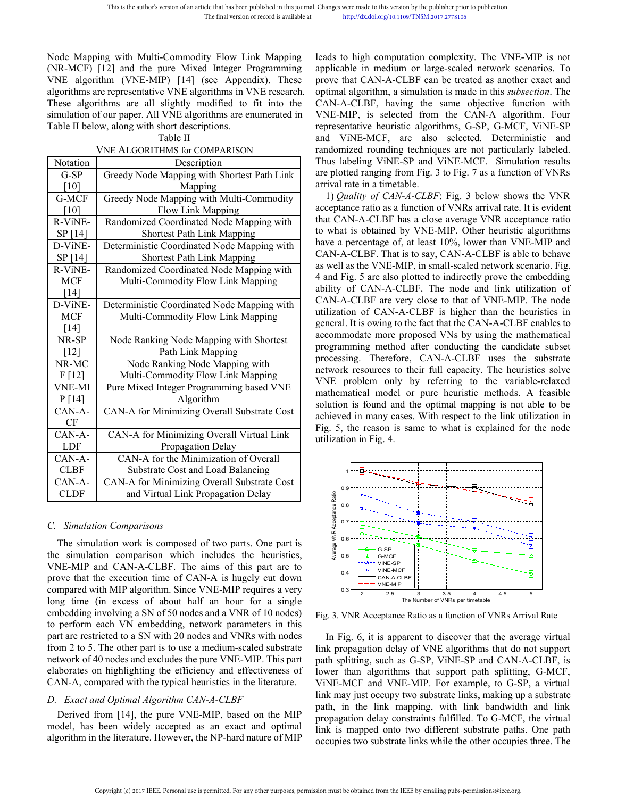This is the author's version of an article that has been published in this journal. Changes were made to this version by<br>
The final version of record is available at<br>
Node Mapping with Multi-Commodity Flow Link Mapping lea This is the author's version of an article that has been published in this journal. Changes were made to this versions in the final version of record is available at http://dx.doi.org/10.11<br>
Node Mapping with Multi-Commodi This is the author's version of an article that has been published in this journal. Changes were made to this version by the published in the final version of record is available at the published in the published in the pu This is the author's version of an article that has been published in this journal. Changes were made to this version by the final version of record is available at http://dx.doi.org/10.1109/TNS.<br>
Node Mapping with Multi-C This is the author's version of an article that has been published in this journal. Changes were made to this version by the published in the published into the commodity Flow Link Mapping leads to high computation com (NR This is the author's version of an article that has been published in this journal. Changes were made to this version by the publisherm and the paper of record is available at the paper. All VNE algorithms are representati This is the author's version of an article that has been published in this journal. Chang<br>
The final version of record is available at<br>
(NR-MCF) [12] and the pure Mixed Integer Programming appli<br>
VNE algorithm (VNE-MIP) [1 version of an article that has been published in this journal. Changes<br>
The final version of record is available at<br>
i-Commodity Flow Link Mapping leads<br>
pure Mixed Integer Programming applic<br>
IP) [14] (see Appendix). Thes The final version of record is available at<br>
ing with Multi-Commodity Flow Link Mapping leads to high c<br>
[12] and the pure Mixed Integer Programming applicable in rithm (VNE-MIP) [14] (see Appendix). These prove that CAN<br> and WINE-MIR (Bey Node Mapping Mandomized Node Mapping Readsons and the propertiest Path CAN-A-CLBF can also that CAN-A-CLBF can be shorted to fit into the CAN-A-CLBF can be all shorted to fit into the CAN-A-CLBF can be al

|                                                            | Node Mapping with Multi-Commodity Flow Link Mapping<br>(NR-MCF) [12] and the pure Mixed Integer Programming<br>VNE algorithm (VNE-MIP) [14] (see Appendix). These | leads to high computation comp<br>applicable in medium or large-s<br>prove that CAN-A-CLBF can be |     |
|------------------------------------------------------------|-------------------------------------------------------------------------------------------------------------------------------------------------------------------|---------------------------------------------------------------------------------------------------|-----|
|                                                            | algorithms are representative VNE algorithms in VNE research.                                                                                                     | optimal algorithm, a simulation is                                                                |     |
|                                                            | These algorithms are all slightly modified to fit into the                                                                                                        | CAN-A-CLBF, having the sar                                                                        |     |
|                                                            | simulation of our paper. All VNE algorithms are enumerated in                                                                                                     | VNE-MIP, is selected from th                                                                      |     |
|                                                            | Table II below, along with short descriptions.                                                                                                                    | representative heuristic algorithn                                                                |     |
|                                                            | Table II                                                                                                                                                          | and ViNE-MCF, are also s                                                                          |     |
|                                                            | <b>VNE ALGORITHMS for COMPARISON</b>                                                                                                                              | randomized rounding techniques                                                                    |     |
| Notation                                                   | Description                                                                                                                                                       | Thus labeling ViNE-SP and ViN                                                                     |     |
| $G-SP$                                                     | Greedy Node Mapping with Shortest Path Link                                                                                                                       | are plotted ranging from Fig. 3 to                                                                |     |
| $[10]$                                                     | Mapping                                                                                                                                                           | arrival rate in a timetable.                                                                      |     |
| G-MCF                                                      | Greedy Node Mapping with Multi-Commodity                                                                                                                          | 1) Quality of CAN-A-CLBF: F                                                                       |     |
| [10]                                                       | Flow Link Mapping                                                                                                                                                 | acceptance ratio as a function of V                                                               |     |
| R-ViNE-                                                    | Randomized Coordinated Node Mapping with                                                                                                                          | that CAN-A-CLBF has a close a                                                                     |     |
| SP [14]                                                    | <b>Shortest Path Link Mapping</b>                                                                                                                                 | to what is obtained by VNE-MI                                                                     |     |
|                                                            | Deterministic Coordinated Node Mapping with                                                                                                                       | have a percentage of, at least 10 <sup>°</sup>                                                    |     |
| D-ViNE-                                                    |                                                                                                                                                                   | CAN-A-CLBF. That is to say, CA                                                                    |     |
| SP [14]                                                    | <b>Shortest Path Link Mapping</b>                                                                                                                                 | as well as the VNE-MIP, in small                                                                  |     |
| R-ViNE-                                                    | Randomized Coordinated Node Mapping with                                                                                                                          | 4 and Fig. 5 are also plotted to in                                                               |     |
| <b>MCF</b>                                                 | Multi-Commodity Flow Link Mapping                                                                                                                                 | ability of CAN-A-CLBF. The                                                                        |     |
| $[14]$                                                     |                                                                                                                                                                   | CAN-A-CLBF are very close to                                                                      |     |
| D-ViNE-                                                    | Deterministic Coordinated Node Mapping with                                                                                                                       | utilization of CAN-A-CLBF is                                                                      |     |
| <b>MCF</b>                                                 | Multi-Commodity Flow Link Mapping                                                                                                                                 | general. It is owing to the fact that                                                             |     |
| $[14]$                                                     |                                                                                                                                                                   | accommodate more proposed VN                                                                      |     |
| NR-SP                                                      | Node Ranking Node Mapping with Shortest                                                                                                                           | programming method after cond                                                                     |     |
| $[12]$                                                     | Path Link Mapping                                                                                                                                                 | processing. Therefore, CAN-A                                                                      |     |
| NR-MC                                                      | Node Ranking Node Mapping with                                                                                                                                    | network resources to their full c                                                                 |     |
| F[12]                                                      | Multi-Commodity Flow Link Mapping                                                                                                                                 | VNE problem only by referr                                                                        |     |
| <b>VNE-MI</b>                                              | Pure Mixed Integer Programming based VNE                                                                                                                          | mathematical model or pure he                                                                     |     |
| P[14]                                                      | Algorithm                                                                                                                                                         | solution is found and the optima                                                                  |     |
| CAN-A-                                                     | CAN-A for Minimizing Overall Substrate Cost                                                                                                                       |                                                                                                   |     |
| CF                                                         |                                                                                                                                                                   | achieved in many cases. With res                                                                  |     |
| CAN-A-                                                     | CAN-A for Minimizing Overall Virtual Link                                                                                                                         | Fig. 5, the reason is same to wh<br>utilization in Fig. 4.                                        |     |
| LDF                                                        | Propagation Delay                                                                                                                                                 |                                                                                                   |     |
| CAN-A-                                                     | CAN-A for the Minimization of Overall                                                                                                                             |                                                                                                   |     |
| <b>CLBF</b>                                                | Substrate Cost and Load Balancing                                                                                                                                 |                                                                                                   |     |
| CAN-A-                                                     | CAN-A for Minimizing Overall Substrate Cost                                                                                                                       |                                                                                                   |     |
| <b>CLDF</b>                                                | and Virtual Link Propagation Delay                                                                                                                                | 0.9<br>Ratio                                                                                      |     |
|                                                            |                                                                                                                                                                   | 0.8                                                                                               |     |
|                                                            |                                                                                                                                                                   |                                                                                                   |     |
|                                                            | C. Simulation Comparisons                                                                                                                                         | 0.7                                                                                               |     |
|                                                            |                                                                                                                                                                   | Average VNR Acceptance<br>0.6                                                                     |     |
|                                                            | The simulation work is composed of two parts. One part is                                                                                                         | G-SP                                                                                              |     |
|                                                            | the simulation comparison which includes the heuristics,                                                                                                          | 0.5<br>G-MCF<br>VINE-SP                                                                           |     |
|                                                            | VNE-MIP and CAN-A-CLBF. The aims of this part are to                                                                                                              | VINE-MCF<br>0.4                                                                                   |     |
| prove that the execution time of CAN-A is hugely cut down  |                                                                                                                                                                   | CAN-A-CLBF<br>VNE-MIP                                                                             |     |
| compared with MIP algorithm. Since VNE-MIP requires a very |                                                                                                                                                                   | 0.3<br>$\mathfrak{p}$<br>2.5<br>3                                                                 | 3.5 |
|                                                            | long time (in excess of about half an hour for a single                                                                                                           | The Number of VNF                                                                                 |     |
|                                                            | embedding involving a $SN$ of 50 nodes and a $VNR$ of 10 nodes)                                                                                                   |                                                                                                   |     |

CAN-A CAN-A for Minimizing Overall Virtual Link<br>
LDF Propagation Delay<br>
CAN-A CAN-A for the Minimization of Overall<br>
CLAE Substrate Cost and Load Balancing<br>
CAN-A is hugh CAN-A for Minimizing Overall Substrate Cost<br>
CLDE LDF<br>
CAN-A-CAN-A for the Minimization of Overall<br>
CLBF Substrate Cost and Load Balancing<br>
CAN-A-CAN-A for Minimizing Overall Substrate Cost<br>
CLDF and Virtual Link Propagation Delay<br>
C. Simulation Comparisons<br>
The simulati CAN-A-CAN-A for the Minimization of Overall<br>
CLBF Substrate Cost and Load Balancing<br>
CLDF and Virtual Link Propagation Delay<br>
C. Simulation Comparisons<br>
The simulation vork is composed of two parts. One part is<br>
the simul CLBF<br>
CLBF Substrate Cost and Load Balancing<br>
CLDF and Virtual Link Propagation Delay<br>
C. Simulation Comparisons<br>
The simulation vork is composed of two parts. One part is<br>
the simulation comparisons<br>
The simulation compa CAN-A CAN-A for Minimizing Overall Substrate Cost<br>
CLDF and Virtual Link Propagation Delay<br>  $\frac{2}{3}$ <br>
C. Simulation Comparisons<br>
The simulation comparisons<br>
The simulation comparisons<br>
The simulation comparison which inc **Part are contained to a SN with 20 nodes and VNRs with nodes of lower than algorithms of the simulation comparisons**<br>
The simulation vork is composed of two parts. One part is<br>  $\frac{2}{3}$  with  $\frac{2}{3}$  with  $\frac{2}{3}$  wit C. Simulation Comparisons<br>
The simulation vork is composed of two parts. One part is<br>
the simulation comparison which includes the heuristics,<br>
WE-MIP and CAN-A-CLBF. The aims of this part are to<br>
prove that the execution C. Simulation Comparisons<br>
The simulation work is composed of two parts. One part is<br>
WHE-MIP and CAN-A-CLBF. The aims of this part are to<br>
VNE-MIP and CAN-A-CLBF. The aims of this part are to<br>
prove that the execution ti C. Simulation Comparisons<br>
The simulation work is composed of two parts. One part is<br>
the simulation comparison which includes the heuristics,<br>
NDE-MIP and CAN-A CLBB. The aims of this part are to<br>
prove that the executio The simulation work is composed of two parts. One part is<br>
the simulation comparison which includes the heuristics,<br>
VNE-MIP and CAN-A-CLBF. The aims of this part are to<br>
prove that the execution time of CAN-A is hugely c **EXAMPERENT:** The simulation comparison which includes the heuristics,<br>
VNE-MIP and CAN-A-CLBF. The aims of this part are to<br>
prove that the execution time of CAN-A is hugely cut down<br>
compared with MIP algorithm. Since VN NE-MIP and CAN-A-CLBF. The aims of this part are to<br>
ove that the excession time of CAN-A is hugely cut down<br>
margared with MIP algorithm. Since VNE-MIP requires a very<br>
may age time (in excess of about half an hour for a prove that the execution time of CAN-A is hugely cut down<br>
compared with MIP algorithm. Since VNE-MIP requires a very<br>
long time (in excess of about half an hour for a single<br>
embedding involving a SN of 50 nodes and a VN compared with MIP algorithm. Since VNE-MIP requires a very<br>
long time (in excess of about half an hour for a single<br>
embedding involving a SN of 50 nodes and a VNR of 10 nodes)<br>
Fig. 3. VNR Acceptance Ratio as a<br>
to perfo

Changes were made to this version by the publisher prior to publication.<br>
http://dx.doi.org/10.1109/TNSM.2017.2778106<br>
leads to high computation complexity. The VNE-MIP is not<br>
applicable in medium or large-scaled network Changes were made to this version by the publisher prior to publication.<br>
http://dx.doi.org/10.1109/TNSM.2017.2778106<br>
leads to high computation complexity. The VNE-MIP is not<br>
applicable in medium or large-scaled network Changes were made to this version by the publisher prior to publication.<br>
http://dx.doi.org/10.1109/TNSM.2017.2778106<br>
leads to high computation complexity. The VNE-MIP is not<br>
applicable in medium or large-scaled network Changes were made to this version by the publisher prior to publication.<br>
http://dx.doi.org/10.1109/TNSM.2017.2778106<br>
leads to high computation complexity. The VNE-MIP is not<br>
applicable in medium or large-scaled network Changes were made to this version by the publisher prior to publication.<br>
http://dx.doi.org/10.1109/TNSM.2017.2778106<br>
leads to high computation complexity. The VNE-MIP is not<br>
applicable in medium or large-scaled network Changes were made to this version by the publisher prior to publication.<br>
http://dx.doi.org/10.1109/TNSM.2017.2778106<br>
leads to high computation complexity. The VNE-MIP is not<br>
applicable in medium or large-scaled network Changes were made to this version by the publisher prior to publication.<br>
http://dx.doi.org/10.1109/TNSM.2017.2778106<br>
leads to high computation complexity. The VNE-MIP is not<br>
applicable in medium or large-scaled network Changes were made to this version by the publisher prior to publication.<br>
http://dx.doi.org/10.1109/TNSM.2017.2778106<br>
leads to high computation complexity. The VNE-MIP is not<br>
applicable in medium or large-scaled network Changes were made to this version by the publisher prior to publication.<br>
http://dx.doi.org/10.1109/TNSM.2017.2778106<br>
leads to high computation complexity. The VNE-MIP is not<br>
applicable in medium or large-scaled network http://dx.doi.org/10.1109/TNSM.2017.2778106<br>
leads to high computation complexity. The VNE-MIP is not<br>
applicable in medium or large-scaled network scenarios. To<br>
prove that CAN-A-CLBF can be treated as another exact and<br> leads to high computation complexity. The VNE-MIP is not applicable in medium or large-scaled network scenarios. To prove that CAN-A-CLBF can be treated as another exact and optimal algorithm, a simulation is made in this leads to high computation complexity. The VNE-MI<br>applicable in medium or large-scaled network scena<br>prove that CAN-A-CLBF can be treated as another e<br>optimal algorithm, a simulation is made in this *subsec*.<br>CAN-A-CLBF, ha dds to high computation complexity. The VNE-MIP is not<br>plicable in medium or large-scaled network scenarios. To<br>ove that CAN-A-CLBF can be treated as another exact and<br>timal algorithm, a simulation is made in this *subsect* ieaas to mign computation complexity. The VNE-MIP is not<br>applicable in medium or large-scaled network scenarios. To<br>prove that CAN-A-CLBF can be treated as another exact and<br>optimal algorithm, a simulation is made in this applicable in mealum or large-scaled network scenarios. To<br>prove that CAN-A-CLBF can be treated as another exact and<br>optimal algorithm, a simulation is made in this *subsection*. The<br>CAN-A-CLBF, having the same objective prove that CAN-A-CLBF can be treated as another exact and<br>optimal algorithm, a simulation is make in this *subsection*. The<br>CAN-A-CLBF, having the same objective function with<br>VNE-MIP, is selected from the CAN-A algorithm.

mathematical model or pure heuristic methods. A feasible solution is found and the optimal mapping is not able to be optimal algorithm, a simulation is made in this *subsection*. Inc<br>CAN-A-CLBF, having the same objective function with<br>VNE-MIP, is selected from the CAN-A algorithm. Four<br>representative heuristic algorithms, G-SP, G-MCF, Vi CAN-A-CLBF, naving the same objective function with<br>
VNE-MIP, is selected from the CAN-A algorithm. Four<br>
vTermes<br>
representative heuristic algorithms, G-SP, G-MCF, ViNE-SP<br>
and ViNE-MCF, are also selected. Deterministic VNE-NIIP, is selected from the CAN-A algorithm. Four<br>representative heuristic algorithms, G-SP, G-MCF, ViNE-SP<br>and ViNE-MCF, are also selected. Deterministic and<br>randomized rounding techniques are not particularly labeled representative neurstic algorithms, G-SP, G-MCF, VINE-SP<br>and ViNE-MCF, are also selected. Deterministic and<br>randomized rounding techniques are not particularly labeled.<br>Thus labeling ViNE-SP and ViNE-MCF. Simulation resul and VINE-MCF, are also selected. Deterministic and<br>
and VINE-MCF, are also selected. Deterministic and<br>
Thus labeling ViNE-SP and ViNE-MCF. Simulation results<br>
are plotted ranging from Fig. 3 to Fig. 7 as a function of VNR randomized rounding techniques are not particularly labeled.<br>Thus labeling ViNE-SP and ViNE-MCF. Simulation results<br>are plotted ranging from Fig. 3 to Fig. 7 as a function of VNRs<br>arrival rate in a timetable.<br>1) *Quality o* Thus labeling VINE-SP and VINE-MCF. Simulation results<br>are plotted ranging from Fig. 3 to Fig. 7 as a function of VNRs<br>arrival rate in a timetable.<br>1) Quality of CAN-A-CLBF: Fig. 3 below shows the VNR<br>acceptance ratio as a are plotted ranging from rig. 3 to rig. / as a function of VNRs<br>arrival rate in a timetable.<br>1) Quality of CAN-A-CLBF: Fig. 3 below shows the VNR<br>acceptance ratio as a function of VNRs arrival rate. It is evident<br>that CAN-1) Quality of CAN-A-CLBF: Fig. 3 below shows the VNR<br>acceptance ratio as a function of VNRs arrival rate. It is evident<br>that CAN-A-CLBF has a close average VNR acceptance ratio<br>to what is obtained by VNE-MIP. Other heurist 1) *Quality of CAN-A-CLBF*: Fig. 3 below shows the VINK<br>acceptance ratio as a function of VINRs arrival rate. It is evident<br>that CAN-A-CLBF has a close average VINR acceptance ratio<br>to what is obtained by VNE-MIP. Other h acceptance ratio as a tunction of VNKs arrival rate. It is evident<br>that CAN-A-CLBF has a close average VNR acceptance ratio<br>to what is obtained by VNE-MIP. Other heuristic algorithms<br>have a percentage of, at least 10%, low that CAN-A-CLBF has a close average VNK acceptance ratio<br>to what is obtained by VNE-MIP. Other heuristic algorithms<br>have a percentage of, at least 10%, lower than VNE-MIP and<br>CAN-A-CLBF. That is to say, CAN-A-CLBF is able flave a percentage of, at least 10%, lower than VNE-MB and CAN-A-CLBF. That is osay, CAN-A-CLBF is able to behave as well as the VNE-MIP, in small-scaled network scenario. Fig. 4 and Fig. 5 are also plotted to indirectly p mave a percentage or, at least 10%, lower than VNE-NIP and<br>CAN-A-CLBF. That is to say, CAN-A-CLBF is able to behave<br>as well as the VNE-MIP, in small-scaled network scenario. Fig.<br>4 and Fig. 5 are also plotted to indirectly CAN-A-CLBF. Inat is to say, CAN-A-CLBF is able to benave<br>as well as the VNE-MIP, in small-scaled network scenario. Fig.<br>4 and Fig. 5 are also plotted to indirectly prove the embedding<br>ability of CAN-A-CLBF. The node and li as well as the VNE-MIP, in small-scaled network scenario. Fig. 4 and Fig. 5 are also plotted to indirectly prove the embedding ability of CAN-A-CLBF. The node and link utilization of CAN-A-CLBF are very close to that of VN 4 and rig. 5 are also plotted to indirectly prove the embedding ability of CAN-A-CLBF. The node and link utilization of CAN-A-CLBF is higher than the heuristics in general. It is owing to the fact that the CAN-A-CLBF enabl ability of CAN-A-CLBF. The node and link utilizate CAN-A-CLBF are very close to that of VNE-MIP. The utilization of CAN-A-CLBF is higher than the heuris general. It is owing to the fact that the CAN-A-CLBF ena accommodate



Example the than algorithms that support path splitting, G-MCF,<br>VINE-SMCF 2.5 3 3.5 4<br>
Fig. 3. VNR Acceptance Ratio as a function of VNRs Arrival Rate<br>
In Fig. 6, it is apparent to discover that the average virtual<br>
link For example, to G-SP, a virtual<br>  $\frac{1}{\sqrt{N}}$  and  $\frac{1}{\sqrt{N}}$  and  $\frac{1}{\sqrt{N}}$  and  $\frac{1}{\sqrt{N}}$  and  $\frac{1}{\sqrt{N}}$  and  $\frac{1}{\sqrt{N}}$  and  $\frac{1}{\sqrt{N}}$  and  $\frac{1}{\sqrt{N}}$  and  $\frac{1}{\sqrt{N}}$  and  $\frac{1}{\sqrt{N}}$  are  $\frac{1}{\sqrt{N}}$  and **Example 19**<br>  $\frac{1}{2}$  os  $\frac{1}{2}$  or  $\frac{1}{2}$  or  $\frac{1}{2}$  or  $\frac{1}{2}$  or  $\frac{1}{2}$  or  $\frac{1}{2}$  or  $\frac{1}{2}$  or  $\frac{1}{2}$  or  $\frac{1}{2}$  or  $\frac{1}{2}$  or  $\frac{1}{2}$  or  $\frac{1}{2}$  or  $\frac{1}{2}$  or  $\frac{1}{2}$  or  $\frac{1}{2}$  or Equival and the link mapping, with link bandwidth and link is mapped onto two substrate links partimetable and in Fig. 6, it is apparent to discover that the average virtual link propagation delay of VNE algorithms that d **Propagation** delay constraints fulfilled. To G-MCF, the virtual link is mapped onto two different substrate path, in the link propagation delay of VNE algorithms that do not support and point splitting, such as G-SP, ViN  $\frac{1}{2}$   $\frac{1}{2}$   $\frac{1}{2}$   $\frac{1}{2}$   $\frac{1}{2}$   $\frac{1}{2}$   $\frac{1}{2}$   $\frac{1}{2}$   $\frac{1}{2}$   $\frac{1}{2}$   $\frac{1}{2}$   $\frac{1}{2}$   $\frac{1}{2}$   $\frac{1}{2}$   $\frac{1}{2}$   $\frac{1}{2}$   $\frac{1}{2}$   $\frac{1}{2}$   $\frac{1}{2}$   $\frac{1}{2}$   $\frac{1}{2}$   $\frac{1}{2}$  Eq. 3. VNR Acceptance Ratio as a function of VNRs Arrival Rate<br>Fig. 3. VNR Acceptance Ratio as a function of VNRs Arrival Rate<br>In Fig. 6, it is apparent to discover that the average virtual<br>link propagation delay of VNE a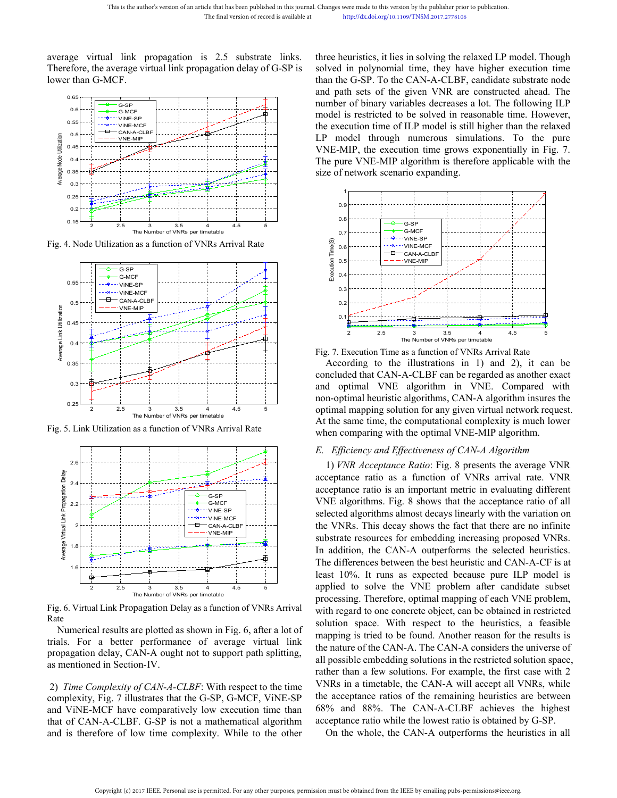This is the author's version of an article that has been published in this journal. Changes were made to this version by the published in the final version of record is available at http://dx.doi.org/10.1109/TNSM.20<br>
avera







Rate

This is the author's version of an article that has been published in this journal. Changes were made to this version by the published The final version of record is available at the propagation of  $\frac{1}{2}$  is  $\frac{1}{2}$  Changes were made to this version by the publisher prior to publication.<br>
http://dx.doi.org/10.1109/TNSM.2017.2778106<br>
three heuristics, it lies in solving the relaxed LP model. Though<br>
solved in polynomial time, they have Changes were made to this version by the publisher prior to publication.<br>
http://dx.doi.org/10.1109/TNSM.2017.2778106<br> **Solved in polynomial time, they have higher execution time**<br>
than the G-SP. To the CAN-A-CLBF, candida Changes were made to this version by the publisher prior to publication.<br>
http://dx.doi.org/10.1109/TNSM.2017.2778106<br>
three heuristics, it lies in solving the relaxed LP model. Though<br>
solved in polynomial time, they have Changes were made to this version by the publisher prior to publication.<br>
http://dx.doi.org/10.1109/TNSM.2017.2778106<br>
three heuristics, it lies in solving the relaxed LP model. Though<br>
solved in polynomial time, they have Changes were made to this version by the publisher prior to publication.<br>
http://dx.doi.org/10.1109/TNSM.2017.2778106<br> **Shower of the following ILP in the following ILP**<br> **Shower of the following ILP**<br> **Shower than the G-S** Changes were made to this version by the publisher prior to publication.<br>
http://dx.doi.org/10.1109/TNSM.2017.2778106<br> **Starticted in polynomial time, they have higher execution time**<br>
than the G-SP. To the CAN-A-CLBF, can Changes were made to this version by the publisher prior to publication.<br>
http://dx.doi.org/10.1109/TNSM.2017.2778106<br>
three heuristics, it lies in solving the relaxed LP model. Though<br>
solved in polynomial time, they have Changes were made to this version by the publisher prior to publication.<br>
http://dx.doi.org/10.1109/TNSM.2017.2778106<br>
three heuristics, it lies in solving the relaxed LP model. Though<br>
solved in polynomial time, they have Changes were made to this version by the publisher prior to publication.<br>
http://dx.doi.org/10.1109/TNSM.2017.2778106<br>
three heuristics, it lies in solving the relaxed LP model. Though<br>
solved in polynomial time, they hav http://dx.doi.org/10.1109/TNSM.2017.2778106<br>three heuristics, it lies in solving the relaxed LP model. Though<br>solved in polynomial time, they have higher execution time<br>than the G-SP. To the CAN-A-CLBF, candidate substrate three heuristics, it lies in solving the relaxed LP model. Though<br>solved in polynomial time, they have higher execution time<br>than the G-SP. To the CAN-A-CLBF, candidate substrate node<br>and path sets of the given VNR are con



**Example 12** on the Number of VNRs per timetable<br> **Example 12** on the Number of VNRs per timetable<br>
Fig. 7. Execution Time as a function of VNRs Arrival Rate<br>
According to the illustrations in 1) and 2), it can be<br>
conclu At the same time, the computational complexity is much lower when comparing with the optimal lower of VNRs per timetable<br>
At According to the illustrations in 1) and 2), it can be concluded that CAN-A-CLBF can be ergared **EXECUTE CONTA CONTA CONTA CONTA CONTA CONTA CONTA CONTA CONTACT AND ACCORDING WITHOUT A CONTACT AND MONOCONTAL CONTACT AND MONOCONTAL CONTACT AND MONOCONTAL CONTACT AND MONOCONTAL CONTACT AND MONOCONTAL CONTACT AND MONOC** *E. Efficiency and Effectiveness of CAN-A Algorithm* 1) *ANR* Acceptance Ratio: Fig. 8 presents the average VNR<br>equivalent and Equivarian in 1) and 2), it can be<br>docording to the illustrations in 1) and 2), it can be<br>ded that CAN-A-CLBF can be regarded as another exact<br>d opt **Example 12** 25 **The Number of VNRs Arrival Rate**<br>
Fig. 7. Execution Time as a function of VNRs Arrival Rate<br>
According to the illustrations in 1) and 2), it can be<br>
concluded that CAN-A-CLBF can be regarded as another ex The Number of VNRs per timetable<br>Fig. 7. Execution Time as a function of VNRs Arrival Rate<br>According to the illustrations in 1) and 2), it can be<br>concluded that CAN-A-CLBF can be regarded as another exact<br>and optimal VNE

**Example the CAN-A-CLBF**: With respect to the time since the time of the CAN-A out<br>
The differences between the best level of the section of VNRs Arrival<br>
Tig. 6. Virtual Link Propagation Delay as a function of VNRs Arriva Fig. 6. Virtual Link Propagation Delay as a function of VNRs Arrival and to solve the V1<br>Fig. 6. Virtual Link Propagation Delay as a function of VNRs Arrival<br>Fig. 6. Virtual Link Propagation Delay as a function of VNRs Arr The differences between the be<br>
and the state 10%. It runs as expected<br>
and the VINE-BET implied to solve the VNE performance of average implied to solve the VNE performance of average implied with regard to one concrete o Fig. 6. Virtual Link Propagation Delay as a function of VNRs Arrival with regard to solve the VNE processing. Therefore, optimal method with regard to one concrete objection of the Rate and the Mathematical results are plo 2 2.5<br>
and 3.5 4 4.5 and 4.5 applied to solve the VNE<br>
Fig. 6. Virtual Link Propagation Delay as a function of VNRs Arrival<br>
Rate<br>
Numerical results are plotted as shown in Fig. 6, after a lot of solution space. With resp Fig. 7. Execution Time as a function of VNRs Arrival Rate<br>
According to the illustrations in 1) and 2), it can be<br>
concluded that CAN-A-CLBF can be regarded as another exact<br>
and optimal NNE algorithms in VNE. Compared wit According to the illustrations in 1) and 2), it can be<br>concluded that CAN-A-CLBF can be regarded as another exact<br>and optimal VNE algorithms in VNE. Compared with<br>non-optimal heuristic algorithms in VNE. Compared with<br>non concluded that CAN-A-CLBF can be regarded as another exact<br>nard optimal VNE algorithm in VNE. Compared with<br>non-optimal heuristic algorithms, CAN-A algorithm insures the<br>optimal mapping solution for any given virtual netw and optimal vivid algorium in vivid. Compared with<br>non-optimal heuristic algorithms, CAN-A algorithm insures the<br>optimal mapping solution for any given virtual network request.<br>At the same time, the computational complexit non-optimal neutristic angoritims, CAN-A accordinal method of the same time, the computational complexity is much lower when comparing with the optimal VNE-MIP algorithm.<br> *E. Efficiency and Effectiveness of CAN-A Algorith* by the same time, the computational complexity is much lower<br>At the same time, the computational complexity is much lower<br>when comparing with the optimal VNE-MIP algorithm.<br>L. Efficiency and Effectiveness of CAN-A Algorit For the same time, we compared by the optimal VNE-MIP algorithm.<br>
L. Efficiency and Effectiveness of CAN-A Algorithm.<br>
1) *VNR Acceptance Ratio*: Fig. 8 presents the average VNR<br>
acceptance ratio as a function of VNRs arr *E. Efficiency and Effectiveness of CAN-A Algorithm*<br>
1) *VNR Acceptance Ratio*: Fig. 8 presents the average VNR<br>
acceptance ratio as a function of VNRs arrival rate. VNR<br>
acceptance ratio is an important metric in evalua E. Efficiency and Effectiveness of CAN-A Algorithm<br>1) *VNR Acceptance Ratio*: Fig. 8 presents the average VNR<br>acceptance ratio as a function of VNRs arrival rate. VNR<br>acceptance ratio is an important metric in evaluating 1) *VNR Acceptance Ratio*: Fig. 8 presents the average VNR acceptance ratio as a function of VNRs arrival rate. VNR acceptance ratio is an important metric in evaluating different WNE algorithms. Fig. 8 shows that the acc acceptance ratio as a function of VNRs arrival rate. VNR<br>acceptance ratio is an important metric in evaluating different<br>VNE algorithms. Fig. 8 shows that the acceptance ratio of all<br>selected algorithms almost decays linea acceptance ratio is an important metric in evaluating different<br>VNE algorithms. Fig. 8 shows that the acceptance ratio of all<br>selected algorithms almost decays linearly with the variation on<br>the VNRs. This decay shows the VNE algorithms. Fig. 8 shows that the acceptance ratio of all selected algorithms almost decays linearly with the variation on the VNRs. This decay shows the fact that there are no infinite substrate resources for embeddin selected algorithms almost decays linearly with the variation on<br>the VNRs. This decay shows the fact that there are no infinite<br>substrate resources for embedding increasing proposed VNRs.<br>In addition, the CAN-A outperforms the VNRs. This decay shows the fact that there are no infinite substrate resources for embedding increasing proposed VNRs. In addition, the CAN-A outperforms the selected heuristics. The differences between the best heuris substrate resources for embedding increasing proposed VNRs.<br>In addition, the CAN-A outperforms the selected heuristics.<br>The differences between the best heuristic and CAN-A-CF is at<br>least 10%. It runs as expected because p In addition, the CAN-A outperforms the selected heuristics.<br>The differences between the best heuristic and CAN-A-CF is at<br>least 10%. It runs as expected because pure ILP model is<br>applied to solve the VNE problem after cand The differences between the best heuristic and CAN-A-CF is at least 10%. It runs as expected because pure ILP model is applied to solve the VNE problem after candidate subset processing. Therefore, optimal mapping of each least 10%. It runs as expected because pure ILP model is applied to solve the VNE problem after candidate subset processing. Therefore, optimal mapping of each VNE problem, with regard to one concrete object, can be obtain plied to solve the VNE problem after candidate subset ocessing. Therefore, optimal mapping of each VNE problem, th regard to one concrete object, can be obtained in restricted lution space. With respect to the heuristics,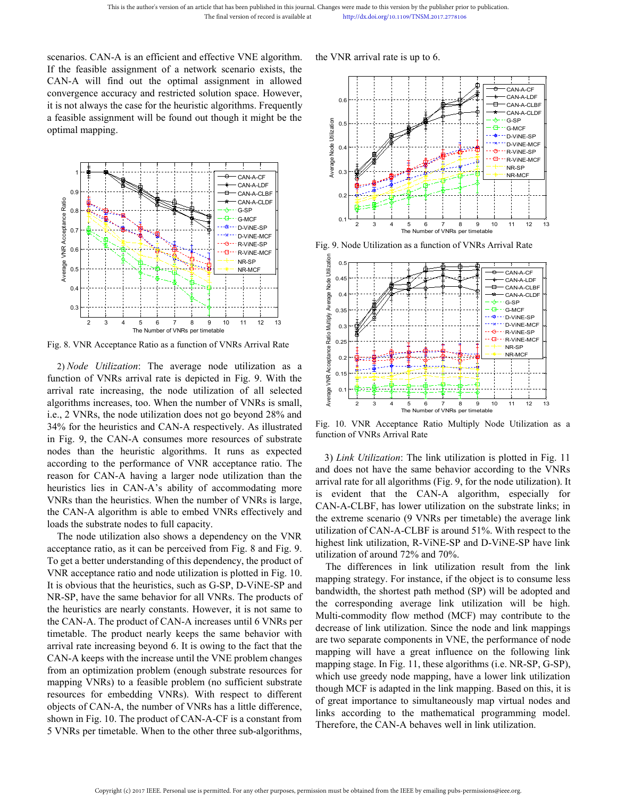This is the author's version of an article that has been published in this journal. Changes were made to this version by<br>
The final version of record is available at http://dx.doi.org/10.1109/TI<br>
Scenarios. CAN-A is an eff This is the author's version of an article that has been published in this journal. Changes were made to this version by the publis<br>
The final version of record is available at<br>
If the feasible assignment of a network scen This is the author's version of an article that has been published in this journal. Changes were made to this version by the The final version of record is available at the published in the optimal version of record is av This is the author's version of an article that has been published in this journal. Changes were made to this version by<br>
The final version of record is available at<br>  $\frac{M_{\text{th}}}{d}$  http://dx.doi.org/10.1109/Th<br>
Scenario This is the author's version of an article that has been published in this journal. Changes were made to this version b<br>
The final version of record is available at http://dx.doi.org/10.1109/1<br>
Scenarios. CAN-A is an effi This is the author's version of an article that has been published in this journal. Changes were made to this version by the publis<br>
The final version of record is available at<br>
If the feasible assignment of a network scen This is the author's version of an article that has<br>The final version of an article that has<br>The final version of a network scenarios. CAN-A is an efficient and effective<br>If the feasible assignment of a network scenarion<br>



Fig. 8. VNR Acceptance Ratio as a function of VNRs Arrival Rate<br>algorithms increases, too. When the number of VNRs arrival Rate<br>algorithms increases, too. When the number of VNRs is small,<br>algorithms increases, too. When **EXECUTE ANTIFORM SET AND SET AND SET AND SET AND SET AND SET AND SET AND SET AND SET AND SET AND SET AND SET AND SET AND SET AND SET AND SET AND SET AND SET AND SET AND SET AND SET AND SET AND SET AND SET AND SET AND SET** 34% for the heuristics and CAN-A respectively. As illustrated<br>
and the heuristics and CAN-A respectively. As illustrated<br>
and the heuristics and CAN-A respectively. As illustrated<br>
and the heuristics and CAN-A respectivel Fig. 8. VNR Acceptance Ratio as a function of VNRs Arrival Rate<br>
2) *Node* Utilization: The average node utilization as a function of VNRs arrival rate is depicted in Fig. 9. With the arrival rate increasing, the node uti **1.1** The Number of VNRs per timetable<br>  $\frac{2}{3}$  a  $\frac{1}{4}$  is  $\frac{1}{2}$  a  $\frac{1}{3}$  is  $\frac{1}{2}$  and  $\frac{1}{2}$  is  $\frac{1}{2}$  and  $\frac{1}{2}$  is  $\frac{1}{2}$  and  $\frac{1}{2}$  and  $\frac{1}{2}$  and  $\frac{1}{2}$  and  $\frac{1}{2}$  and  $\frac{1}{2$ Fig. 8. VNR Acceptance Ratio as a function of VNRs per timetable<br>
The Number of VNRs per timetable<br>
2) *Node Utilization*: The average node utilization as a<br>
function of VNRs arrival rate is depicted in Fig. 9. With the<br> Fig. 8. VNR Acceptance Ratio as a function of VNRs per timelable<br>
2) *Node Utilization*: The average node utilization as a<br>
function of VNRs arrival rate is depicted in Fig. 9. With the<br>
arrival rate increasing, the node Fig. 8. VNR Acceptance Ratio as a function of VNRs Arrival Rate<br>
2) *Node Utilization*: The average node utilization as a<br>
function of VNRs arrival rate is depicted in Fig. 9. With the<br>
arrival rate increasing, the node u 2) *Node Utilization*: The average node utilization as a<br>
function of VNRs arrival rate is depicted in Fig. 9. With the<br>
arrival rate increasing, the node utilization of all selected<br>
algorithms increases, too. When the n 2) *Node Utilization*: The average node utilization as a<br>
function of VNRs arrival rate is depicted in Fig. 9. With the<br>
algorithms increases, too. When the number of VNRs is small,<br>
algorithms increases, too. When the nu function of VNRs arrival rate is depicted in Fig. 9. With the<br>arrival rate increasing, the node utilization of all selected<br>algorithms increases, too. When the number of VNRs is small,<br>i.e., 2 VNRs, the node utilization d The node utilization also shows a dependency on the VNR<br>
Secretary and the number of VNRs is small, and the number of VNRs is small, and the number of VNRs is small, and CAN-A respectively. As illustrated the shows for th algorithms increases, too. When the number of VNRs is small,<br>
i.e., 2 VNRs, the node utilization does not go beyond 28% and<br>
i.e., 2 VNRs, the node utilization does not go beyond 28% and<br>
in Fig. 10. VNR Acceptance Ratio i.e., 2 VNRs, the node utilization does not go beyond 28% and<br>
34% for the heuristics and CAN-A respectively. As illustrated Fig. 10. VNR Acceptance Ratio<br>
in Fig. 9, the CAN-A consumes more resources of substrated<br>
modes 34% for the heuristics and CAN-A respectively. As illustrated Fig. 10. VNR Acceptance Ratio<br>
in Fig. 9, the CAN-A consumes more resources of substrate function of VNRs Arrival Rate<br>
nodes than the heuristic algorithms. It

In Fig. 9, the CAN-A consumes more resources of substrate<br>
nodes than the heuristic algorithms. It runs as expected<br>
according to the performance of VNR acceptance ratio. The link<br>
areason for CAN-A algorithms a larger nod nodes than the heuristic algorithms. It runs as expected<br>according to the performance of VNR acceptance ratio. The<br>and does not have the same beh<br>reason for CAN-A having a larger node utilization than the<br>heuristics lies according to the performance of VNR acceptance ratio. The and does not have the same beh<br>
reason for CAN-A having a larger node utilization than the<br>
heuristics iles in CAN-A's ability of accommodating more<br>
vMRs than the reason for CAN-A having a larger node utilization than the<br>
and oucs not are same of<br>
keuristics lies in CAN-A's ability of accommodating more<br>
virval rate for all algorithms (Fi<br>
keuristics. When the number of VNRs is lar heuristics lies in CAN-A's ability of accommodating more<br>
WNRs than the heuristics. When the number of VNRs is large,<br>
the CAN-A algorithm is able to embed VNRs effectively and<br>
loads the substrate nodes to full capacity.<br> VNRs than the heuristics. When the number of VNRs is large,<br>
the CAN-A algorithm is able to embed VNRs effectively and<br>
the extreme scenario (9 VNRs i<br>
loads the substrate nodes to full capacity.<br>
The node utilization als the CAN-A algorithm is able to embed VNRs effectively and<br>
loads the substrate nodes to full capacity.<br>
The node utilization also shows a dependency on the VNR<br>
utilization of CAN-A-CLB<br>
The node utilization also shows a loads the substrate nodes to full capacity.<br>
The node utilization also shows a dependency on the VNR<br>
activation of CAN-A-CLBF is a<br>
acceptance ratio, as it can be precived from Fig. 8 and Fig. 9.<br>
To get a better understa The node utilization also shows a dependency on the VNR<br>acceptance ratio, as it can be perceived from Fig. 8 and Fig. 9<br>To get a better understanding of this dependency, the product of<br>VNR acceptance ratio and node utiliza acceptance ratio, as it can be perceived from Fig. 8 and Fig. 9.<br>
To get a better understanding of this dependency, the product of<br>
VNR acceptance ratio and node utilization of around 72% intilixation of around 72% intil<br> To get a better understanding of this dependency, the product of<br>
VNR acceptance ratio and node utilization is plotted in Fig. 10.<br>
It is obvious that the heuristics, such as G-SP, D-ViNE-SP and<br>
Mapping strategy. For in<br> VNR acceptance ratio and node utilization is plotted in Fig. 10. The unterctures in make an time with SR-SP, D-ViNE-SP and products of the corresponding strategy. For instance, it is obvious that the heuristics, such as G It is obvious that the heuristics, such as G-SP, D-ViNE-SP and<br>
NR-SP, have the same behavior for all VNRs. The products of<br>
the heuristics are nearly constants. However, it is not same to<br>
the corresponding<br>
the correspon





**Example 1.1** The CAN-A algorithm, especially for<br>
Example 1.1 The Number of VNRs per timetable<br>  $\frac{1}{2}$  a 4 5 6 7 8 9 10 11 12 13<br>
Fig. 10. VNR Acceptance Ratio Multiply Node Utilization as a<br>
function of VNRs Arrival CAN-A-CLBF, has lower utilization on the substrate links; in<br>the extreme of VNRs per unetable<br>and does not have the same behavior according to the VNRs arrival Rate<br>and does not have the same behavior according to the VNR **Extreme scenario (9 VNRs per timetable)**<br> **Extreme scenario (9 VNRs per timetable)**<br> **Extreme scenario (9 VNRs per timetable)**<br> **Extreme scenario (9 VNRs Arrival Rate**)<br> **Extreme scenario (9 VNRs Arrival Rate**)<br> **Extreme** Eq. 10. VNR Acceptance Ratio Multiply Node Utilization as a function of VNRs Arrival Rate<br>
3) *Link Utilization*: The link utilization is plotted in Fig. 11<br>
and does not have the same behavior according to the VNRs<br>
arri Fig. 10. VNR Acceptance Ratio Multiply Node Utilization as a<br>
Fig. 10. VNR Acceptance Ratio Multiply Node Utilization as a<br>
function of VNRs Arrival Rate<br>
3) *Link Utilization*: The link utilization is plotted in Fig. 11<br> Eig. 10. VNR Acceptance Ratio Multiply Node Utilization as a function of VNRs Arrival Rate<br>
Fig. 10. VNR Acceptance Ratio Multiply Node Utilization as a function of VNRs Arrival Rate<br>
3) *Link Utilization*: The link utili 3. 10. VNR Acceptance Ratio Multiply Node Utilization as a cation of VNRs Arrival Rate<br>
3) *Link Utilization*: The link utilization is plotted in Fig. 11<br>
4) *Link Utilization*: The link utilization is plotted in Fig. 11<br> function of VNRs Arrival Rate<br>
3) *Link Utilization*: The link utilization is plotted in Fig. 11<br>
and does not have the same behavior according to the VNRs<br>
arrival rate for all algorithms (Fig. 9, for the node utilizatio 3) *Link Utilization*: The link utilization is plotted in Fig. 11<br>and does not have the same behavior according to the VNRs<br>arrival rate for all algorithms (Fig. 9, for the node utilization). It<br>is evident that the CAN-A 3) *Link Utilization*: The link utilization is plotted in Fig. 11<br>and does not have the same behavior according to the VNRs<br>arrival rate for all algorithms (Fig. 9, for the node utilization). It<br>is evident that the CAN-A

and does not have the same behavior according to the VNRs<br>arrival rate for all algorithms (Fig. 9, for the node utilization). It<br>is evident that the CAN-A algorithm, especially for<br>CAN-A-CLBF, has lower utilization on the arrival rate for all algorithms (Fig. 9, for the node utilization). It<br>is evident that the CAN-A algorithm, especially for<br>CAN-A-CLBF, has lower utilization on the substrate links; in<br>the extreme scenario (9 VNRs per timet is evident that the CAN-A algorithm, especially for<br>CAN-A-CLBF, has lower utilization on the substrate links; in<br>the extreme scenario (9 VNRs per timetable) the average link<br>utilization of CAN-A-CLBF is around 51%. With re CAN-A-CLBF, has lower utilization on the substrate links; in<br>the extreme scenario (9 VNRs per timetable) the average link<br>utilization of CAN-A-CLBF is around 51%. With respect to the<br>highest link utilization, R-ViNE-SP and the extreme scenario (9 VNRs per timetable) the average link<br>utilization of CAN-A-CLBF is around 51%. With respect to the<br>highest link utilization, R-ViNE-SP and D-ViNE-SP have link<br>utilization of around 72% and 70%.<br>The d utilization of CAN-A-CLBF is around 51%. With respect to the highest link utilization, R-ViNE-SP and D-ViNE-SP have link utilization of around 72% and 70%.<br>The differences in link utilization result from the link mapping s highest link utilization, R-ViNE-SP and D-ViNE-SP have link<br>utilization of around 72% and 70%.<br>The differences in link utilization result from the link<br>mapping strategy. For instance, if the object is to consume less<br>bandw utilization of around 72% and 70%.<br>The differences in link utilization result from the link<br>mapping strategy. For instance, if the object is to consume less<br>bandwidth, the shortest path method (SP) will be adopted and<br>the The differences in link utilization result from the link<br>mapping strategy. For instance, if the object is to consume less<br>bandwidth, the shortest path method (SP) will be adopted and<br>the corresponding average link utilizat mapping strategy. For instance, if the object is to consume less<br>bandwidth, the shortest path method (SP) will be adopted and<br>the corresponding average link utilization will be high.<br>Multi-commodity flow method (MCF) may c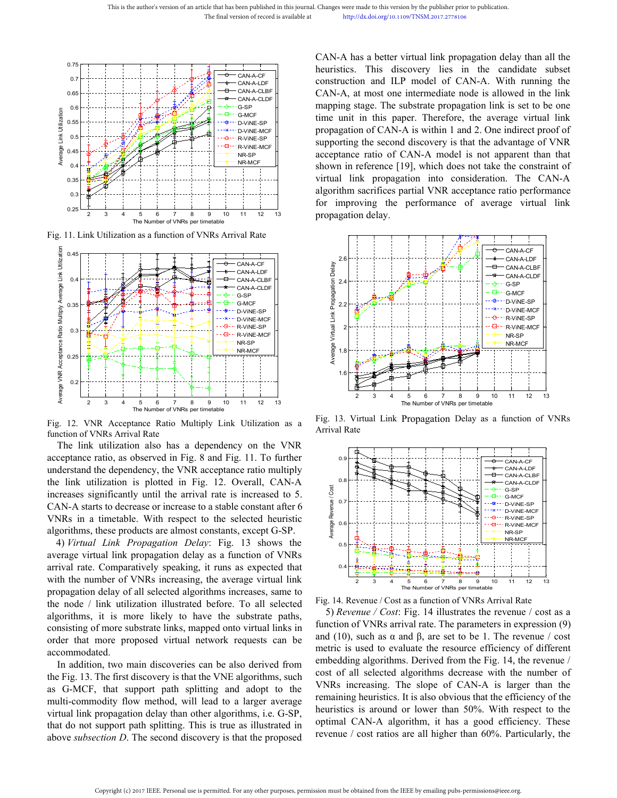



The link utilization also has a dependency on the VNR<br>
and the link utilization also has a dependency on the VNR<br>
and the link utilization also has a dependency on the VNR<br>
and the link utilization also has a dependency o Example 1.1. To find the significantly until the arrival Rate<br>
The Number of VNFs entimetable 1.1 is increased to 5.<br>
The increases significantly until the arrival rate is increased to 5.<br>
CAN-A starts to decrease or incr CAN-A starts to decrease or increase to a stable constant after 6<br>algorithms, these products are almost constants, except G-SP.<br>4) Fig. 12. VNR Acceptance Ratio Multiply Link Utilization as a Fig. 13. Virtual Link Propaga Fig. 12. VNR Acceptance Ratio Multiply<br>
Fig. 12. VNR Acceptace Ratio Multiply Link Utilization as a<br>
Fig. 12. VNR Acceptace Ratio Multiply Link Utilization as a<br>
fig. 13. Virtual Link Propa<br>
function of VNRs Arrival Rate<br> Example the constants are almost constants, except G-SP.<br>
The Number of VNNs per timetable<br>
Fig. 12. VNR Accretization disc has a dependency on the VNR<br>
acceptance ratio, as observed in Fig. 8 and Fig. 11. To further<br>
und 4) *Virtual Link Propagation Delay*: Fig. 13 shows the Fig. 12. VNR Acceptance Ratio Multiply Link Utilization as a Fig. 13. Virtual Link Propagation also has a dependency on the VNR<br>acceptance ratio, as observed in Fig. 8 and Fig. 11. To further<br>understand the dependency, th Fig. 12. VNR Acceptance Ratio Multiply Link Utilization as a<br>finction of VNRs Arrival Rate<br>finction of VNRs Arrival Rate<br>direction also has a dependency on the VNR<br>acceptance ratio, as observed in Fig. 8 and Fig. 11. To f function of VNRs Arrival Rate<br>
arrival Rate<br>
acceptance ario, as observed in Fig. 8 and Fig. 11. To further<br>
acceptance ario, as observed in Fig. 8 and Fig. 11. To further<br>
understand the dependency, the VNR acceptance ra

The link utilization also has a dependency on the VNR<br>acceptance ratio, as observed in Fig. 8 and Fig. 11. To further<br>understand the delay of the VNR acceptance ratio multiply<br>the link utilization is plotted in Fig. 12. O acceptance ratio, as observed in Fig. 8 and Fig. 11. To further<br>
understand the dependency, the VNR acceptance ratio multiply<br>
the link utilization is plotted in Fig. 12. Overall, CAN-A<br>
increases significantly until the understand the dependency, the VNR acceptance ratio multiply<br>the link utilization is plotted in Fig. 12. Overall, CAN-A<br>car-A starts to decrease or increase to a stable constant after to<br>VNRs in a timetable. With respect the link utilization is plotted in Fig. 12. Overall, CAN-A<br>increases significantly until the arrival rate is increased to 5.<br>CNN-A starts to decrease to a stable constants are considered between the substrate larger throu increases significantly until the arrival rate is increased to 5.<br>
CAN-A starts to decrease or increase to a stable constant after 6<br>
algorithms, these products are almost constants, except G-SP.<br>
4) Virtual Link Propagat accommodated. VRs in a timetable. With respect to the selected heuristic grading circles in a time table with link *Propagation Delay*: Fig. 13 shows the<br>
Figure are virtual link propagation delay as a function of VNRs<br>
ival rate. Comp algorithms, these products are almost constants, except G-SP.<br>
4) *Virtual Link Propagation Delay*: Fig. 13 shows the<br>
average virtual link propagation delay as a function of VNRs<br>
with the number of VNRs increasing, the 4) Virtual Link Propagation Delay: Fig. 13 shows the<br>average virtual link propagation delay as a function of VNRs<br>with the number of VNRs increasing, the average virtual link<br>propagation delay of all selected algorithms i average virtual link propagation delay as a function of VNRs<br>arrival rate. Comparatively speaking, it runs as expected that<br>with the number of VNRs increasing, the average virtual link<br>the number of VNRs increasing, the a arrival rate. Comparatively speaking, it runs as expected that<br>with the number of VNRs increasing, the average virtual link<br>propagation delay of all selected algorithms increases, same to<br>the node / link utilization illus with the number of VNRs increasing, the average virtual link<br>
propagation delay of all selected algorithms increases, same to<br>
the node / link utilization illustrated before. To all selected  $\frac{1}{2}$  is  $\frac{1}{4}$ . Revenu

propagation delay of all selected algorithms increases, same to<br>the node / link utilization illustrated before. To all selected Fig. 14. Revenue / Cost as a subsection<br>algorithms, it is more likely to have the substrate p

Changes were made to this version by the publisher prior to publication.<br>
http://dx.doi.org/10.1109/TNSM.2017.2778106<br>
CAN-A has a better virtual link propagation delay than all the<br>
heuristics. This discovery lies in the Changes were made to this version by the publisher prior to publication.<br>
http://dx.doi.org/10.1109/TNSM.2017.2778106<br>
CAN-A has a better virtual link propagation delay than all the<br>
heuristics. This discovery lies in the Changes were made to this version by the publisher prior to publication.<br>
http://dx.doi.org/10.1109/TNSM.2017.2778106<br>
CAN-A has a better virtual link propagation delay than all the<br>
heuristics. This discovery lies in the Changes were made to this version by the publisher prior to publication.<br>
http://dx.doi.org/10.1109/TNSM.2017.2778106<br>
CAN-A has a better virtual link propagation delay than all the<br>
heuristics. This discovery lies in the Changes were made to this version by the publisher prior to publication.<br>
http://dx.doi.org/10.1109/TNSM.2017.2778106<br>
CAN-A has a better virtual link propagation delay than all the<br>
heuristics. This discovery lies in the Changes were made to this version by the publisher prior to publication.<br>
http://dx.doi.org/10.1109/TNSM.2017.2778106<br>
CAN-A has a better virtual link propagation delay than all the<br>
heuristics. This discovery lies in the Changes were made to this version by the publisher prior to publication.<br>
http://dx.doi.org/10.1109/TNSM.2017.2778106<br>
CAN-A has a better virtual link propagation delay than all the<br>
heuristics. This discovery lies in the Changes were made to this version by the publisher prior to publication.<br>
http://dx.doi.org/10.1109/TNSM.2017.2778106<br>
CAN-A has a better virtual link propagation delay than all the<br>
heuristics. This discovery lies in the Changes were made to this version by the publisher prior to publication.<br>
http://dx.doi.org/10.1109/TNSM.2017.2778106<br>
CAN-A has a better virtual link propagation delay than all the<br>
heuristics. This discovery lies in the http://dx.doi.org/10.1109/TNSM.2017.2778106<br>CAN-A has a better virtual link propagation delay than all the<br>heuristics. This discovery lies in the candidate subset<br>construction and ILP model of CAN-A. With running the<br>CAN-A CAN-A has a better virtual link propagation delay than all the heuristics. This discovery lies in the candidate subset construction and LP model of CAN-A. With running the CAN-A, at most one intermediate node is allowed in CAN-A has a better virtual link propagation delay than all the heuristics. This discovery lies in the candidate subset construction and LLP model of CAN-A. With running the CAN-A, at most one intermediate node is allowed i CAN-A has a better virtual link propagation delay than all the<br>heuristics. This discovery lies in the candidate subset<br>construction and ILP model of CAN-A. With running the<br>CAN-A, at most one intermediate node is allowed heuristics. This discovery lies in the candic construction and ILP model of CAN-A. With  $\text{CAN-}\text{A}$ , at most one intermediate node is allowed mapping stage. The substrate propagation link is stime unit in this paper. The





Existence of the matrix of the matrix of the server all the revenue is a studied from the Fig. 14, the revenue is used to evaluate the resource efficiency of different embedding algorithms. Derived from the Fig. 14, the r Experimentation of WIRE-ME-14 RE-WARE-RE-<br>
Experimentation of All selected algorithms decrease with the number of NRS<br>
Tig. 14. Revenue / Cost as a function of VNRS per limetable<br>
Fig. 14. Revenue / Cost as a function of Example the slope of CAN-A is larger than the numing heuristics. It is also obvious that the efficiency of the numing heuristics. It is also obvious that the error and  $\sim$  COst sas a function of VNRs arrival rate. The pa Fig. 14. Revenue / Cost as a function of VNRs per timetable<br>Fig. 14. Revenue / Cost as a function of VNRs per timetable<br>5) *Revenue* / Cost : Fig. 14 illustrates the revenue / cost as a<br>function of VNRs arrival rate. The **Example 12** and  $\frac{1}{2}$  and  $\frac{1}{2}$  and  $\frac{1}{2}$  and  $\frac{1}{2}$  and  $\frac{1}{2}$  and  $\frac{1}{2}$  and  $\frac{1}{2}$  is a function of VNRs per timetable 5) *Revenue / Cost*: Fig. 14 illustrates the revenue */* cost as a functio Fig. 14. Revenue / Cost as a function of VNRs Arrival Rate<br>  $\frac{1}{2}$  a  $\frac{1}{3}$  a  $\frac{1}{1}$  and  $\frac{1}{1}$  and  $\frac{1}{1}$  and  $\frac{1}{1}$  and  $\frac{1}{1}$  and  $\frac{1}{1}$  and  $\frac{1}{1}$  all illustrates the revenue / cost as a fun The Number of VNRs Arrival Rate<br>
5) Revenue / Cost as a function of VNRs Arrival Rate<br>
5) Revenue / Cost: Fig. 14 illustrates the revenue / cost as a<br>
function of VNRs arrival rate. The parameters in expression (9)<br>
and (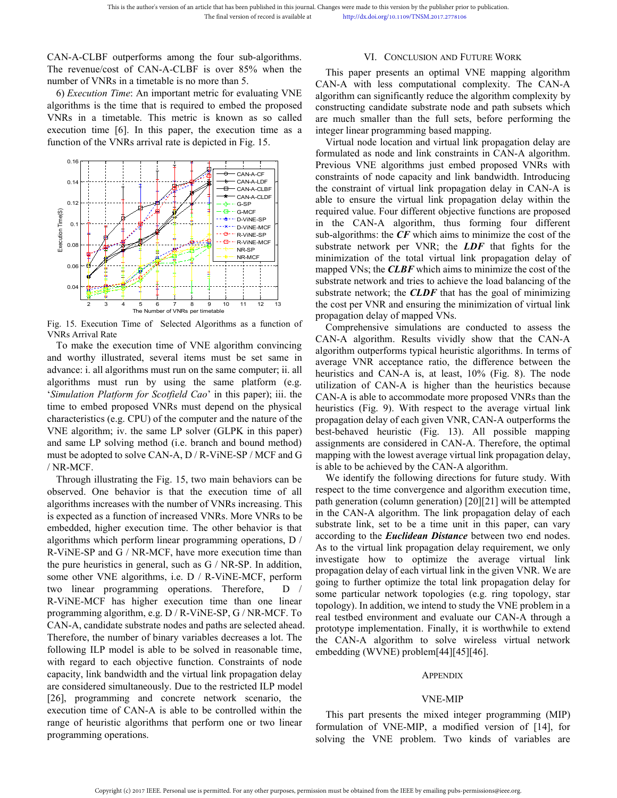This is the author's version of an article that has been published in this journal. Changes were made to this vertical to the final version of record is available at the http://dx.doi.org/10<br>
CAN-A-CLBF outperforms among t This is the author's version of an article that has been published in this journal. Changes were made to this version by the publisherm of the final version of record is available at the proposed in the evenue/cost of CAN-

This is the author's version of an article that has been published in this journal. Changes were made to this vertical of the final version of record is available at the http://dx.doi.org/10.<br>
CAN-A-CLBF outperforms among This is the author's version of an article that has been published in this journal. Changes were made to this version by the pull The final version of record is available at http://dx.doi.org/10.1109/TNSM.20<br> **EXECUTE:** Th This is the author's version of an article that has been published in this journal. Changes were made to this version by<br>
The final version of record is available at<br>
This paper presents and<br>
The revenue/cost of CAN-A-CLBF This is the author's version of an article that has been published in this journal. Changes were made to this version by the published in the final version of record is available at the proposed of CAN-A-CLBF outperforms This is the author's version of an article that has been published in this journal. Changes were made to this version by the publisher<br>
The final version of record is available at<br>  $\frac{1}{2}$ <br>
CAN-A-CLBF outperforms among This is the author's version of an article that has been published in this journal. Changes were made to this version for the final version of record is available at the published in the VNRs in a time detail is no one th



algorithms must run by using the same platform for Scotting and the same platform in the same platform of the same platform for the same of the same platform (e.g. CPU) of the content of the same of the content of the cont The total<br>
The state of the computer of the total<br>
The state of VNRs and the substrate network, the CLAF with<br>
The of Selected Algorithms as a function of comprehensive substrate network, the CLAF<br>
The of Selected Algorith mapped VNs; the **CLBF** which a<br>substrate network and tries to a substrate network and tries to a<br>substrate network in the Store of the computer of Selected Algorithms as a function of<br>Pig. 15. Execution Time of Selected Al Substrate network and tries to substrate network and tries to substrate network and tries to substrate network and tries to substrate network and tries to substrate network and comprehensive simulation. Time of Selected Al **Example 12** and example of VNFs and example and example and example the cost of NR and example of VNFs and the CM-<br>
Fig. 15. Execution Time of Selected Algorithms as a function of propagation delay of mapp<br>
VNRs Arrival Fig. 15. Execution Time of Selected Algorithms as a function of comprehensive simulations and more of Selected Algorithms as a function of comprehensive simulations and worthy illustrated, several items must be set same i Fig. 15. Execution Time of Selected Alg<br>VNRs Arrival Rate<br>To make the execution time of VNE<br>and worthy illustrated, several items<br>advance: i. all algorithms must run on th<br>algorithms must run by using the<br>'*Simulation Plat* VRS Arrival Rate<br>
To make the execution time of VNE algorithm convincing<br>
CAN-A algorithm. Results viva<br>
d worthy illustrated, several tiems must be set same in<br>
vance: i.i all algorithm outperforms typical he<br>
acceptance To make the execution time of VNE algorithm convincing<br>
and worthy illustrated, several items must be set same in<br>
algorithm outerCorms typical he<br>
and worthy illustrated, several items must the neare computer; ii. all<br>
a and worthy illustrated, several items must be set same in average VNR acceptance rat<br>advance: i. all algorithms must run on the same omputer; ii. all<br>algorithms must run by using the same platform (e.g.<br>tilization of CAN-A advance: i. all algorithms must run on the same computer; ii. all<br>algorithms must run by using the same platform (e.g.<br>trilization of CAN-A is, at leading the same platform of the compromediate increased CAN-A is higher<br>ti

algorithms must run by using the same platform (e.g. unitization of CAN-A is higher Simulation Platform for Scotfield Cao' in this paper); iii. the CAN-A is able to accommodate time to embed proposed VNRs must depend on t Simulation Platform for Scotfield Cao' in this paper); iii. the<br>
time to embed proposed VNRs must depend on the physical<br>
heuristics (Fig. 9). With respect<br>
characteristics (e. CPU) of the computer and the nature of the p time to embed proposed VNRs must depend on the physical<br>
cheracteristics (Fig. 9). With resp<br>
characteristics (e.g. CPU) of the computer and the nature of the<br>
propagation delay of each give<br>
VNE algorithm; iv. the same L characteristics (e.g. CPU) of the computer and the nature of the propagation delay of each VNE algorithm; iv. the same LP solver (GLPK in this paper) best-behaved heuristic (and same LP solving method (i.e. branch and bou VNE algorithm; iv. the same LP solver (GLPK in this paper) best-behaved heuristic (Fig. and same LP solving method (i.e. branch and bound method) assignments are considered in C. must be adopted to solve CAN-A, D / R-ViNE and same LP solving method (i.e. branch and bound method) assignments are considered in CA<br>
must be adopted to solve CAN-A, D/R-ViNE-SP/MCF and G mapping with the lowest average v<br>
(NR-MCF.<br>
Through illustrating the Fig. must be adopted to solve CAN-A, D/R-ViNE-SP/MCF and G mapping with the lowest aver<br>  $\sqrt{NR-MCF}$ .<br>
Interval illustrating the Fig. 15, two main behaviors can be<br>  $\sqrt{NR-MCF}$ . The influential conserved. One behavior is that the /NR-MCF.<br>
is able to be achieved by the CA<br>
Through illustrating the Fig. 15, two main behaviors can be<br>
we identify the following din<br>
algorithms increases with the number of VNRs increasing. This<br>
algorithms increases w Through illustrating the Fig. 15, two main behaviors can be<br>
we identify the following<br>
observed. One behavior is that the execution time of all<br>
irespect to the time converger<br>
algorithms increases with the number of VNR observed. One behavior is that the execution time of all respect to the time convergence<br>algorithms increases with the number of VNRs increasing. This expect an endominal energy is expected as a function of increased VNRs algorithms increases with the number of VNRs increasing. This path generation (column generation is expected as a function of increased VNRs. More VNRs to be in the CAN-A algorithms included, higher execution time. The ot is expected as a function of increased VNRs. More VNRs to be<br>
in the CAN-A algorithm. The<br>
embedded, higher execution time. The other behavior is that<br>
algorithms which perform linear programming operations, D<br>
according embedded, higher execution time. The other behavior is that substrate link, set to be a tidle and algorithms which perform linear programming operations, D according to the *Euclidean L*<br>R-ViNE-SP and G / NR-MCF, have mor algorithms which perform linear programming operations, D according to the *Euclidean* in R-ViNE-SP and G / NR-MCF, have more execution time than  $\frac{1}{2}$  is to the virtual link propagation delay of each virtual link pro R-ViNE-SP and G / NR-MCF, have more execution time than<br>
the pure heuristics in general, such as G / NR-SP. In addition,<br>
the pure heuristics in general, such as G / NR-SP. In addition,<br>
some other VNE algorithms, i.e. D the pure heuristics in general, such as G / NR-SP. In addition,<br>
some other VNE algorithms, i.e. D / R-ViNE-MCF, perform<br>
two linear progragation delay of each virtual<br>
two linear programming operations. Therefore, D<br>
R-Vi some other VNE algorithms, i.e. D / R-ViNE-MCF, perform program cucay or each virtue two linear programming operations. Therefore, D / going to further optimize the R-ViNE-MCF has higher execution time than one linear prog two linear programming operations. Therefore<br>R-ViNE-MCF has higher execution time than oprogramming algorithm, e.g. D / R-ViNE-SP, G / NR<br>CAN-A, candidate substrate nodes and paths are sele<br>Therefore, the number of binary

de to this version by the publisher prior to publication.<br>
Exadolorg/10.1109/TNSM.2017.2778106<br>
VI. CONCLUSION AND FUTURE WORK<br>
er presents an optimal VNE mapping algorithm<br>
th less computational complexity. The CAN-A<br>
an anges were made to this version by the publisher prior to publication.<br>
http://dx.doi.org/10.1109/TNSM.2017.2778106<br>
VI. CONCLUSION AND FUTURE WORK<br>
This paper presents an optimal VNE mapping algorithm<br>
AN-A with less comp Changes were made to this version by the publisher prior to publication.<br>
http://dx.doi.org/10.1109/TNSM.2017.2778106<br>
VI. CONCLUSION AND FUTURE WORK<br>
This paper presents an optimal VNE mapping algorithm<br>
CAN-A with less c Changes were made to this version by the publisher prior to publication.<br>
http://dx.doi.org/10.1109/TNSM.2017.2778106<br>
VI. CONCLUSION AND FUTURE WORK<br>
This paper presents an optimal VNE mapping algorithm<br>
CAN-A with less c Changes were made to this version by the publisher prior to publication.<br>
http://dx.doi.org/10.1109/TNSM.2017.2778106<br>
VI. CONCLUSION AND FUTURE WORK<br>
This paper presents an optimal VNE mapping algorithm<br>
CAN-A with less c Changes were made to this version by the publisher prior to publication.<br>
http://dx.doi.org/10.1109/TNSM.2017.2778106<br>
VI. CONCLUSION AND FUTURE WORK<br>
This paper presents an optimal VNE mapping algorithm<br>
CAN-A with less c Changes were made to this version by the publisher prior to publication.<br>
http://dx.doi.org/10.1109/TNSM.2017.2778106<br>
VI. CONCLUSION AND FUTURE WORK<br>
This paper presents an optimal VNE mapping algorithm<br>
CAN-A with less c anges were made to this version by the publisher prior to publication.<br>
http://dx.doi.org/10.1109/TNSM.2017.2778106<br>
VI. CONCLUSION AND FUTURE WORK<br>
This paper presents an optimal VNE mapping algorithm<br>
AN-A with less comp Changes were made to this version by the publisher prior to publication.<br>
http://dx.doi.org/10.1109/TNSM.2017.2778106<br>
VI. CONCLUSION AND FUTURE WORK<br>
This paper presents an optimal VNE mapping algorithm<br>
CAN-A with less c

http://dx.doi.org/10.1109/TNSM.2017.2778106<br>
VI. CONCLUSION AND FUTURE WORK<br>
This paper presents an optimal VNE mapping algorithm<br>
CAN-A with less computational complexity. The CAN-A<br>
algorithm can significantly reduce the VI. CONCLUSION AND FUTURE WORK<br>
This paper presents an optimal VNE mapping algorithm<br>
CAN-A with less computational complexity. The CAN-A<br>
algorithm can significantly reduce the algorithm complexity by<br>
constructing candid VI. CONCLUSION AND FUTURE WORK<br>This paper presents an optimal VNE mapping algorithm<br>CAN-A with less computational complexity. The CAN-A<br>algorithm can significantly reduce the algorithm complexity by<br>constructing candidate VI. CONCLUSION AND FUTURE WORK<br>
This paper presents an optimal VNE mapping algorithm<br>
CAN-A with less computational complexity. The CAN-A<br>
algorithm can significantly reduce the algorithm complexity by<br>
constructing candid This paper presents an optimal VNE mapping algorithm<br>CAN-A with less computational complexity. The CAN-A<br>algorithm can significantly reduce the algorithm complexity by<br>constructing candidate substrate node and path subset Ins paper presents an optimal VNE mapping algorithm<br>CAN-A calyo-A with less computational complexity. The CAN-A<br>algorithm can significantly reduce the algorithm complexity by<br>constructing candidate substrate node and path CAN-A with less computational complexity. The CAN-A<br>algorithm can significantly reduce the algorithm complexity by<br>constructing candidate substrate node and path subsets which<br>are much smaller than the full sets, before pe algorithm can signiticantly reduce the algorithm complexity by<br>constructing candidate substrate node and path subsets which<br>are much smaller than the full sets, before performing the<br>integer linear programming based mappin constructing candidate substrate node and path subsets which<br>are much smaller than the full sets, before performing the<br>integer linear programming based mapping.<br>Virtual node location and virtual link propagation delay are are much smaller than the full sets, before performing the<br>integer linear programming based mapping.<br>Virtual node location and virtual link propagation delay are<br>formulated as node and link constraints in CAN-A algorithm.<br> Tritual node location and virtual link propagation delay are<br>Virtual node location and virtual link propagation delay are<br>formulated as node and link constraints in CAN-A algorithm.<br>Previous VNE algorithms just embed propo virual node location and virtual intk propagation delay are<br>formulated as node and link constraints in CAN-A algorithm.<br>Previous VNE algorithms just embed proposed VNRs with<br>constraints of node capacity and link bandwidth. forwave as node and ink constraints in CAN-A algorithm.<br>Previous VNE algorithms just embed proposed VNRs with<br>constraints of node capacity and link bandwidth. Introducing<br>the constraint of virtual link propagation delay in Previous VNE algorithms just embed proposed VNKs with<br>constraints of node capacity and link bandwidth. Introducing<br>the constraint of virtual link propagation delay in CAN-A is<br>able to ensure the virtual link propagation d nstraints of node capacity and ink bandwidth. Introducing<br>
e constraint of virtual link propagation delay in CAN-A is<br>
le to ensure the virtual link propagation delay within the<br>
leuried value. Four different objective fun the constraint of virtual link propagation delay in CAN-A is<br>the to ensure the virtual link propagation delay within the<br>required value. Four different objective functions are proposed<br>in the CAN-A algorithm, thus forming able to ensure the virtual link propagation delay within the round value. Four different objective functions are proposed in the CAN-A algorithm, thus forming four different sub-algorithms: the  $CF$  which aims to minimize required value. Four different objective functions are proposed<br>in the CAN-A algorithm, thus forming four different<br>sub-algorithms: the *CF* which aims to minimize the cost of the<br>substrate network per VNR; the *LDF* that

in the CAN-A algorithm, thus forming four different<br>sub-straggrithms: the  $CF$  which aims to minimize the cost of the<br>substrate network per VNR; the  $LDF$  that fights for the<br>minimization of the total virtual link propagati sub-algorithms: the *CF* which aims to minimize the cost of the substrate network per VNR; the *CLBF* that fights for the minimization of the total virtual link propagation delay of mapped VNs; the *CLBF* which aims to mi substrate network per VNR; the *LDF* that rights for the minimization of the total virtual link propagation delay of mapped VNs; the *CLBF* which aims to minimize the cost of the substrate network and tries to achieve the minimization of the total virtual link propagation delay of the mapped VNs; the **CLBF** which aims to minimize the cost of the substrate network, the **CLDF** that has the goal of minimizing the cost per VNR and ensuring the mapped VNS; the **CLBF** which aims to minimize the cost of the substrate network and tries to achieve the load balancing of the substrate network; the **CLDF** that has the goal of minimizing the cost per VNR and ensuring th substrate network and tres to acneve the load balancing of the<br>substrate network; the *CLDF* that has the goal of minimizing<br>the cost per VNR and ensuring the minimization of virtual link<br>propagation delay of mapped VNs.<br>C substrate network; the **CLDF** that has the goal of minimizing<br>the cost per VNR and ensuing the minimization of virtual link<br>propagation delay of mapped VNs.<br>Comprehensive simulations are conducted to assess the<br>CAN-A algor the cost per VNR and ensuring the minimization of Virtual link<br>propagation delay of mapped VNs.<br>Comprehensive simulations are conducted to assess the<br>CAN-A algorithm. Results vividly show that the CAN-A<br>algorithm outperfor propagation delay of mapped vNs.<br>CAN-A algorithm: Resultations are conducted to assess the<br>CAN-A algorithm. Results vividly show that the CAN-A<br>algorithm outperforms typical heuristic algorithms. In terms of<br>average VNR ac Comprenensive simulations are conducted to assess the NN-A algorithm. Results vividly show that the CAN-A gorithm outperforms typical heuristic algorithms. In terms of errage VNR acceptance ratio, the difference between th CAN-A algorithm. Results VIVialy show that the CAN-A<br>algorithm outperforms typical heuristic algorithms. In terms of<br>average VNR acceptance ratio, the difference between the<br>heuristics and CAN-A is, at least,  $10\%$  (Fig. argorium outperiorms typical neuristic argoriums. In terms of<br>average VNR acceptance ratio, the difference between the<br>heuristics and CAN-A is, at least,  $10\%$  (Fig. 8). The node<br>tutilization of CAN-A is higher than the average VNK acceptance ratio, the difference between the heuristics and CAN-A is, at least, 10% (Fig. 8). The node utilization of CAN-A is higher than the heuristics because CAN-A is able to accommodate more proposed VNRs

neuristics and CAN-A is, at least, 10% (rig. 8). The node<br>utilization of CAN-A is higher than the heuristics because<br>CAN-A is able to accommodate more proposed VNRs than the<br>heuristics (Fig. 9). With respect to the average utilization of CAN-A is nigher than the heuristics because<br>CAN-A is able to accommodate more proposed VNRs than the<br>heuristics (Fig. 9). With respect to the average virtual link<br>propagation delay of each given VNR, CAN-A o CAN-A is able to accommodate more proposed VINKs than the<br>houristics (Fig. 9). With respect to the average virtual link<br>propagation delay of each given VNR, CAN-A outperforms the<br>best-behaved heuristic (Fig. 13). All possi neuristics (rig. 9). With respect to the average virtual link<br>propagation delay of each given VNR, CAN-A uperforms the<br>best-behaved heuristic (Fig. 13). All possible mapping<br>assignments are considered in CAN-A. Therefore, propagation delay of each given VNR, CAIN-A outperforms the best-behaved heuristic (Fig. 13). All possible mapping assignments are considered in CAN-A. Therefore, the optimal mapping with the lowest average virtual link pr best-benaved neuristic (rig. 15). All possible mapping<br>assignments are considered in CAN-A. Therefore, the optimal<br>mapping with the lowest average virtual link propagation delay,<br>is able to be achieved by the CAN-A algorit assignments are considered in CAN-A. I nererore, the optimal<br>mapping with the lowest average virtual link propagation delay,<br>is able to be achieved by the CAN-A algorithm.<br>We identify the following directions for future st mapping with the lowest average virtual ink propagation delay,<br>is able to be achieved by the CAN-A algorithm.<br>We identify the following directions for future study. With<br>respect to the time convergence and algorithm execu is able to be achieved by the CAN-A algorithm.<br>We identify the following directions for future study. With<br>respect to the time convergence and algorithm execution time,<br>path generation (column generation) [20][21] will be we identify the following directions for fluite study. With<br>respect to the time convergence and algorithm execution time,<br>path generation (column generation) [20][21] will be attempted<br>in the CAN-A algorithm. The link pro respect to the time convergence and algorithm execution time,<br>path generation (column generation) [20][21] will be attempted<br>in the CAN-A algorithm. The link propagation delay of each<br>substrate link, set to be a time unit pain generation (column generation)  $[20][21]$  will be attemp<br>in the CAN-A algorithm. The link propagation delay of ea<br>substrate link, set to be a time unit in this paper, can v<br>according to the *Euclidean Distance* betwee pagation delay of each virtual link in the given VNR. We are<br>ing to further optimize the total link propagation delay for<br>me particular network topologies (e.g. ring topology, star<br>pology). In addition, we intend to study formulation of the version of VNE-MIP, a modified version of variables are version particular network topologies (e.g. ring topology, star topology). In addition, we intend to study the VNE problem in a real testbed enviro some particular network topologies (e.g. ring topology, star<br>topology). In addition, we intend to study the VNE problem in a<br>real testbed environment and evaluate our CAN-A through a<br>prototype implementation. Finally, it i

# APPENDIX

# VNE-MIP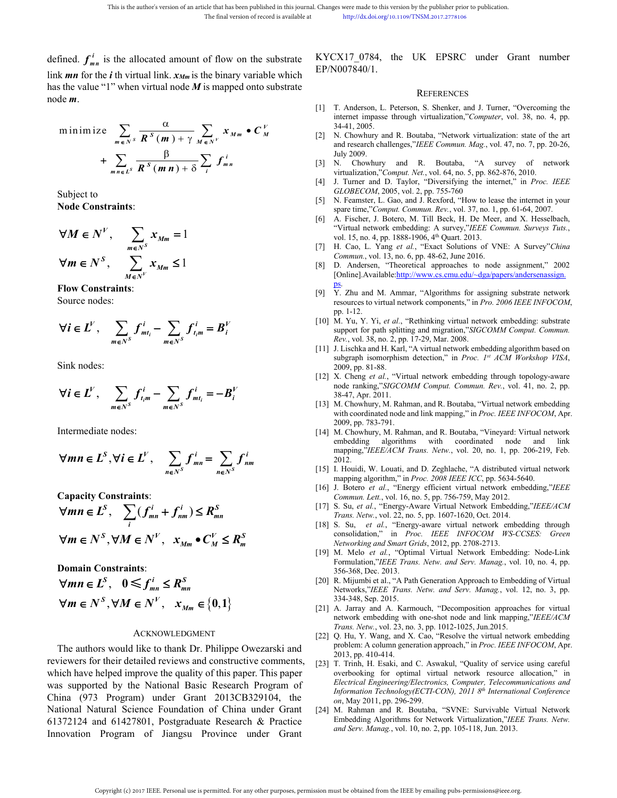This is the author's version of an article that has been published in this journal. Changes were made to this version by the final version of record is available at the *i*m *f* or the *f* im is the allocated amount of fl This is the author's version of an article that has been published in this journal. Changes were made to this version by the p<br>
The final version of record is available at<br>  $\frac{1}{2}$  th virtual  $\frac{1}{2}$  of  $\frac{1}{2}$  is t This is the author's version of an article that has been published in this journal. Changes were made to this version by the final version of record is available at the *h*ttp://dx.doi.org/10.1109/TNS<br>
defined.  $f_{mn}^i$  i This is the author's version of an article that has been published in this journal. Changes were made to this v<br>
The final version of record is available at<br>
defined.  $f'_{mn}$  is the allocated amount of flow on the substra version of an article that has been published in this journal. Changes were made to this version by the publisher prior<br>
The final version of record is available at<br>
the published in the substrate<br>
ed amount of flow on th This is the author's version of an article that has been published in this journal. Changes were made to this version by the publisher prior to<br>
The final version of record is available at<br>
interpolation (see this version of an article that has been published in this journal. Changes were made to this version by the final version of record is available at<br>  $\frac{\text{htp}}{2}$ //dx.do.org/10.1109/TNS<br> **Computer SECON** 10007840/1.<br>
The binary varia of an article that has been published in this journal. Changes were made to this version by the final version of record is available at the principal of the strip  $f/m$  is the binary variable which<br>  $f/m$  is the binary vari is the author's version of an article that has been published in this journal Changes were made to this weison by the publisher prior to published.<br>
The final version of record is southble at<br>
the priority of the substrat is is the nutbox version of an article that back the particle control is evaluated that the number the final version of record is swalleble at the third interval in the binary version of record is swalleble at the problem *<sup>S</sup> M m M is* is the author's version of an article that has been published in this journal. Changes were made to the final version of record is available at the principal of flow on the substrate the allocated amount of flow on t This is the author's version of an article that has been published in this journal. Changes were made to this version by the published prior to publication.<br>
The final version of record is available at<br> **SPNO07840/1.**<br>
Th uthor's version of an article that has been published in this journal. Changes were made to this version by the publisher pr<br>
The final version of record is available at<br>  $R^S$  mm is the binary variable which<br>
corded amou uthor's version of an article that has been published in this journal. Changes were made to this version by the publisher prior<br>
The final version of record is available at<br>  $\frac{R}{2}$ CMO07840/1.<br>
<br> **FECOLOGISTINALSOLED E** This is the author's version of an article that has been published in this journal. Changes were made to this version b<br>
The final version of record is available at<br>  $\epsilon$  **i** the virtual link.  $x_{Mm}$  is the binary variab This is the athor's version of an article tan has been political in this journal Changes were made to this version by the published<br>
The final version of record is wollable a<br>  $\mathbf{H}$  or the *i* th virtual linds. **X**<sub>*Ma</sub>* This is the author's version of an article that has been published in this journal. Changes were made to this<br>
The final version of record is available at<br>
The final version of record is available at<br>  $\lim_{h \to 0} \frac{KYCX17_0$ This is the author's version of an article that has been published in this journal. Changes were made to this version (The final version of record is available at the priority dix does given interpret<br>
in Fig. 2.1 **V** is This is the subset of an article that has been published in this journal. Changes were made to this version of a method with the fund version of record is switched a hypothedology in 1169 The Hall of the *m m* or the *i* This is the author's version of an article that has been published in this journal. Changes were made to the<br>
The final version of record is available at<br>
interpolated and<br>
Simple of the *i*nterpolated and<br>
Simple the val This is a homine constraint of the basis points in points in the properties of the substitute of the substitute of the substitute in the substitute  $f_{\mu}$  is the allocated internet of Dow on the substitute KYCX17\_0784, t **i** do allocated amount of flow on the substrate KYCX17\_0784, the UK EPSRC under Gran for the *i* th virtual link.  $x_{\text{Mm}}$  is the binary variable which<br> **in the interviewal with the controller transformation**. The valu The final version of records available at the prints of the UK F<br>
importance in the UK F<br>
interaction of flow on the substrate KYCX17\_0784, the UK F<br>
is the value "1" when virtual index  $x_{Mm}$  is the binary variable whic THis has contour sensitive municipal interaction into the sink of the properties into the sink interaction interaction interaction interaction interaction in the sink interaction interaction in the sink of  $\mathbf{M} \in \mathbb{R}$ Thecharacteristic space of *i*  $\theta$  **i**  $\theta$  **i**  $\theta$  **i**  $\theta$  **i**  $\theta$  **i**  $\theta$  **i**  $\theta$  **i**  $\theta$  **i**  $\theta$  **i**  $\theta$  **i**  $\theta$  **i**  $\theta$  **i**  $\theta$  **i**  $\theta$  **i**  $\theta$  **i**  $\theta$  **i**  $\theta$  **i**  $\theta$  **i**  $\theta$  **i**  $\theta$  **i**  $\theta$  **i**

find. 
$$
f_m^i
$$
 is the allocated amount of flow on the substrate KYCX17\_0784, the UK EPSRC under Gra  
\nk *mn* for the *i* th virtual link.  $x_{Mm}$  is the binary variable which  
\nde m.  
\nminimize  $\sum_{m \in N^s} \frac{\alpha}{R^s(m) + \gamma} \sum_{M \in N^s} x_{Mm} \cdot C_M^V$   
\nminimize  $\sum_{m \in N^s} \frac{\alpha}{R^s(m) + \gamma} \sum_{M \in N^s} x_{Mm} \cdot C_M^V$   
\nminimize  $\sum_{m \in N^s} \frac{\alpha}{R^s(m) + \gamma} \sum_{M \in N^s} x_{Mm} \cdot C_M^V$   
\nminimize  $\sum_{m \in N^s} \frac{\alpha}{R^s(m) + \gamma} \sum_{M \in N^s} x_{Mm} \cdot C_M^V$   
\n $\sum_{m \in I^s} \frac{\beta}{R^s(m) + \beta} \sum_{I = 1} I_m^I$   
\n $\sum_{m \in I^s} \frac{\beta}{R^s(m) + \gamma} \sum_{M \in N^s} \sum_{I = 1} I_m^I$   
\n $\sum_{m \in I^s} \frac{\beta}{R^s(m) + \gamma} \sum_{M \in N^s} \sum_{I = 1} I_m^I$   
\n $\sum_{m \in I^s} \frac{\beta}{R^s(m) + \gamma} \sum_{M \in N^s} \sum_{I = 1} I_m^I$   
\n $\sum_{m \in I^s} \frac{\beta}{R^s(m) + \gamma} \sum_{M \in N^s} \sum_{I = 1} I_m^I$   
\n $\sum_{m \in I^s} \frac{\beta}{R^s(m) + \gamma} \sum_{M \in N^s} \sum_{I = 1} I_m^I$   
\n $\sum_{m \in I^s} \frac{\beta}{R^s(m) + \gamma} \sum_{M \in N^s} \sum_{I = 1} I_m^I$   
\n $\sum_{m \in I^s} \frac{\beta}{R^s(m) + \gamma} \sum_{M \in N^s} \sum_{I = 1} I_m^I$   
\n $\sum_{m \in I^s} \sum_{I = 1} I_m^I$   
\n $\sum_{M$ 

| $m \in N^S$                   | $\mathbf{R}^S$                         | $(m) + \gamma_{M \in N^V}$             | and research challenge                 |                                        |                                        |                                        |                                        |                                        |                                        |                                        |                                        |                                        |                                        |
|-------------------------------|----------------------------------------|----------------------------------------|----------------------------------------|----------------------------------------|----------------------------------------|----------------------------------------|----------------------------------------|----------------------------------------|----------------------------------------|----------------------------------------|----------------------------------------|----------------------------------------|----------------------------------------|
| $1$                           | $\frac{1}{2}$                          | $\frac{1}{2}$                          | $\frac{1}{2}$                          | $\frac{1}{2}$                          | $\frac{1}{2}$                          | $\frac{1}{2}$                          | $\frac{1}{2}$                          | $\frac{1}{2}$                          | $\frac{1}{2}$                          |                                        |                                        |                                        |                                        |
| $2$                           | $\mathbf{M} \in \mathbb{N}^V$          | $\sum_{m \in N^S} \mathbf{X}_{Mm} = 1$ | $\sum_{m \in N^S} \mathbf{X}_{Mm} = 1$ | $\sum_{m \in N^S} \mathbf{X}_{Mm} = 1$ | $\sum_{m \in N^S} \mathbf{X}_{Mm} = 1$ | $\sum_{m \in N^S} \mathbf{X}_{Mm} = 1$ | $\sum_{m \in N^S} \mathbf{X}_{Mm} = 1$ | $\sum_{m \in N^S} \mathbf{X}_{Mm} = 1$ | $\sum_{m \in N^S} \mathbf{X}_{Mm} = 1$ | $\sum_{m \in N^S} \mathbf{X}_{Mm} = 1$ | $\sum_{m \in N^S} \mathbf{X}_{Mm} = 1$ | $\sum_{m \in N^S} \mathbf{X}_{Mm} = 1$ | $\sum_{m \in N^S} \mathbf{X}_{Mm} = 1$ |
| $\mathbf{W} \in \mathbb{N}^S$ | $\sum_{m \in N^S} \mathbf{X}_{Mm} = 1$ | $\sum_{m \in N^S} \mathbf{X}_{Mm} = 1$ |                                        |                                        |                                        |                                        |                                        |                                        |                                        |                                        |                                        |                                        |                                        |
| $\mathbf{W} \in \mathbb{N}^S$ |                                        |                                        |                                        |                                        |                                        |                                        |                                        |                                        |                                        |                                        |                                        |                                        |                                        |

$$
\forall i \in L^V, \quad \sum_{m \in N^S} f_{mt_i}^i - \sum_{m \in N^S} f_{t_im}^i = B_i^V
$$

$$
\forall i \in L^V, \quad \sum_{m \in N^S} f_{t_i m}^i - \sum_{m \in N^S} f_{m t_i}^i = -B_i^V
$$

$$
\forall mn \in L^{S}, \forall i \in L^{V}, \quad \sum_{n \in N^{S}} f_{mn}^{i} = \sum_{n \in N^{S}} f_{nm}^{i}
$$

+ 
$$
\sum_{m \neq L^5} \overrightarrow{R^5(mn) + \delta} \sum f_m^i
$$
  
\n=  $\frac{101 \times 2000 \times 1000 \times 1000 \times 1000 \times 1000 \times 1000 \times 1000 \times 1000 \times 1000 \times 1000 \times 1000 \times 1000 \times 1000 \times 1000 \times 1000 \times 1000 \times 1000 \times 1000 \times 1000 \times 1000 \times 1000 \times 1000 \times 1000 \times 1000 \times 1000 \times 1000 \times 1000 \times 1000 \times 1000 \times 1000 \times 1000 \times 1000 \times 1000 \times 1000 \times 1000 \times 1000 \times 1000 \times 1000 \times 1000 \times 1000 \times 1000 \times 1000 \times 1000 \times 1000 \times 1000 \times 1000 \times 1000 \times 1000 \times 1000 \times 1000 \times 1000 \times 1000 \times 1000 \times 1000 \times 1000 \times 1000 \times 1000 \times 1000 \times 1000 \times 1000 \times 1000 \times 1000 \times 1000 \times 1000 \times 1000 \times 1000 \times 1000 \times 1000 \times 1000 \times 1000 \times 1000 \times 1000 \times 1000 \times 1000 \times 1000 \times 1000 \times 1000 \times 1000 \times 1000 \times 1000 \times 1000 \times 1000 \times 1000 \times 1000 \times 1000 \times 1000 \times 1000 \times 1000 \times 1000 \times 1000 \times 1000 \times 1000 \times 1000 \times 1000 \times 1000 \times 1000 \times 1000 \times 1000 \times 1000 \times 1000 \times 1000 \times 1000$ 

$$
\forall mn \in L^{S}, \quad 0 \leq f_{mn}^{i} \leq R_{mn}^{S}
$$
  

$$
\forall m \in N^{S}, \forall M \in N^{V}, \quad x_{Mm} \in \{0, 1\}
$$

# ACKNOWLEDGMENT

Sink roots of  $\mathbf{M} \in \mathbb{N}^k$ ,  $\sum_{m \in \mathbb{N}^k} f_{nm} = 1$ <br>
Since the Constraints:<br>  $\forall \mathbf{M} \in \mathbb{N}^k$ ,  $\sum_{m \in \mathbb{N}^k} X_{km} = 1$ <br>
(A)  $\mathbf{M} \in \mathbb{N}^k$ ,  $\sum_{m \in \mathbb{N}^k} X_{km} = 1$ <br>  $\forall \mathbf{M} \in \mathbb{N}^k$ ,  $\sum_{m \in \mathbb{N}^k} X$ **EVALUATE SET AUTOM CONTROLL CONTROLL CONTROLL CONTROLL CONTROLL CONTROLL CONTROLL CONTROLL CONTROLL CONTROLL CONTROLL CONTROLL CONTROLL CONTROLL CONTROLL CONTROLL CONTROLL CONTROLL CONTROLL CONTROLL CONTROLL CONTROLL CON Vm E**  $L^s$ **,**  $\sum_{i} (J_{mn} + J_{nm}) \le K_{mn}$ <br>  $\forall m \in N^s, \forall M \in N^V, x_{Mm} \bullet C_M^V \le R_n^S$ <br>
Domain Constraints:<br>  $\forall m \in L^s, 0 \le f_{mn}^i \le K_{mn}$ <br>  $\forall m \in L^s, 0 \le f_{mn}^i \le K_{mn}$ <br>  $\forall m \in N^s, \forall M \in N^V, x_{Mm} \in \{0,1\}$ <br>
Trans. Networking and Smart **WHE N'**,  $\mathbf{W}_m \in \mathbf{N}^S$ ,  $\forall M \in \mathbf{N}^V$ ,  $\mathbf{W}_m = \mathbf{L}^S$ ,  $\mathbf{0} \leq \mathbf{f}_{nm}^T$  are  $\mathbf{W}_m$  and Constraints:<br> **Domain Constraints:**<br> **Solution**  $\mathbf{M} \in \mathbf{N}^S$ ,  $\mathbf{W} \in \mathbf{N}^S$ ,  $\mathbf{W} \in \mathbf{N}^S$ ,  $\mathbf{$  $\forall m \in N^S, \forall M \in N^V,$   $x_{Mm} \in C_M^V$   $\leq R_m^S$  (19) M. Melo et al., "Copiumal Constraints:<br>
Domain Constraints:<br>  $\forall m \in L^S, 0 \leq f_{mn}^i \leq R_{mn}^s$  [19] M. Melo et al., "Opiumal Virtual<br>  $\forall m \in N^S, \forall M \in N^V,$   $x_{Mm} \in \{0,1\}$ <br> **China (19)** M. Melo et al., "Optimal Virtual Virtual New Sections (19) M. Melo et al., "Optimal Virtual New Sections (2013-068), Dec. 2013.<br>  $\forall m \in N^S, \forall M \in N^V, \quad x_{Mm} \in \{0, 1\}$ <br>
The authors would like to thank Dr. Phil **Domain Constraints:**<br>  $\forall mn \in L^S$ ,  $0 \le f_{mn}^i \le R_{mn}^S$  [20] R. Migumbi et al., "A Path Gene<br>  $\forall m \in N^S$ ,  $\forall M \in N^V$ ,  $x_{Mm} \in \{0,1\}$ <br>
ACKNOWLEDGMENT<br>
ACKNOWLEDGMENT<br>
ACKNOWLEDGMENT<br>
ACKNOWLEDGMENT<br>
ACKNOWLEDGMENT<br>
ACKNOW **Example 1918 And Figure 2013** Although  $\forall m \in D^S$ ,  $0 \leq f_{mn}^i \leq R_{mn}^s$  [20] R. Migumbi et al., "A Path G<br>  $\forall m \in N^S$ ,  $\forall M \in N^V$ ,  $x_{Mm} \in \{0,1\}$ <br>
Trans. Newtorks,"IEEE Trans. Newtood Research Postmann A. Karmou netwo **VMIEE Trans.** New <br>
VMIEE Trans. New <br>
VMIEE Trans. New <br>
VMIEE Trans. New <br>
VMIEE Trans. New <br>
To ant SNAS, YEEE Trans. New <br>
To ant SNAS (21) A. Jarray and A. Karmouch,<br>
network embedding with one-<br>
ACKNOWLEDGMENT<br>
The

Changes were made to this version by the publisher prior to publication.<br>
http://dx.doi.org/10.1109/TNSM.2017.2778106<br>
KYCX17\_0784, the UK EPSRC under Grant number<br>
EP/N007840/1.<br>
REFERENCES EP/N007840/1.

## **REFERENCES**

- internet impasse through virtualization,"Computer, vol. 38, no. 4, pp. 34-41 2005 Changes were made to this version by the publisher prior to publication.<br>
http://dx.doi.org/10.1109/TNSM.2017.2778106<br>
KYCX17\_0784, the UK EPSRC under Grant number<br>
EP/N007840/1.<br>
REFERENCES<br>
[1] T. Anderson, L. Peterson, res were made to this version by the publisher prior to publication.<br> *http://dx.doi.org/10.1109/TNSM.2017.2778106*<br>
CX17\_0784, the UK EPSRC under Grant number<br>
N007840/1.<br> *Computer*, and J. Turner, "Overcoming the<br>
inter Express were made to this version by the publisher prior to publisher prior to publisher prior to publisher prior to publisher prior to publisher prior (X17\_0784, the UK EPSRC under an approximation of the UK EPSRC state a EXTIT 0784, the UK EPSRC<br>
NO07840/1.<br>
REFERENCES<br>
T. Anderson, L. Peterson, S. Shenker, and<br>
internet impasse through virtualization,"C<br>
34-41, 2005.<br>
N. Chowhury and R. Boutaba, "Network vand research challenges,"IEEE Co **REFERENCES**<br> **CLOBECOM**, L. Peterson, S. Shenker, and J. Turner, "Overcoming the<br>
internet impasse through virtualization,"Computer, vol. 38, no. 4, p.<br>
34-41, 2005.<br> **N. Chowhury and R. Boutaba**, "Network virtualization:
- and research challenges,"IEEE Commun. Mag., vol. 47, no. 7, pp. 20-26,<br>July 2009.<br>[3] N. Chowhury and R. Boutaba, "A survey of network http://dx.doi.org/10.1109/TNSM.2017.2778106<br> **KYCX17\_0784, the UK EPSRC under Grant number**<br> **EP/N007840/1.**<br> **REFERENCES**<br>
[1] T. Anderson, L. Peterson, S. Shenker, and J. Turner, "Overcoming the<br>
internet impasse through EXIT\_0784, the UK EPSRC under Grant number<br>
N007840/1.<br>
REFERENCES<br>
T. Anderson, L. Peterson, S. Shenker, and J. Turner, "Overcoming the<br>
internet impasse through virtualization,"*Computer*, vol. 38, no. 4, pp.<br>
34-41, 200 **EP/N007840, the UK EPSRC under Grant number<br>
EP/N007840/1.**<br> **REFERENCES**<br>
[1] T. Anderson, L. Peterson, S. Shenker, and J. Turner, "Overcoming the<br>
internet impasse through virtualization,"Computer, vol. 38, no. 4, pp.<br> X17\_0784, the UK EPSRC under Grant number<br>
N007840/1.<br>
REFERENCES<br>
T. Anderson, L. Peterson, S. Shenker, and J. Turner, "Overcoming the<br>
internet impasse through virtualization,"*Computer*, vol. 38, no. 4, pp.<br>
34-41, 2005 EP/N007840/1.<br>
EP/N007840/1.<br>
REFERENCES<br>
[1] T. Anderson, L. Peterson, S. Shenker, and J. Turner, "Overcoming the<br>
internet impasse through virtualization,"*Computer*, vol. 38, no. 4, pp.<br>
34-41, 2005.<br>
[2] N. Chowhury an **EXEMENCES**<br>
[1] T. Anderson, L. Peterson, S. Shenker, and J. Turner, "Overcoming the<br>
internet impasse through virtualization,"Computer, vol. 38, no. 4, pp.<br>
34-41, 2005.<br>
[2] N. Chowhury and R. Boutaba, "Network virtuali REFERENCES<br>
T. Anderson, L. Peterson, S. Shenker, and J. Turner, "Overcoming the<br>
internet impasse through virtualization,"*Computer*, vol. 38, no. 4, pp.<br>
34-41, 2005.<br>
N. Chowhury and R. Boutaba, "Network virtualization: [1] T. Anderson, L. Peterson, S. Shenker, and J. Turner, "Overcoming the internet impasse through virtualization,"*Computer*, vol. 38, no. 4, pp. 34-41, 2005.<br>
[2] N. Chowhury and R. Boutaba, "Network virtualization: stat T. Anderson, L. Peterson, S. Shenker, and J. Turner, "Overcoming the internet impasse through virtualization,"*Computer*, vol. 38, no. 4, pp. 34-41, 2005.<br>N. Chowhury and R. Boutaba, "Network virtualization: state of the a 34-41, 2005.<br>
[2] N. Chowhury and R. Boutaba, "Network virtualization: state of the art<br>
and research challenges,"*IEEE Commun. Mag.*, vol. 47, no. 7, pp. 20-26,<br>
July 2009.<br>
[3] N. Chowhury and R. Boutaba, "A survey of ne
- 
- 
- 
- 
- 
- *N. Chowhury and R. Boutaba, "Network virtualization: state of the art* and research challenges,"*IEEE Commun. Mag.*, vol. 47, no. 7, pp. 20-26, July 2009.<br> *Chowhury and R. Boutaba, "A survey of network virtualization," C* and research challenges,"*IEEE Commun. Mag.*, vol. 47, no. 7, pp. 20-26,<br>
July 2009.<br>
D. Chowhury and R. Boutaba, "A survey of network<br>
virtualization,"*Comput. Net.*, vol. 64, no. 5, pp. 862-876, 2010.<br>
[4] J. Turner and [Online].Available:http://www.cs.cmu.edu/~dga/papers/andersenassign.
- virtualization,"*Comput. Net.*, vol. 64, no. 5, pp. 862-876, 2010.<br>
[4] J. Turner and D. Taylor, "Diversifying the internet," in *Proc. IEEE*<br> *GLOBECOM*, 2005, vol. 2, pp. 755-760<br>
[5] N. Feamster, L. Gao, and J. Rexford 1. Turner and D. Taylor, "Diversitying the internet," in *Proc. IEEE*<br>GLOBECOM, 2005, vol. 2, pp. 755-760<br>N. Feamster, L. Gao, and J. Rexford, "How to lease the internet in your<br>spare time,"Comput. Commun. Rev., vol. 37, n [5] N. Feamster, L. Gao, and J. Rexford, "How to lease the internet in your<br>spare time,"Comput. Commun. Rev., vol. 37, no. 1, pp. 61-64, 2007.<br>[6] A. Fischer, J. Botero, M. Till Beck, H. De Meer, and X. Hesselbach,<br>"Virtu spare time,"Comput. Commun. Rev., vol. 37, no. 1, pp. 61-64, 2007.<br>A. Fischer, J. Botero, M. Till Beck, H. De Meer, and X. Hesselbach,<br>A. Fischer, J. Botero, M. Till Beck, H. De Meer, and X. Hesselbach,<br>"Virtual network em A. Fischer, J. Botero, M. Till Beck, H. De Meer, and X. Hesselbach,<br>
"Virtual network embedding: A survey,"*IEEE Commun. Surveys Tuts.*,<br>
vol. 15, no. 4, pp. 1888-1906, 4<sup>th</sup> Quart. 2013.<br> *H. Cao, L. Yang et al.*, "Exact "Virtual network embedding: A survey,"IEEE Commun. Surveys Tuts.,<br>
10. 1.5, no. 4, pp. 1888-1906, 4<sup>th</sup> Quart. 2013.<br>
[7] H. Cao, L. Yang *et al.*, "Exact Solutions of VNE: A Survey"China<br> *Commun.*, vol. 13, no. 6, pp. 4 vol. 15, no. 4, pp. 1888-1906, 4<sup>tm</sup> Quart. 2013.<br>
H. Cao, L. Yang et al., "Exact Solutions of VNE: A Survey"China<br>
Commun. vol. 13, no. 6, pp. 48-62, June 2016.<br>
D. Andersen, "Theoretical approaches to node assignment," 2 Commun, vol. 13, no. 6, pp. 48-62, June 2016.<br>
[8] D. Andersen, "Theoretical approaches to node assignment," 2002<br>
[Online].Available:http://www.cs.cmu.edu/~dga/papers/andersenassign.<br>
[9] Y. Zhu and M. Ammar, "Algorithms D. Andersen, "Theoretical approaches to node assignment," 2002<br>
[Online].Available:http://www.cs.cmu.edu/~dga/papers/andersenassign.<br>
Ps.<br>
Ps.<br>
The and M. Ammar, "Algorithms for assigning substrate network<br>
resources to vi [Online].Available:http://www.cs.cmu.edu/~dga/pa<br>ps.<br>Y. Zhu and M. Ammar, "Algorithms for assigni<br>resources to virtual network components," in *Pro. 2*<br>pp. 1-12.<br>M. Yu, Y. Yi, *et al.*, "Rethinking virtual network<br>support [9] Y. Zhu and M. Ammar, "Algorithms for assigning substrate network<br>resources to virtual network components," in *Pro. 2006 IEEE INFOCOM*,<br>pp. 1-12.<br>[10] M. Yu, Y. Yi, *et al.*, "Rethinking virtual network embedding: sub
- 
- Y. Zhu and M. Ammar, "Algorithms for assigning substrate network<br>resources to virtual network components," in *Pro. 2006 IEEE INFOCOM*,<br>pp. 1-12.<br>M. Yu, Y. Yi, *et al.*, "Rethinking virtual network embedding: substrate<br>sup
- 
- 
- *m*  $\sum_{m \in N^S} f_{i,m}^i = B_i^V$ <br>  $\sum_{n \in N^S} f_{i,m}^i = -B_i^V$ <br>  $\sum_{n \in N^S} f_{mn}^i = \sum_{n \in N^S} f_{mn}^i$ <br>  $\sum_{n \in N^S} f_{mn}^i = \sum_{n \in N^S} f_{mn}^i$ <br>  $\sum_{n \in N^S} f_{mn}^i = \sum_{n \in N^S} f_{mn}^i$ <br>  $\prod_{m \in N^S} f_{mn}^i = \sum_{n \in N^S} f_{mn}^i$ <br>  $\prod_{m \in N^S} f_{mn}^$ 19 A Fochial Action Newton, M. Reactors, W. Him Sec, W. 19 A Fochial Action Newton Newton Newton Newton Newton Newton Newton Newton Newton Newton Newton Newton Newton Newton Newton Newton Newton Newton Newton Newton New resources to virtual network components," in *Pro*<br>pp. 1-12.<br>M. Yu, Y. Yi, *et al.*, "Rethinking virtual networe<br>support for path splitting and migration,"*SIGCO*<br>*Rev.*, vol. 38, no. 2, pp. 17-29, Mar. 2008.<br>J. Lischka an pp. 1-12.<br>
[10] M. Yu, Y. Yi, *et al.*, "Rethinking virtual network embedding: substrate<br>
support for path splitting and migration,"*SIGCOMM Comput. Commun.*<br> *Rev.*, vol. 38, no. 2, pp. 17-29, Mar. 2008.<br>
[11] J. Lischka M. Yu, Y. Yi, *et al.*, "Rethinking virtual network embedding: substrate<br>support for path splitting and migration, "SIGCOMM Comput. Commun.<br>Rev., vol. 38, no. 2, pp. 17-29, Mar. 2008.<br>J. Lischka and H. Karl, "A virtual net support for path splitting and migration,"*SIGCOMM Comput. Commun.*<br> *I.e.v.*, vol. 38, no. 2, pp. 17-29, Mar. 2008.<br> *I.* Lischka and H. Karl, "A virtual network embedding algorithm based on<br>
subgraph isomorphism detectio 2012. [11] J. Lischka and H. Karl, "A virtual network embedding algorithm based on<br>subgraph isomorphism detection," in *Proc.*  $I^{st}$  ACM Workshop VISA,<br>2009, pp. 81-88.<br>[12] X. Cheng *et al.*, "Virtual network embedding throug subgraph isomorphism detection," in *Proc. 1<sup>31</sup> ACM Workshop VISA*,<br>2009, pp. 81-88.<br>2009, pp. 363-47, Apr. 2011.<br>m. Cheng *et al.*, "Virtual network embedding through topology-aware<br>node ranking,"*SIGCOMM Comput. Commun.* 2009, pp. 81-88.<br>
[12] X. Cheng *et al.*, "Virtual network embedding through topology-aware<br>
node ranking,"SIGCOMM Comput. Commun. Rev., vol. 41, no. 2, pp.<br>
38-47, Apr. 2011.<br>
[13] M. Chowhury, M. Rahman, and R. Boutaba, *X.* Cheng *et al.*, "Virtual network embedding through topology-aware node ranking,"*SIGCOMM Comput. Commun. Rev.*, vol. 41, no. 2, pp. 33-47, Apr. 2011.<br> *Commun. Rev.*, vol. 41, no. 2, pp. 783-791.<br> *Commun. and R. Bout* node ranking,"*SIGCOMM Comput. Commun. Rev.*, vol. 41, no. 2, pp.<br>
38-47, Apr. 2011.<br>
[13] M. Chowhury, M. Rahman, and R. Boutaba, "Virtual network embedding<br>
with coordinated node and link mapping," in *Proc. IEEE INFOCOM* 38-47, Apr. 2011.<br> *Trans. Networth*, M. Rahman, and R. Boutaba, "Virtual network embedding<br>
with coordinated node and link mapping," in *Proc. IEEE INFOCOM*, Apr.<br>
2009, pp. 783-791.<br> *M.* Chowhury, M. Rahman, and R. Bout [13] M. Chowhury, M. Rahman, and R. Boutaba, "Virtual network embedding<br>
with coordinated node and link mapping," in *Proc. IEEE INFOCOM*, Apr.<br>
2009, pp. 783-791.<br>
[14] M. Chowhury, M. Rahman, and R. Boutaba, "Vineyard: V with coordinated node and link mapping," in *Proc. IEEE INFOCOM*, Apr. 2009, pp. 783-791.<br>
M. Chowhury, M. Rahman, and R. Boutaba, "Vineyard: Virtual network<br>
embedding algorithms with coordinated node and link<br>
mapping," 2009, pp. 783-791.<br> *M.* Chowhury, M. Rahman, and R. Boutaba, "Vineyard: Virtual network<br>
embedding algorithms with coordinated node and link<br>
embedding algorithms with coordinated node and link<br>
2012.<br> *L.* Houidi, W. Lou [14] M. Chowhury, M. Rahman, and R. Boutaba, "Vineyard: Virtual network<br>
embedding algorithms with coordinated node and link<br>
mapping,"*IEEE/ACM Trans. Netw.*, vol. 20, no. 1, pp. 206-219, Feb.<br>
2012.<br>
[15] I. Houidi, W. L
	-
	-
	-
	-
	- embedding algorithms with coordinated node and link<br>mapping,"*IEEE/ACM Trans. Netw.*, vol. 20, no. 1, pp. 206-219, Feb.<br>2012.<br>I. Houidi, W. Louati, and D. Zeghlache, "A distributed virtual network<br>mapping algorithm," in *P*
	- mapping,"IEEE/ACM Trans. Netw., vol. 20, no. 1,<br>2012.<br>I. Houidi, W. Louati, and D. Zeghlache, "A distribu<br>mapping algorithm," in Proc. 2008 IEEE ICC, pp. 56.<br>I. Botero et al., "Energy efficient virtual network Emb<br>Commun. 2012.<br>
	[15] I. Houidi, W. Louati, and D. Zeghlache, "A distributed virtual network<br>
	mapping algorithm," in *Proc. 2008 IEEE ICC*, pp. 5634-5640.<br>
	[16] J. Botero *et al.*, "Energy efficient virtual network embedding,"*IEEE* I. Houidi, W. Louati, and D. Zeghlache, "A distributed virtual network<br>
	I. Botero *et al.*, "Energy efficient virtual network embedding,"IEEE<br>
	Commun. Lett., vol. 16, no. 5, pp. 756-759, May 2012.<br>
	S. Su, *et al.*, "Energy mapping algorithm," in *Proc. 2008 IEEE ICC*, pp. 56<br>
	J. Botero *et al.*, "Energy efficient virtual network<br> *Commun. Lett.*, vol. 16, no. 5, pp. 756-759, May 2012<br>
	S. Su, *et al.*, "Energy-Aware Virtual Network Emb<br> *Tra*
	- [16] J. Botero *et al.*, "Energy efficient virtual network embedding,"IEEE<br>
	[17] S. Su, *et al.*, "Energy-Aware Virtual Network Embedding,"IEEE/ACM<br>
	Trans. Netw., vol. 22, no. 5, pp. 1607-1620, Oct. 2014.<br>
	[18] S. Su, *et* Commun. Lett., vol. 16, no. 5, pp. 756-759, May 2012.<br>
	S. Su, et al., "Energy-Aware Virtual Network Embedding,"*IEEE/ACM*<br>
	S. Su, et al., "Energy-Aware Virtual Network Embedding through<br>
	S. Su, et al., "Gnergy-aware virtua S. Su, *et al.*, "Energy-Aware Virtual Network Embedding,"IEEE/ACM<br> *Trans. Netw.*, vol. 22, no. 5, pp. 1607-1620, Oct. 2014.<br>
	S. Su, et al., "Energy-aware virtual network embedding through<br>
	consolidation," in *Proc.* IEEE Trans. Netw, vol. 22, no. 5, pp. 1607-1620, Oct. 2014.<br>
	[18] S. Su, et al., "Gnergy-aware virtual network embedding through<br>
	consolidation," in Proc. IEEE INFOCOM WS-CCSES: Green<br>
	Networking and Smart Grids, 2012, pp. 270 S. Su, *et al.*, "Energy-aware virtual network embedding through<br>
	consolidation," in *Proc. IEEE INFOCOM WS-CCSES: Green*<br>
	Networking and Smart Grids, 2012, pp. 2708-2713.<br>
	M. Melo *et al.*, "Optimal Virtual Network Embedd
	-
	- consolidation," in *Proc. IEEE INFOCOM*<br> *Networking and Smart Grids*, 2012, pp. 2708-271<br>
	M. Melo *et al.*, "Optimal Virtual Network 1<br>
	Formulation,"*IEEE Trans. Netw. and Serv. Mat*<br>
	R. Mijumbi et al., "A Path Generation Networking and Smart Grids, 2012, pp. 2708-2713.<br>
	[19] M. Melo et al., "Optimal Virtual Network Embedding: Node-Link<br>
	Formulation,"IEEE Trans. Netw. and Serv. Manag, vol. 10, no. 4, pp.<br>
	356-368, Dec. 2013.<br>
	[20] R. Mijum M. Melo *et al.*, "Optimal Virtual Network Embedding: Node-Link<br>Formulation,"*IEEE Trans. Netw. and Serv. Manag.*, vol. 10, no. 4, pp.<br>756-368, Dec. 2013.<br>R. Mijumbi et al., "A Path Generation Approach to Embedding of Vir Formulation,"*IEEE Trans. Netw. and Serv. Manag.*, vol. 10, no. 4, pp.<br> **Electrical Engineering And Formulation** Approach to Embedding of Virtual<br> *R. Migumbi* et al., "A Path Generation Approach to Embedding of Virtual<br> 356-368, Dec. 2013.<br> *IN* Humbi et al., "A Path Generation Approach to Embedding of Virtual<br> *Networks,"IEEE Trans. Netw. and Serv. Manag.*, vol. 12, no. 3, pp.<br>
	334-348, Sep. 2015.<br>
	A. Jarray and A. Karmouch, "Decompositi Networks,"IEEE Trans. Netw. and Serv. Manag., vol. 12, no. 3, pp.<br>
	334-348, Sep. 2015.<br>
	[21] A. Jarray and A. Karmouch, "Decomposition approaches for virtual<br>
	network embedding with one-shot node and link mapping,"IEEE/AC 334-348, Sep. 2015.<br>A. Jarray and A. Karmouch, "Decomposition approaches for virtual<br>A. Jarray and A. Karmouch, "Decomposition approaches for virtual<br>Trans. Netw., vol. 23, no. 3, pp. 1012-1025, Jun.2015.<br>Q. Hu, Y. Wang, a A. Jarray and A. Karmouch, "Decomposition approaches for virtual network embedding with one-shot node and link mapping,"*IEEE/ACM Trans. Netw.*, vol. 23, no. 3, pp. 1012-1025, Jun.2015.<br>Q. Hu, Y. Wang, and X. Cao, "Resol
	-